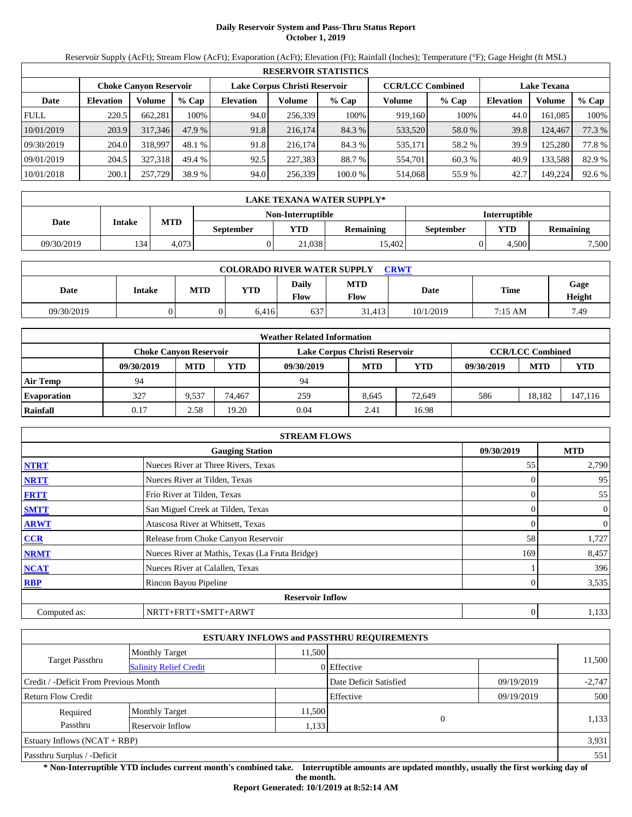# **Daily Reservoir System and Pass-Thru Status Report October 1, 2019**

Reservoir Supply (AcFt); Stream Flow (AcFt); Evaporation (AcFt); Elevation (Ft); Rainfall (Inches); Temperature (°F); Gage Height (ft MSL)

|             | <b>RESERVOIR STATISTICS</b> |                               |         |                               |         |         |                         |         |                    |         |        |  |
|-------------|-----------------------------|-------------------------------|---------|-------------------------------|---------|---------|-------------------------|---------|--------------------|---------|--------|--|
|             |                             | <b>Choke Canyon Reservoir</b> |         | Lake Corpus Christi Reservoir |         |         | <b>CCR/LCC Combined</b> |         | <b>Lake Texana</b> |         |        |  |
| Date        | <b>Elevation</b>            | Volume                        | $%$ Cap | <b>Elevation</b>              | Volume  | $%$ Cap | Volume                  | $%$ Cap | <b>Elevation</b>   | Volume  | % Cap  |  |
| <b>FULL</b> | 220.5                       | 662,281                       | 100%    | 94.0                          | 256,339 | 100%    | 919.160                 | 100%    | 44.0               | 161,085 | 100%   |  |
| 10/01/2019  | 203.9                       | 317,346                       | 47.9 %  | 91.8                          | 216,174 | 84.3 %  | 533,520                 | 58.0 %  | 39.8               | 124,467 | 77.3 % |  |
| 09/30/2019  | 204.0                       | 318,997                       | 48.1%   | 91.8                          | 216.174 | 84.3 %  | 535,171                 | 58.2 %  | 39.9               | 125.280 | 77.8%  |  |
| 09/01/2019  | 204.5                       | 327,318                       | 49.4 %  | 92.5                          | 227,383 | 88.7 %  | 554,701                 | 60.3 %  | 40.9               | 133,588 | 82.9 % |  |
| 10/01/2018  | 200.1                       | 257,729                       | 38.9 %  | 94.0                          | 256,339 | 100.0 % | 514,068                 | 55.9%   | 42.7               | 149,224 | 92.6 % |  |

|            | LAKE TEXANA WATER SUPPLY* |            |                  |                   |                  |                      |                         |       |  |  |  |
|------------|---------------------------|------------|------------------|-------------------|------------------|----------------------|-------------------------|-------|--|--|--|
|            |                           |            |                  | Non-Interruptible |                  | <b>Interruptible</b> |                         |       |  |  |  |
| Date       | Intake                    | <b>MTD</b> | <b>September</b> | YTD               | <b>Remaining</b> | September            | YTD<br><b>Remaining</b> |       |  |  |  |
| 09/30/2019 | 134                       | 4.073      |                  | 21.038            | 15.4021          |                      | 4.500                   | 7,500 |  |  |  |

| <b>COLORADO RIVER WATER SUPPLY</b><br>CRWT |        |            |            |                             |                           |           |         |                |  |  |
|--------------------------------------------|--------|------------|------------|-----------------------------|---------------------------|-----------|---------|----------------|--|--|
| Date                                       | Intake | <b>MTD</b> | <b>YTD</b> | <b>Daily</b><br><b>Flow</b> | <b>MTD</b><br><b>Flow</b> | Date      | Time    | Gage<br>Height |  |  |
| 09/30/2019                                 |        |            | 6.416      | 637                         | 31.413                    | 10/1/2019 | 7:15 AM | 7.49           |  |  |

|                    |                               |            |        | <b>Weather Related Information</b> |            |            |            |                         |            |
|--------------------|-------------------------------|------------|--------|------------------------------------|------------|------------|------------|-------------------------|------------|
|                    | <b>Choke Canyon Reservoir</b> |            |        | Lake Corpus Christi Reservoir      |            |            |            | <b>CCR/LCC Combined</b> |            |
|                    | 09/30/2019                    | <b>MTD</b> | YTD    | 09/30/2019                         | <b>MTD</b> | <b>YTD</b> | 09/30/2019 | <b>MTD</b>              | <b>YTD</b> |
| <b>Air Temp</b>    | 94                            |            |        | 94                                 |            |            |            |                         |            |
| <b>Evaporation</b> | 327                           | 9.537      | 74.467 | 259                                | 8.645      | 72,649     | 586        | 18.182                  | 147,116    |
| Rainfall           | 0.17                          | 2.58       | 19.20  | 0.04                               | 2.41       | 16.98      |            |                         |            |

|              | <b>STREAM FLOWS</b>                             |            |                |
|--------------|-------------------------------------------------|------------|----------------|
|              | <b>Gauging Station</b>                          | 09/30/2019 | <b>MTD</b>     |
| <b>NTRT</b>  | Nueces River at Three Rivers, Texas             | 55         | 2,790          |
| <b>NRTT</b>  | Nueces River at Tilden, Texas                   |            | 95             |
| <b>FRTT</b>  | Frio River at Tilden, Texas                     |            | 55             |
| <b>SMTT</b>  | San Miguel Creek at Tilden, Texas               |            | $\mathbf{0}$   |
| <b>ARWT</b>  | Atascosa River at Whitsett, Texas               |            | $\overline{0}$ |
| <b>CCR</b>   | Release from Choke Canyon Reservoir             | 58         | 1,727          |
| <b>NRMT</b>  | Nueces River at Mathis, Texas (La Fruta Bridge) | 169        | 8,457          |
| <b>NCAT</b>  | Nueces River at Calallen, Texas                 |            | 396            |
| <b>RBP</b>   | Rincon Bayou Pipeline                           |            | 3,535          |
|              | <b>Reservoir Inflow</b>                         |            |                |
| Computed as: | NRTT+FRTT+SMTT+ARWT                             | 0          | 1,133          |

|                                                  |                           |        | <b>ESTUARY INFLOWS and PASSTHRU REQUIREMENTS</b> |            |          |  |
|--------------------------------------------------|---------------------------|--------|--------------------------------------------------|------------|----------|--|
|                                                  | <b>Monthly Target</b>     | 11,500 |                                                  |            |          |  |
| Target Passthru<br><b>Salinity Relief Credit</b> |                           |        | 0 Effective                                      |            | 11,500   |  |
| Credit / -Deficit From Previous Month            |                           |        | Date Deficit Satisfied                           | 09/19/2019 | $-2,747$ |  |
| <b>Return Flow Credit</b>                        |                           |        | Effective                                        | 09/19/2019 | 500      |  |
| Required                                         | <b>Monthly Target</b>     | 11,500 | $\Omega$                                         |            |          |  |
| Passthru                                         | Reservoir Inflow<br>1,133 |        |                                                  |            | 1,133    |  |
| Estuary Inflows (NCAT + RBP)                     |                           |        |                                                  |            | 3,931    |  |
| Passthru Surplus / -Deficit                      |                           |        |                                                  |            |          |  |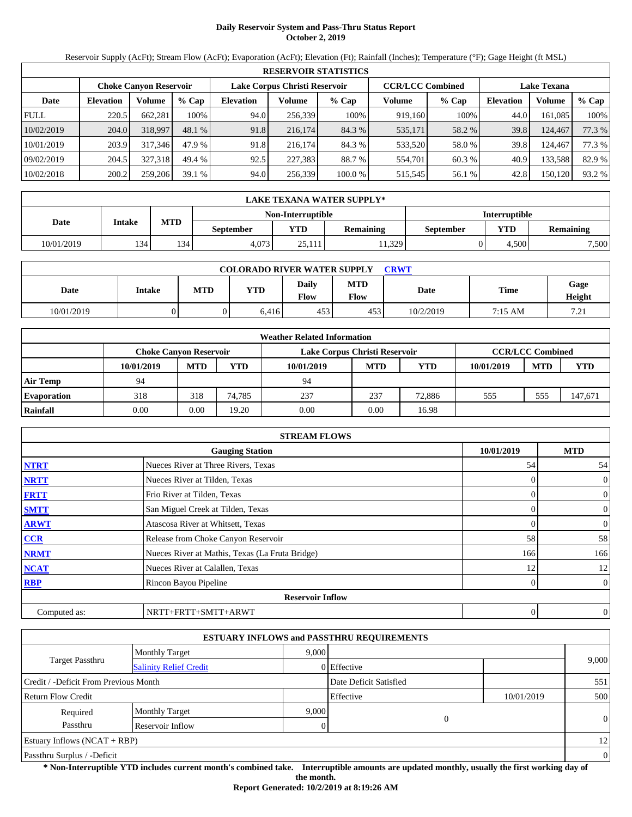# **Daily Reservoir System and Pass-Thru Status Report October 2, 2019**

Reservoir Supply (AcFt); Stream Flow (AcFt); Evaporation (AcFt); Elevation (Ft); Rainfall (Inches); Temperature (°F); Gage Height (ft MSL)

|             | <b>RESERVOIR STATISTICS</b> |                               |         |                               |         |         |                         |         |                    |         |        |  |
|-------------|-----------------------------|-------------------------------|---------|-------------------------------|---------|---------|-------------------------|---------|--------------------|---------|--------|--|
|             |                             | <b>Choke Canyon Reservoir</b> |         | Lake Corpus Christi Reservoir |         |         | <b>CCR/LCC Combined</b> |         | <b>Lake Texana</b> |         |        |  |
| Date        | <b>Elevation</b>            | Volume                        | $%$ Cap | <b>Elevation</b>              | Volume  | $%$ Cap | Volume                  | $%$ Cap | <b>Elevation</b>   | Volume  | % Cap  |  |
| <b>FULL</b> | 220.5                       | 662.281                       | 100%    | 94.0                          | 256,339 | 100%    | 919,160                 | 100%    | 44.0               | 161.085 | 100%   |  |
| 10/02/2019  | 204.0                       | 318,997                       | 48.1 %  | 91.8                          | 216,174 | 84.3 %  | 535,171                 | 58.2 %  | 39.8               | 124,467 | 77.3 % |  |
| 10/01/2019  | 203.9                       | 317,346                       | 47.9 %  | 91.8                          | 216,174 | 84.3 %  | 533,520                 | 58.0 %  | 39.8               | 124.467 | 77.3 % |  |
| 09/02/2019  | 204.5                       | 327,318                       | 49.4 %  | 92.5                          | 227,383 | 88.7 %  | 554,701                 | 60.3 %  | 40.9               | 133,588 | 82.9 % |  |
| 10/02/2018  | 200.2                       | 259,206                       | 39.1%   | 94.0                          | 256,339 | 100.0 % | 515,545                 | 56.1 %  | 42.8               | 150,120 | 93.2 % |  |

|            | LAKE TEXANA WATER SUPPLY* |            |                  |                   |                  |                      |       |                  |  |  |  |
|------------|---------------------------|------------|------------------|-------------------|------------------|----------------------|-------|------------------|--|--|--|
|            |                           |            |                  | Non-Interruptible |                  | <b>Interruptible</b> |       |                  |  |  |  |
| Date       | Intake                    | <b>MTD</b> | <b>September</b> | <b>YTD</b>        | <b>Remaining</b> | September            | YTD   | <b>Remaining</b> |  |  |  |
| 10/01/2019 | 134                       | 134        | 4.073            | 25.111            | 1,329            |                      | 4.500 | 7,500            |  |  |  |

| <b>COLORADO RIVER WATER SUPPLY</b><br><b>CRWT</b> |        |            |       |               |                    |           |             |                |  |  |
|---------------------------------------------------|--------|------------|-------|---------------|--------------------|-----------|-------------|----------------|--|--|
| Date                                              | Intake | <b>MTD</b> | YTD   | Daily<br>Flow | <b>MTD</b><br>Flow | Date      | <b>Time</b> | Gage<br>Height |  |  |
| 10/01/2019                                        |        |            | 6.416 | 453           | 453                | 10/2/2019 | 7:15 AM     | 7.21<br>.      |  |  |

|                    |                               |            |        | <b>Weather Related Information</b> |            |            |            |                         |            |
|--------------------|-------------------------------|------------|--------|------------------------------------|------------|------------|------------|-------------------------|------------|
|                    | <b>Choke Canvon Reservoir</b> |            |        | Lake Corpus Christi Reservoir      |            |            |            | <b>CCR/LCC Combined</b> |            |
|                    | 10/01/2019                    | <b>MTD</b> | YTD    | 10/01/2019                         | <b>MTD</b> | <b>YTD</b> | 10/01/2019 | <b>MTD</b>              | <b>YTD</b> |
| <b>Air Temp</b>    | 94                            |            |        | 94                                 |            |            |            |                         |            |
| <b>Evaporation</b> | 318                           | 318        | 74.785 | 237                                | 237        | 72,886     | 555        | 555                     | 147,671    |
| Rainfall           | 0.00                          | 0.00       | 19.20  | 0.00                               | 0.00       | 16.98      |            |                         |            |

|              | <b>STREAM FLOWS</b>                             |            |                |
|--------------|-------------------------------------------------|------------|----------------|
|              | <b>Gauging Station</b>                          | 10/01/2019 | <b>MTD</b>     |
| <b>NTRT</b>  | Nueces River at Three Rivers, Texas             | 54         | 54             |
| <b>NRTT</b>  | Nueces River at Tilden, Texas                   |            | $\mathbf{0}$   |
| <b>FRTT</b>  | Frio River at Tilden, Texas                     |            | $\mathbf{0}$   |
| <b>SMTT</b>  | San Miguel Creek at Tilden, Texas               | 0          | $\mathbf{0}$   |
| <b>ARWT</b>  | Atascosa River at Whitsett, Texas               |            | $\mathbf{0}$   |
| <b>CCR</b>   | Release from Choke Canyon Reservoir             | 58         | 58             |
| <b>NRMT</b>  | Nueces River at Mathis, Texas (La Fruta Bridge) | 166        | 166            |
| <b>NCAT</b>  | Nueces River at Calallen, Texas                 | 12         | 12             |
| <b>RBP</b>   | Rincon Bayou Pipeline                           | 0          | $\overline{0}$ |
|              | <b>Reservoir Inflow</b>                         |            |                |
| Computed as: | NRTT+FRTT+SMTT+ARWT                             | 0          | $\mathbf{0}$   |

|                                       |                               |       | <b>ESTUARY INFLOWS and PASSTHRU REQUIREMENTS</b> |            |          |
|---------------------------------------|-------------------------------|-------|--------------------------------------------------|------------|----------|
|                                       | <b>Monthly Target</b>         | 9.000 |                                                  |            |          |
| <b>Target Passthru</b>                | <b>Salinity Relief Credit</b> |       | 0 Effective                                      |            | 9,000    |
| Credit / -Deficit From Previous Month |                               |       | Date Deficit Satisfied                           |            | 551      |
| Return Flow Credit                    |                               |       | Effective                                        | 10/01/2019 | 500      |
| Required                              | <b>Monthly Target</b>         | 9.000 |                                                  |            |          |
| Passthru                              | Reservoir Inflow              |       | 0                                                |            | $\theta$ |
| Estuary Inflows $(NCAT + RBP)$        |                               |       |                                                  |            | 12       |
| Passthru Surplus / -Deficit           |                               |       |                                                  |            | $\theta$ |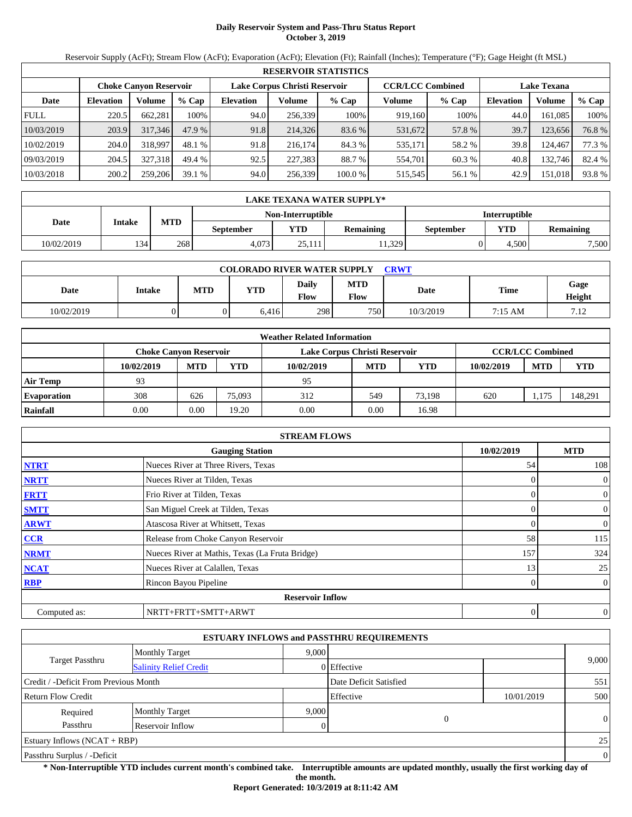# **Daily Reservoir System and Pass-Thru Status Report October 3, 2019**

Reservoir Supply (AcFt); Stream Flow (AcFt); Evaporation (AcFt); Elevation (Ft); Rainfall (Inches); Temperature (°F); Gage Height (ft MSL)

|                                                                                           | <b>RESERVOIR STATISTICS</b> |         |         |                  |         |         |         |         |                  |                    |        |
|-------------------------------------------------------------------------------------------|-----------------------------|---------|---------|------------------|---------|---------|---------|---------|------------------|--------------------|--------|
| <b>CCR/LCC Combined</b><br>Lake Corpus Christi Reservoir<br><b>Choke Canyon Reservoir</b> |                             |         |         |                  |         |         |         |         |                  | <b>Lake Texana</b> |        |
| Date                                                                                      | <b>Elevation</b>            | Volume  | $%$ Cap | <b>Elevation</b> | Volume  | $%$ Cap | Volume  | $%$ Cap | <b>Elevation</b> | Volume             | % Cap  |
| <b>FULL</b>                                                                               | 220.5                       | 662.281 | 100%    | 94.0             | 256.339 | 100%    | 919,160 | 100%    | 44.0             | 161.085            | 100%   |
| 10/03/2019                                                                                | 203.9                       | 317,346 | 47.9 %  | 91.8             | 214,326 | 83.6 %  | 531,672 | 57.8 %  | 39.7             | 123.656            | 76.8%  |
| 10/02/2019                                                                                | 204.0                       | 318.997 | 48.1 %  | 91.8             | 216,174 | 84.3 %  | 535,171 | 58.2 %  | 39.8             | 124.467            | 77.3 % |
| 09/03/2019                                                                                | 204.5                       | 327.318 | 49.4 %  | 92.5             | 227,383 | 88.7 %  | 554.701 | 60.3 %  | 40.8             | 132.746            | 82.4 % |
| 10/03/2018                                                                                | 200.2                       | 259,206 | 39.1%   | 94.0             | 256,339 | 100.0%  | 515,545 | 56.1 %  | 42.9             | 151,018            | 93.8%  |

|            | LAKE TEXANA WATER SUPPLY* |            |           |                   |                      |           |       |                  |  |  |  |
|------------|---------------------------|------------|-----------|-------------------|----------------------|-----------|-------|------------------|--|--|--|
|            |                           |            |           | Non-Interruptible | <b>Interruptible</b> |           |       |                  |  |  |  |
| Date       | Intake                    | <b>MTD</b> | September | <b>VTD</b>        | <b>Remaining</b>     | September | YTD   | <b>Remaining</b> |  |  |  |
| 10/02/2019 | 134                       | 268        | 4.073     | 25.111            | 1,329                |           | 4.500 | 7,500            |  |  |  |

| <b>COLORADO RIVER WATER SUPPLY</b><br>CRWT |        |            |       |               |                    |           |             |                |  |
|--------------------------------------------|--------|------------|-------|---------------|--------------------|-----------|-------------|----------------|--|
| Date                                       | Intake | <b>MTD</b> | YTD   | Daily<br>Flow | <b>MTD</b><br>Flow | Date      | <b>Time</b> | Gage<br>Height |  |
| 10/02/2019                                 |        |            | 6,416 | 298           | 750                | 10/3/2019 | 7:15 AM     | 7.12           |  |

|                    |                        |            |        | <b>Weather Related Information</b> |            |            |            |                         |            |
|--------------------|------------------------|------------|--------|------------------------------------|------------|------------|------------|-------------------------|------------|
|                    | Choke Canvon Reservoir |            |        | Lake Corpus Christi Reservoir      |            |            |            | <b>CCR/LCC Combined</b> |            |
|                    | 10/02/2019             | <b>MTD</b> | YTD    | 10/02/2019                         | <b>MTD</b> | <b>YTD</b> | 10/02/2019 | <b>MTD</b>              | <b>YTD</b> |
| <b>Air Temp</b>    | 93                     |            |        | 95                                 |            |            |            |                         |            |
| <b>Evaporation</b> | 308                    | 626        | 75.093 | 312                                | 549        | 73.198     | 620        | 1.175                   | 148,291    |
| Rainfall           | 0.00                   | 0.00       | 19.20  | 0.00                               | 0.00       | 16.98      |            |                         |            |

|              | <b>STREAM FLOWS</b>                             |            |              |
|--------------|-------------------------------------------------|------------|--------------|
|              | <b>Gauging Station</b>                          | 10/02/2019 | <b>MTD</b>   |
| <b>NTRT</b>  | Nueces River at Three Rivers, Texas             | 54         | 108          |
| <b>NRTT</b>  | Nueces River at Tilden, Texas                   |            | $\mathbf{0}$ |
| <b>FRTT</b>  | Frio River at Tilden, Texas                     |            | $\mathbf{0}$ |
| <b>SMTT</b>  | San Miguel Creek at Tilden, Texas               | 0          | $\mathbf{0}$ |
| <b>ARWT</b>  | Atascosa River at Whitsett, Texas               |            | $\mathbf{0}$ |
| <b>CCR</b>   | Release from Choke Canyon Reservoir             | 58         | 115          |
| <b>NRMT</b>  | Nueces River at Mathis, Texas (La Fruta Bridge) | 157        | 324          |
| <b>NCAT</b>  | Nueces River at Calallen, Texas                 | 13         | 25           |
| <b>RBP</b>   | Rincon Bayou Pipeline                           | 0          | $\mathbf{0}$ |
|              | <b>Reservoir Inflow</b>                         |            |              |
| Computed as: | NRTT+FRTT+SMTT+ARWT                             | 0          | $\mathbf{0}$ |

|                                       |                               |       | <b>ESTUARY INFLOWS and PASSTHRU REQUIREMENTS</b> |            |          |
|---------------------------------------|-------------------------------|-------|--------------------------------------------------|------------|----------|
|                                       | <b>Monthly Target</b>         | 9.000 |                                                  |            |          |
| Target Passthru                       | <b>Salinity Relief Credit</b> |       | 0 Effective                                      |            | 9,000    |
| Credit / -Deficit From Previous Month |                               |       | Date Deficit Satisfied                           |            | 551      |
| Return Flow Credit                    |                               |       | Effective                                        | 10/01/2019 | 500      |
| Required                              | <b>Monthly Target</b>         | 9.000 |                                                  |            |          |
| Passthru                              | Reservoir Inflow              |       | 0                                                |            | $\theta$ |
| Estuary Inflows $(NCAT + RBP)$        |                               |       |                                                  |            | 25       |
| Passthru Surplus / -Deficit           |                               |       |                                                  |            | $\theta$ |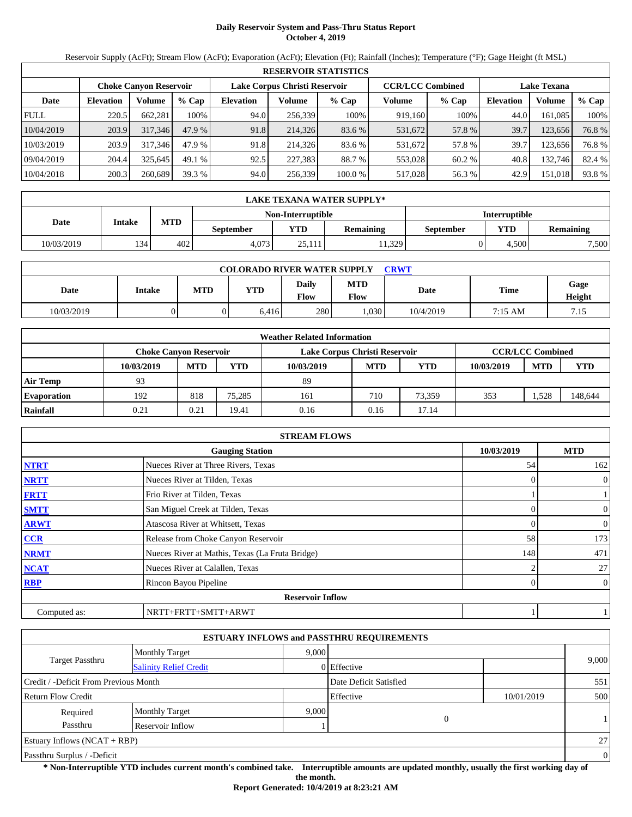# **Daily Reservoir System and Pass-Thru Status Report October 4, 2019**

Reservoir Supply (AcFt); Stream Flow (AcFt); Evaporation (AcFt); Elevation (Ft); Rainfall (Inches); Temperature (°F); Gage Height (ft MSL)

|             | <b>RESERVOIR STATISTICS</b>                                                                                     |         |         |                  |         |         |         |         |                  |         |        |
|-------------|-----------------------------------------------------------------------------------------------------------------|---------|---------|------------------|---------|---------|---------|---------|------------------|---------|--------|
|             | <b>CCR/LCC Combined</b><br>Lake Corpus Christi Reservoir<br><b>Lake Texana</b><br><b>Choke Canyon Reservoir</b> |         |         |                  |         |         |         |         |                  |         |        |
| Date        | <b>Elevation</b>                                                                                                | Volume  | $%$ Cap | <b>Elevation</b> | Volume  | $%$ Cap | Volume  | $%$ Cap | <b>Elevation</b> | Volume  | % Cap  |
| <b>FULL</b> | 220.5                                                                                                           | 662.281 | 100%    | 94.0             | 256,339 | 100%    | 919,160 | 100%    | 44.0             | 161.085 | 100%   |
| 10/04/2019  | 203.9                                                                                                           | 317,346 | 47.9 %  | 91.8             | 214,326 | 83.6 %  | 531,672 | 57.8 %  | 39.7             | 123,656 | 76.8%  |
| 10/03/2019  | 203.9                                                                                                           | 317,346 | 47.9 %  | 91.8             | 214.326 | 83.6 %  | 531,672 | 57.8 %  | 39.7             | 123.656 | 76.8%  |
| 09/04/2019  | 204.4                                                                                                           | 325.645 | 49.1 %  | 92.5             | 227,383 | 88.7 %  | 553,028 | 60.2 %  | 40.8             | 132.746 | 82.4 % |
| 10/04/2018  | 200.3                                                                                                           | 260,689 | 39.3 %  | 94.0             | 256,339 | 100.0 % | 517,028 | 56.3 %  | 42.9             | 151,018 | 93.8%  |

|            | LAKE TEXANA WATER SUPPLY* |            |                  |                   |                  |                      |       |                  |  |  |  |
|------------|---------------------------|------------|------------------|-------------------|------------------|----------------------|-------|------------------|--|--|--|
|            |                           |            |                  | Non-Interruptible |                  | <b>Interruptible</b> |       |                  |  |  |  |
| Date       | Intake                    | <b>MTD</b> | <b>September</b> | <b>YTD</b>        | <b>Remaining</b> | September            | YTD   | <b>Remaining</b> |  |  |  |
| 10/03/2019 | 134                       | 402        | 4.073            | 25.111            | 1,329            |                      | 4.500 | 7,500            |  |  |  |

| <b>COLORADO RIVER WATER SUPPLY</b><br><b>CRWT</b> |        |            |       |               |                    |           |         |                |  |
|---------------------------------------------------|--------|------------|-------|---------------|--------------------|-----------|---------|----------------|--|
| Date                                              | Intake | <b>MTD</b> | YTD   | Daily<br>Flow | <b>MTD</b><br>Flow | Date      | Time    | Gage<br>Height |  |
| 10/03/2019                                        |        |            | 6.416 | 280           | .030               | 10/4/2019 | 7:15 AM | 7.15           |  |

|                    | <b>Weather Related Information</b> |            |        |                               |            |        |            |                         |            |  |  |
|--------------------|------------------------------------|------------|--------|-------------------------------|------------|--------|------------|-------------------------|------------|--|--|
|                    | <b>Choke Canyon Reservoir</b>      |            |        | Lake Corpus Christi Reservoir |            |        |            | <b>CCR/LCC Combined</b> |            |  |  |
|                    | 10/03/2019                         | <b>MTD</b> | YTD    | 10/03/2019                    | <b>MTD</b> | YTD    | 10/03/2019 | <b>MTD</b>              | <b>YTD</b> |  |  |
| <b>Air Temp</b>    | 93                                 |            |        | 89                            |            |        |            |                         |            |  |  |
| <b>Evaporation</b> | 192                                | 818        | 75.285 | 161                           | 710        | 73.359 | 353        | 1,528                   | 148,644    |  |  |
| Rainfall           | 0.21                               | 0.21       | 19.41  | 0.16                          | 0.16       | 17.14  |            |                         |            |  |  |

|              | <b>STREAM FLOWS</b>                             |            |                |
|--------------|-------------------------------------------------|------------|----------------|
|              | <b>Gauging Station</b>                          | 10/03/2019 | <b>MTD</b>     |
| <b>NTRT</b>  | Nueces River at Three Rivers, Texas             | 54         | 162            |
| <b>NRTT</b>  | Nueces River at Tilden, Texas                   |            | $\overline{0}$ |
| <b>FRTT</b>  | Frio River at Tilden, Texas                     |            |                |
| <b>SMTT</b>  | San Miguel Creek at Tilden, Texas               |            | $\mathbf{0}$   |
| <b>ARWT</b>  | Atascosa River at Whitsett, Texas               |            | $\overline{0}$ |
| <b>CCR</b>   | Release from Choke Canyon Reservoir             | 58         | 173            |
| <b>NRMT</b>  | Nueces River at Mathis, Texas (La Fruta Bridge) | 148        | 471            |
| <b>NCAT</b>  | Nueces River at Calallen, Texas                 |            | 27             |
| <b>RBP</b>   | Rincon Bayou Pipeline                           |            | $\overline{0}$ |
|              | <b>Reservoir Inflow</b>                         |            |                |
| Computed as: | NRTT+FRTT+SMTT+ARWT                             |            |                |

|                                       |                               |       | <b>ESTUARY INFLOWS and PASSTHRU REQUIREMENTS</b> |            |          |
|---------------------------------------|-------------------------------|-------|--------------------------------------------------|------------|----------|
|                                       | <b>Monthly Target</b>         | 9.000 |                                                  |            |          |
| <b>Target Passthru</b>                | <b>Salinity Relief Credit</b> |       | 0 Effective                                      |            | 9,000    |
| Credit / -Deficit From Previous Month |                               |       | Date Deficit Satisfied                           |            | 551      |
| <b>Return Flow Credit</b>             |                               |       | Effective                                        | 10/01/2019 | 500      |
| Required                              | <b>Monthly Target</b>         | 9,000 |                                                  |            |          |
| Passthru                              | Reservoir Inflow              |       | $\mathbf{0}$                                     |            |          |
| Estuary Inflows $(NCAT + RBP)$        |                               |       |                                                  |            | 27       |
| Passthru Surplus / -Deficit           |                               |       |                                                  |            | $\theta$ |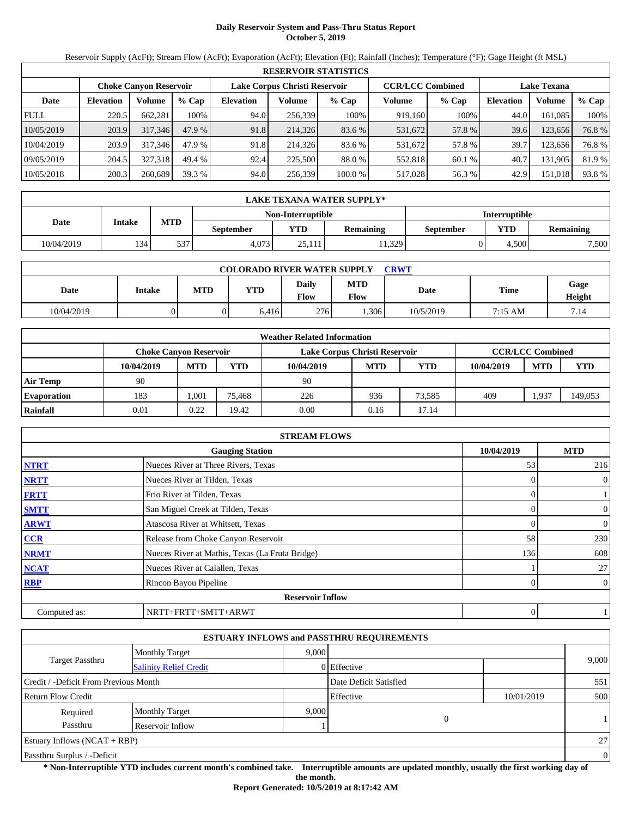# **Daily Reservoir System and Pass-Thru Status Report October 5, 2019**

Reservoir Supply (AcFt); Stream Flow (AcFt); Evaporation (AcFt); Elevation (Ft); Rainfall (Inches); Temperature (°F); Gage Height (ft MSL)

|             | <b>RESERVOIR STATISTICS</b> |                               |         |                  |                               |         |                         |         |                    |         |        |  |
|-------------|-----------------------------|-------------------------------|---------|------------------|-------------------------------|---------|-------------------------|---------|--------------------|---------|--------|--|
|             |                             | <b>Choke Canvon Reservoir</b> |         |                  | Lake Corpus Christi Reservoir |         | <b>CCR/LCC Combined</b> |         | <b>Lake Texana</b> |         |        |  |
| Date        | <b>Elevation</b>            | Volume                        | $%$ Cap | <b>Elevation</b> | Volume                        | $%$ Cap | Volume                  | $%$ Cap | <b>Elevation</b>   | Volume  | % Cap  |  |
| <b>FULL</b> | 220.5                       | 662,281                       | 100%    | 94.0             | 256,339                       | 100%    | 919,160                 | 100%    | 44.0               | 161,085 | 100%   |  |
| 10/05/2019  | 203.9                       | 317,346                       | 47.9 %  | 91.8             | 214,326                       | 83.6 %  | 531,672                 | 57.8 %  | 39.6               | 123,656 | 76.8%  |  |
| 10/04/2019  | 203.9                       | 317.346                       | 47.9 %  | 91.8             | 214,326                       | 83.6 %  | 531,672                 | 57.8 %  | 39.7               | 123,656 | 76.8%  |  |
| 09/05/2019  | 204.5                       | 327.318                       | 49.4 %  | 92.4             | 225,500                       | 88.0 %  | 552,818                 | 60.1 %  | 40.7               | 131,905 | 81.9 % |  |
| 10/05/2018  | 200.3                       | 260,689                       | 39.3%   | 94.0             | 256,339                       | 100.0 % | 517,028                 | 56.3%   | 42.9               | 151,018 | 93.8%  |  |

|            | LAKE TEXANA WATER SUPPLY* |            |                  |                   |                  |                      |       |                  |  |  |  |
|------------|---------------------------|------------|------------------|-------------------|------------------|----------------------|-------|------------------|--|--|--|
|            |                           |            |                  | Non-Interruptible |                  | <b>Interruptible</b> |       |                  |  |  |  |
| Date       | Intake                    | <b>MTD</b> | <b>September</b> | <b>YTD</b>        | <b>Remaining</b> | September            | YTD   | <b>Remaining</b> |  |  |  |
| 10/04/2019 | 134                       | 537        | 4.073            | 25.111            | 1,329            |                      | 4.500 | 7,500            |  |  |  |

| <b>COLORADO RIVER WATER SUPPLY</b><br><b>CRWT</b> |        |            |       |               |                    |           |             |                |  |  |
|---------------------------------------------------|--------|------------|-------|---------------|--------------------|-----------|-------------|----------------|--|--|
| Date                                              | Intake | <b>MTD</b> | YTD   | Daily<br>Flow | <b>MTD</b><br>Flow | Date      | <b>Time</b> | Gage<br>Height |  |  |
| 10/04/2019                                        |        |            | 6.416 | 276           | .306               | 10/5/2019 | 7:15 AM     | 7.14           |  |  |

|                    | <b>Weather Related Information</b> |            |        |                               |            |        |            |                         |         |  |  |  |
|--------------------|------------------------------------|------------|--------|-------------------------------|------------|--------|------------|-------------------------|---------|--|--|--|
|                    | Choke Canvon Reservoir             |            |        | Lake Corpus Christi Reservoir |            |        |            | <b>CCR/LCC Combined</b> |         |  |  |  |
|                    | 10/04/2019                         | <b>MTD</b> | YTD    | 10/04/2019                    | <b>MTD</b> | YTD    | 10/04/2019 | <b>MTD</b>              | YTD     |  |  |  |
| <b>Air Temp</b>    | 90                                 |            |        | 90                            |            |        |            |                         |         |  |  |  |
| <b>Evaporation</b> | 183                                | ,001       | 75.468 | 226                           | 936        | 73.585 | 409        | .937                    | 149,053 |  |  |  |
| Rainfall           | 0.01                               | 0.22       | 19.42  | 0.00                          | 0.16       | 17.14  |            |                         |         |  |  |  |

|              | <b>STREAM FLOWS</b>                             |            |                |
|--------------|-------------------------------------------------|------------|----------------|
|              | <b>Gauging Station</b>                          | 10/04/2019 | <b>MTD</b>     |
| <b>NTRT</b>  | Nueces River at Three Rivers, Texas             | 53         | 216            |
| <b>NRTT</b>  | Nueces River at Tilden, Texas                   | $\Omega$   | $\overline{0}$ |
| <b>FRTT</b>  | Frio River at Tilden, Texas                     | 0          |                |
| <b>SMTT</b>  | San Miguel Creek at Tilden, Texas               | $\Omega$   | $\mathbf{0}$   |
| <b>ARWT</b>  | Atascosa River at Whitsett, Texas               | 0          | $\overline{0}$ |
| <b>CCR</b>   | Release from Choke Canyon Reservoir             | 58         | 230            |
| <b>NRMT</b>  | Nueces River at Mathis, Texas (La Fruta Bridge) | 136        | 608            |
| <b>NCAT</b>  | Nueces River at Calallen, Texas                 |            | 27             |
| <b>RBP</b>   | Rincon Bayou Pipeline                           | $\theta$   | $\overline{0}$ |
|              | <b>Reservoir Inflow</b>                         |            |                |
| Computed as: | NRTT+FRTT+SMTT+ARWT                             | 0          |                |

|                                       |                               |       | <b>ESTUARY INFLOWS and PASSTHRU REQUIREMENTS</b> |            |          |
|---------------------------------------|-------------------------------|-------|--------------------------------------------------|------------|----------|
|                                       | <b>Monthly Target</b>         | 9.000 |                                                  |            |          |
| <b>Target Passthru</b>                | <b>Salinity Relief Credit</b> |       | 0 Effective                                      |            | 9,000    |
| Credit / -Deficit From Previous Month |                               |       | Date Deficit Satisfied                           |            | 551      |
| <b>Return Flow Credit</b>             |                               |       | Effective                                        | 10/01/2019 | 500      |
| Required                              | <b>Monthly Target</b>         | 9,000 |                                                  |            |          |
| Passthru                              | Reservoir Inflow              |       | $\mathbf{0}$                                     |            |          |
| Estuary Inflows $(NCAT + RBP)$        |                               |       |                                                  |            | 27       |
| Passthru Surplus / -Deficit           |                               |       |                                                  |            | $\theta$ |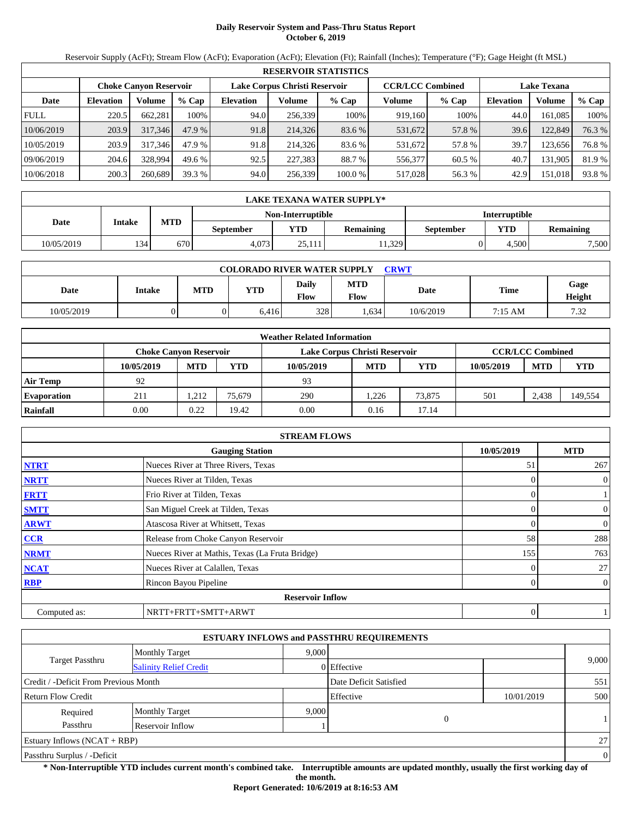# **Daily Reservoir System and Pass-Thru Status Report October 6, 2019**

Reservoir Supply (AcFt); Stream Flow (AcFt); Evaporation (AcFt); Elevation (Ft); Rainfall (Inches); Temperature (°F); Gage Height (ft MSL)

|             | <b>RESERVOIR STATISTICS</b> |                               |         |                               |         |         |                         |         |                    |         |        |  |  |
|-------------|-----------------------------|-------------------------------|---------|-------------------------------|---------|---------|-------------------------|---------|--------------------|---------|--------|--|--|
|             |                             | <b>Choke Canyon Reservoir</b> |         | Lake Corpus Christi Reservoir |         |         | <b>CCR/LCC Combined</b> |         | <b>Lake Texana</b> |         |        |  |  |
| Date        | <b>Elevation</b>            | Volume                        | $%$ Cap | <b>Elevation</b>              | Volume  | $%$ Cap | Volume                  | $%$ Cap | <b>Elevation</b>   | Volume  | % Cap  |  |  |
| <b>FULL</b> | 220.5                       | 662,281                       | 100%    | 94.0                          | 256,339 | 100%    | 919,160                 | 100%    | 44.0               | 161.085 | 100%   |  |  |
| 10/06/2019  | 203.9                       | 317,346                       | 47.9 %  | 91.8                          | 214,326 | 83.6 %  | 531,672                 | 57.8 %  | 39.6               | 122,849 | 76.3 % |  |  |
| 10/05/2019  | 203.9                       | 317.346                       | 47.9 %  | 91.8                          | 214,326 | 83.6 %  | 531,672                 | 57.8 %  | 39.7               | 123,656 | 76.8 % |  |  |
| 09/06/2019  | 204.6                       | 328,994                       | 49.6 %  | 92.5                          | 227,383 | 88.7 %  | 556,377                 | 60.5 %  | 40.7               | 131,905 | 81.9 % |  |  |
| 10/06/2018  | 200.3                       | 260,689                       | 39.3 %  | 94.0                          | 256,339 | 100.0 % | 517,028                 | 56.3 %  | 42.9               | 151,018 | 93.8 % |  |  |

|            | LAKE TEXANA WATER SUPPLY* |            |                  |                   |                  |                      |       |                  |  |  |  |
|------------|---------------------------|------------|------------------|-------------------|------------------|----------------------|-------|------------------|--|--|--|
|            |                           |            |                  | Non-Interruptible |                  | <b>Interruptible</b> |       |                  |  |  |  |
| Date       | Intake                    | <b>MTD</b> | <b>September</b> | <b>YTD</b>        | <b>Remaining</b> | September            | YTD   | <b>Remaining</b> |  |  |  |
| 10/05/2019 | 134                       | 670        | 4.073            | 25.111            | 1,329            |                      | 4.500 | 7,500            |  |  |  |

| <b>COLORADO RIVER WATER SUPPLY</b><br><b>CRWT</b> |        |            |       |                      |                    |           |             |                |  |  |
|---------------------------------------------------|--------|------------|-------|----------------------|--------------------|-----------|-------------|----------------|--|--|
| Date                                              | Intake | <b>MTD</b> | YTD   | <b>Daily</b><br>Flow | <b>MTD</b><br>Flow | Date      | <b>Time</b> | Gage<br>Height |  |  |
| 10/05/2019                                        |        |            | 6.416 | 328                  | .634               | 10/6/2019 | 7:15 AM     | 7.32           |  |  |

|                    |                        |            |        | <b>Weather Related Information</b> |            |            |            |                         |            |
|--------------------|------------------------|------------|--------|------------------------------------|------------|------------|------------|-------------------------|------------|
|                    | Choke Canvon Reservoir |            |        | Lake Corpus Christi Reservoir      |            |            |            | <b>CCR/LCC Combined</b> |            |
|                    | 10/05/2019             | <b>MTD</b> | YTD    | 10/05/2019                         | <b>MTD</b> | <b>YTD</b> | 10/05/2019 | <b>MTD</b>              | <b>YTD</b> |
| <b>Air Temp</b>    | 92                     |            |        | 93                                 |            |            |            |                         |            |
| <b>Evaporation</b> | 211                    | .212       | 75.679 | 290                                | .226       | 73,875     | 501        | 2.438                   | 149,554    |
| Rainfall           | 0.00                   | 0.22       | 19.42  | 0.00                               | 0.16       | 17.14      |            |                         |            |

|              | <b>STREAM FLOWS</b>                             |            |                     |
|--------------|-------------------------------------------------|------------|---------------------|
|              | <b>Gauging Station</b>                          | 10/05/2019 | <b>MTD</b>          |
| <b>NTRT</b>  | Nueces River at Three Rivers, Texas             | 51         | 267                 |
| <b>NRTT</b>  | Nueces River at Tilden, Texas                   |            | $\mathbf{0}$        |
| <b>FRTT</b>  | Frio River at Tilden, Texas                     |            | 0                   |
| <b>SMTT</b>  | San Miguel Creek at Tilden, Texas               |            | $\mathbf{0}$        |
| <b>ARWT</b>  | Atascosa River at Whitsett, Texas               |            | $\mathbf{0}$        |
| <b>CCR</b>   | Release from Choke Canyon Reservoir             | 58         | 288                 |
| <b>NRMT</b>  | Nueces River at Mathis, Texas (La Fruta Bridge) | 155        | 763                 |
| <b>NCAT</b>  | Nueces River at Calallen, Texas                 |            | 27                  |
| <b>RBP</b>   | Rincon Bayou Pipeline                           |            | $\overline{0}$<br>0 |
|              | <b>Reservoir Inflow</b>                         |            |                     |
| Computed as: | NRTT+FRTT+SMTT+ARWT                             |            | 0                   |

|                                       |                               |       | <b>ESTUARY INFLOWS and PASSTHRU REQUIREMENTS</b> |            |                |
|---------------------------------------|-------------------------------|-------|--------------------------------------------------|------------|----------------|
|                                       | <b>Monthly Target</b>         | 9.000 |                                                  |            |                |
| Target Passthru                       | <b>Salinity Relief Credit</b> |       | 0 Effective                                      |            | 9,000          |
| Credit / -Deficit From Previous Month |                               |       | Date Deficit Satisfied                           |            | 551            |
| <b>Return Flow Credit</b>             |                               |       | Effective                                        | 10/01/2019 | 500            |
| Required                              | <b>Monthly Target</b>         | 9,000 |                                                  |            |                |
| Passthru                              | Reservoir Inflow              |       | $\overline{0}$                                   |            |                |
| <b>Estuary Inflows (NCAT + RBP)</b>   |                               |       |                                                  |            | 27             |
| Passthru Surplus / -Deficit           |                               |       |                                                  |            | $\overline{0}$ |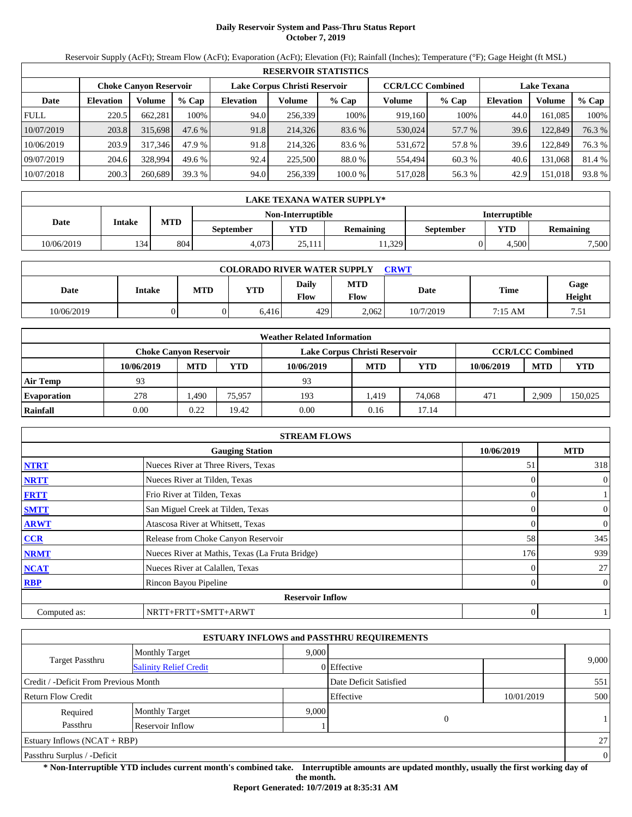# **Daily Reservoir System and Pass-Thru Status Report October 7, 2019**

Reservoir Supply (AcFt); Stream Flow (AcFt); Evaporation (AcFt); Elevation (Ft); Rainfall (Inches); Temperature (°F); Gage Height (ft MSL)

|             | <b>RESERVOIR STATISTICS</b> |                               |         |                  |                               |         |         |                         |                    |         |        |  |
|-------------|-----------------------------|-------------------------------|---------|------------------|-------------------------------|---------|---------|-------------------------|--------------------|---------|--------|--|
|             |                             | <b>Choke Canyon Reservoir</b> |         |                  | Lake Corpus Christi Reservoir |         |         | <b>CCR/LCC Combined</b> | <b>Lake Texana</b> |         |        |  |
| Date        | <b>Elevation</b>            | Volume                        | $%$ Cap | <b>Elevation</b> | Volume                        | $%$ Cap | Volume  | $%$ Cap                 | Elevation          | Volume  | % Cap  |  |
| <b>FULL</b> | 220.5                       | 662,281                       | 100%    | 94.0             | 256,339                       | 100%    | 919.160 | 100%                    | 44.0               | 161.085 | 100%   |  |
| 10/07/2019  | 203.8                       | 315,698                       | 47.6 %  | 91.8             | 214,326                       | 83.6 %  | 530,024 | 57.7 %                  | 39.6               | 122,849 | 76.3 % |  |
| 10/06/2019  | 203.9                       | 317,346                       | 47.9 %  | 91.8             | 214.326                       | 83.6 %  | 531,672 | 57.8 %                  | 39.6               | 122,849 | 76.3 % |  |
| 09/07/2019  | 204.6                       | 328,994                       | 49.6 %  | 92.4             | 225,500                       | 88.0 %  | 554.494 | 60.3 %                  | 40.6               | 131,068 | 81.4 % |  |
| 10/07/2018  | 200.3                       | 260,689                       | 39.3%   | 94.0             | 256,339                       | 100.0 % | 517,028 | 56.3 %                  | 42.9               | 151,018 | 93.8%  |  |

|            | LAKE TEXANA WATER SUPPLY* |                                           |                  |            |                  |           |       |                  |  |  |  |  |
|------------|---------------------------|-------------------------------------------|------------------|------------|------------------|-----------|-------|------------------|--|--|--|--|
|            |                           | <b>Interruptible</b><br>Non-Interruptible |                  |            |                  |           |       |                  |  |  |  |  |
| Date       | Intake                    | <b>MTD</b>                                | <b>September</b> | <b>YTD</b> | <b>Remaining</b> | September | YTD   | <b>Remaining</b> |  |  |  |  |
| 10/06/2019 | 134                       | 804                                       | 4.073            | 25.111     | 1,329            |           | 4.500 | 7,500            |  |  |  |  |

| <b>COLORADO RIVER WATER SUPPLY</b><br><b>CRWT</b> |        |            |       |                      |                    |           |             |                |  |  |
|---------------------------------------------------|--------|------------|-------|----------------------|--------------------|-----------|-------------|----------------|--|--|
| Date                                              | Intake | <b>MTD</b> | YTD   | <b>Daily</b><br>Flow | <b>MTD</b><br>Flow | Date      | <b>Time</b> | Gage<br>Height |  |  |
| 10/06/2019                                        |        |            | 6.416 | 429                  | 2.062              | 10/7/2019 | 7:15 AM     | 7.51           |  |  |

|                    |            |                        |        | <b>Weather Related Information</b> |            |        |            |                         |         |
|--------------------|------------|------------------------|--------|------------------------------------|------------|--------|------------|-------------------------|---------|
|                    |            | Choke Canvon Reservoir |        | Lake Corpus Christi Reservoir      |            |        |            | <b>CCR/LCC Combined</b> |         |
|                    | 10/06/2019 | <b>MTD</b>             | YTD    | 10/06/2019                         | <b>MTD</b> | YTD    | 10/06/2019 | <b>MTD</b>              | YTD     |
| <b>Air Temp</b>    | 93         |                        |        | 93                                 |            |        |            |                         |         |
| <b>Evaporation</b> | 278        | l,490                  | 75.957 | 193                                | 419،       | 74,068 | 471        | 2.909                   | 150,025 |
| Rainfall           | 0.00       | 0.22                   | 19.42  | 0.00                               | 0.16       | 17.14  |            |                         |         |

|              | <b>STREAM FLOWS</b>                             |                |                |
|--------------|-------------------------------------------------|----------------|----------------|
|              | <b>Gauging Station</b>                          | 10/06/2019     | <b>MTD</b>     |
| <b>NTRT</b>  | Nueces River at Three Rivers, Texas             | 51             | 318            |
| <b>NRTT</b>  | Nueces River at Tilden, Texas                   | $\Omega$       | $\overline{0}$ |
| <b>FRTT</b>  | Frio River at Tilden, Texas                     | 0              |                |
| <b>SMTT</b>  | San Miguel Creek at Tilden, Texas               | $\Omega$       | $\mathbf{0}$   |
| <b>ARWT</b>  | Atascosa River at Whitsett, Texas               | 0              | $\overline{0}$ |
| <b>CCR</b>   | Release from Choke Canyon Reservoir             | 58             | 345            |
| <b>NRMT</b>  | Nueces River at Mathis, Texas (La Fruta Bridge) | 176            | 939            |
| <b>NCAT</b>  | Nueces River at Calallen, Texas                 | 0              | 27             |
| <b>RBP</b>   | Rincon Bayou Pipeline                           | $\overline{0}$ | $\overline{0}$ |
|              | <b>Reservoir Inflow</b>                         |                |                |
| Computed as: | NRTT+FRTT+SMTT+ARWT                             | 0              |                |

|                                       |                               |       | <b>ESTUARY INFLOWS and PASSTHRU REQUIREMENTS</b> |            |                |
|---------------------------------------|-------------------------------|-------|--------------------------------------------------|------------|----------------|
|                                       | <b>Monthly Target</b>         | 9.000 |                                                  |            |                |
| Target Passthru                       | <b>Salinity Relief Credit</b> |       | 0 Effective                                      |            | 9,000          |
| Credit / -Deficit From Previous Month |                               |       | Date Deficit Satisfied                           |            | 551            |
| <b>Return Flow Credit</b>             |                               |       | Effective                                        | 10/01/2019 | 500            |
| Required                              | <b>Monthly Target</b>         | 9,000 |                                                  |            |                |
| Passthru                              | Reservoir Inflow              |       | $\overline{0}$                                   |            |                |
| Estuary Inflows $(NCAT + RBP)$        |                               |       |                                                  |            | 27             |
| Passthru Surplus / -Deficit           |                               |       |                                                  |            | $\overline{0}$ |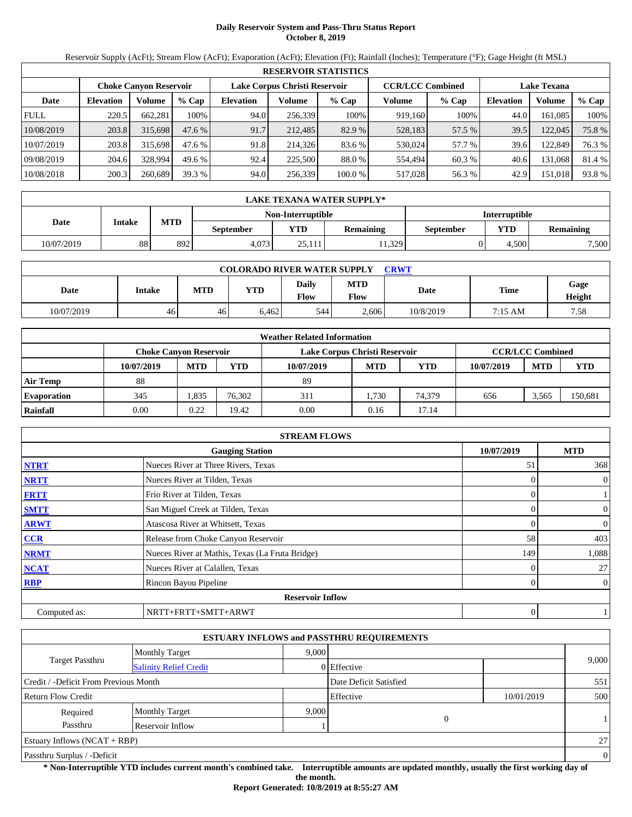# **Daily Reservoir System and Pass-Thru Status Report October 8, 2019**

Reservoir Supply (AcFt); Stream Flow (AcFt); Evaporation (AcFt); Elevation (Ft); Rainfall (Inches); Temperature (°F); Gage Height (ft MSL)

|             | <b>RESERVOIR STATISTICS</b> |                               |         |                  |                               |         |                         |         |                    |         |        |  |
|-------------|-----------------------------|-------------------------------|---------|------------------|-------------------------------|---------|-------------------------|---------|--------------------|---------|--------|--|
|             |                             | <b>Choke Canyon Reservoir</b> |         |                  | Lake Corpus Christi Reservoir |         | <b>CCR/LCC Combined</b> |         | <b>Lake Texana</b> |         |        |  |
| Date        | <b>Elevation</b>            | Volume                        | $%$ Cap | <b>Elevation</b> | Volume                        | $%$ Cap | Volume                  | $%$ Cap | <b>Elevation</b>   | Volume  | % Cap  |  |
| <b>FULL</b> | 220.5                       | 662.281                       | 100%    | 94.0             | 256.339                       | 100%    | 919,160                 | 100%    | 44.0               | 161.085 | 100%   |  |
| 10/08/2019  | 203.8                       | 315,698                       | 47.6%   | 91.7             | 212,485                       | 82.9 %  | 528,183                 | 57.5 %  | 39.5               | 122,045 | 75.8 % |  |
| 10/07/2019  | 203.8                       | 315,698                       | 47.6 %  | 91.8             | 214,326                       | 83.6 %  | 530.024                 | 57.7 %  | 39.6               | 122,849 | 76.3 % |  |
| 09/08/2019  | 204.6                       | 328,994                       | 49.6 %  | 92.4             | 225,500                       | 88.0 %  | 554.494                 | 60.3 %  | 40.6               | 131.068 | 81.4 % |  |
| 10/08/2018  | 200.3                       | 260,689                       | 39.3 %  | 94.0             | 256,339                       | 100.0 % | 517,028                 | 56.3 %  | 42.9               | 151,018 | 93.8%  |  |

|            | LAKE TEXANA WATER SUPPLY* |            |                                           |            |                  |           |       |                  |  |  |  |  |
|------------|---------------------------|------------|-------------------------------------------|------------|------------------|-----------|-------|------------------|--|--|--|--|
|            |                           |            | <b>Interruptible</b><br>Non-Interruptible |            |                  |           |       |                  |  |  |  |  |
| Date       | Intake                    | <b>MTD</b> | <b>September</b>                          | <b>YTD</b> | <b>Remaining</b> | September | YTD   | <b>Remaining</b> |  |  |  |  |
| 10/07/2019 | 88                        | 892        | 4.073                                     | 25.111     | 1,329            |           | 4.500 | 7,500            |  |  |  |  |

| <b>COLORADO RIVER WATER SUPPLY</b><br><b>CRWT</b> |        |            |       |               |                    |           |         |                |  |  |
|---------------------------------------------------|--------|------------|-------|---------------|--------------------|-----------|---------|----------------|--|--|
| Date                                              | Intake | <b>MTD</b> | YTD   | Daily<br>Flow | <b>MTD</b><br>Flow | Date      | Time    | Gage<br>Height |  |  |
| 10/07/2019                                        | 46     | 46         | 6.462 | 544           | 2.606              | 10/8/2019 | 7:15 AM | 7.58           |  |  |

|                    |                               |            |        | <b>Weather Related Information</b> |            |            |            |                         |            |
|--------------------|-------------------------------|------------|--------|------------------------------------|------------|------------|------------|-------------------------|------------|
|                    | <b>Choke Canvon Reservoir</b> |            |        | Lake Corpus Christi Reservoir      |            |            |            | <b>CCR/LCC Combined</b> |            |
|                    | 10/07/2019                    | <b>MTD</b> | YTD    | 10/07/2019                         | <b>MTD</b> | <b>YTD</b> | 10/07/2019 | <b>MTD</b>              | <b>YTD</b> |
| <b>Air Temp</b>    | 88                            |            |        | 89                                 |            |            |            |                         |            |
| <b>Evaporation</b> | 345                           | .835       | 76.302 | 311                                | .730       | 74.379     | 656        | 3.565                   | 150,681    |
| Rainfall           | 0.00                          | 0.22       | 19.42  | 0.00                               | 0.16       | 17.14      |            |                         |            |

|              | <b>STREAM FLOWS</b>                             |                |                |
|--------------|-------------------------------------------------|----------------|----------------|
|              | <b>Gauging Station</b>                          | 10/07/2019     | <b>MTD</b>     |
| <b>NTRT</b>  | Nueces River at Three Rivers, Texas             | 51             | 368            |
| <b>NRTT</b>  | Nueces River at Tilden, Texas                   | $\Omega$       | $\overline{0}$ |
| <b>FRTT</b>  | Frio River at Tilden, Texas                     | 0              |                |
| <b>SMTT</b>  | San Miguel Creek at Tilden, Texas               | $\Omega$       | $\mathbf{0}$   |
| <b>ARWT</b>  | Atascosa River at Whitsett, Texas               | 0              | $\theta$       |
| <b>CCR</b>   | Release from Choke Canyon Reservoir             | 58             | 403            |
| <b>NRMT</b>  | Nueces River at Mathis, Texas (La Fruta Bridge) | 149            | 1,088          |
| <b>NCAT</b>  | Nueces River at Calallen, Texas                 |                | 27             |
| <b>RBP</b>   | Rincon Bayou Pipeline                           | $\overline{0}$ | $\overline{0}$ |
|              | <b>Reservoir Inflow</b>                         |                |                |
| Computed as: | NRTT+FRTT+SMTT+ARWT                             | 0              |                |

|                                       |                               |       | <b>ESTUARY INFLOWS and PASSTHRU REQUIREMENTS</b> |            |          |
|---------------------------------------|-------------------------------|-------|--------------------------------------------------|------------|----------|
|                                       | <b>Monthly Target</b>         | 9,000 |                                                  |            |          |
| <b>Target Passthru</b>                | <b>Salinity Relief Credit</b> |       | 0 Effective                                      |            | 9,000    |
| Credit / -Deficit From Previous Month |                               |       | Date Deficit Satisfied                           |            | 551      |
| <b>Return Flow Credit</b>             |                               |       | Effective                                        | 10/01/2019 | 500      |
| Required                              | <b>Monthly Target</b>         | 9.000 |                                                  |            |          |
| Passthru                              | Reservoir Inflow              |       | 0                                                |            | 1        |
| Estuary Inflows $(NCAT + RBP)$        |                               |       |                                                  |            | 27       |
| Passthru Surplus / -Deficit           |                               |       |                                                  |            | $\theta$ |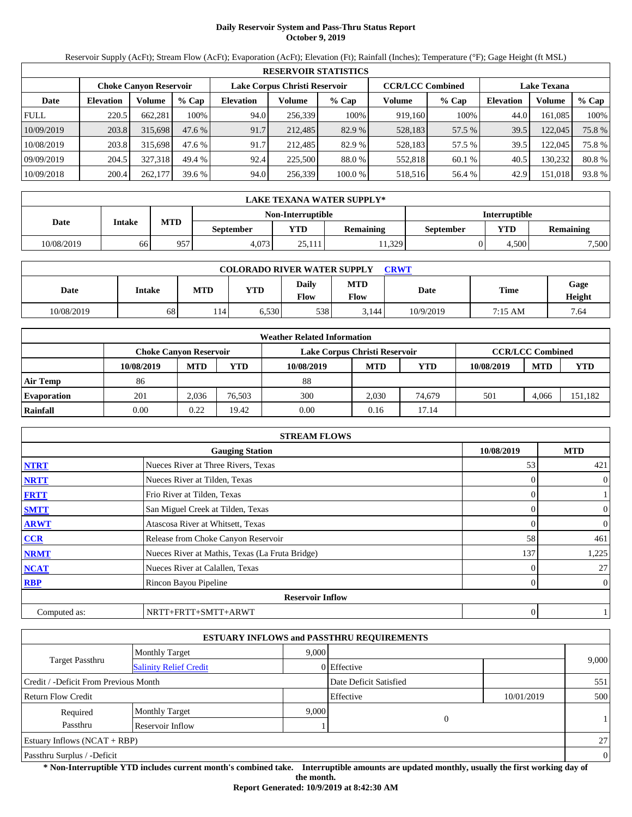# **Daily Reservoir System and Pass-Thru Status Report October 9, 2019**

Reservoir Supply (AcFt); Stream Flow (AcFt); Evaporation (AcFt); Elevation (Ft); Rainfall (Inches); Temperature (°F); Gage Height (ft MSL)

|             | <b>RESERVOIR STATISTICS</b> |                               |         |                  |                               |         |                         |         |                    |         |        |  |
|-------------|-----------------------------|-------------------------------|---------|------------------|-------------------------------|---------|-------------------------|---------|--------------------|---------|--------|--|
|             |                             | <b>Choke Canyon Reservoir</b> |         |                  | Lake Corpus Christi Reservoir |         | <b>CCR/LCC Combined</b> |         | <b>Lake Texana</b> |         |        |  |
| Date        | <b>Elevation</b>            | Volume                        | $%$ Cap | <b>Elevation</b> | Volume                        | $%$ Cap | Volume                  | $%$ Cap | <b>Elevation</b>   | Volume  | % Cap  |  |
| <b>FULL</b> | 220.5                       | 662.281                       | 100%    | 94.0             | 256.339                       | 100%    | 919.160                 | 100%    | 44.0               | 161.085 | 100%   |  |
| 10/09/2019  | 203.8                       | 315,698                       | 47.6%   | 91.7             | 212,485                       | 82.9 %  | 528,183                 | 57.5 %  | 39.5               | 122,045 | 75.8 % |  |
| 10/08/2019  | 203.8                       | 315,698                       | 47.6 %  | 91.7             | 212.485                       | 82.9 %  | 528,183                 | 57.5 %  | 39.5               | 122,045 | 75.8%  |  |
| 09/09/2019  | 204.5                       | 327.318                       | 49.4 %  | 92.4             | 225,500                       | 88.0 %  | 552.818                 | 60.1 %  | 40.5               | 130.232 | 80.8%  |  |
| 10/09/2018  | 200.4                       | 262,177                       | 39.6 %  | 94.0             | 256,339                       | 100.0 % | 518,516                 | 56.4 %  | 42.9               | 151,018 | 93.8%  |  |

|            | LAKE TEXANA WATER SUPPLY* |            |                  |                   |                  |                      |       |                  |  |  |  |
|------------|---------------------------|------------|------------------|-------------------|------------------|----------------------|-------|------------------|--|--|--|
|            |                           |            |                  | Non-Interruptible |                  | <b>Interruptible</b> |       |                  |  |  |  |
| Date       | Intake                    | <b>MTD</b> | <b>September</b> | <b>YTD</b>        | <b>Remaining</b> | September            | YTD   | <b>Remaining</b> |  |  |  |
| 10/08/2019 | 66                        | 957        | 4.073            | 25.111            | 1,329            |                      | 4.500 | 7,500            |  |  |  |

| <b>COLORADO RIVER WATER SUPPLY</b><br>CRWT |        |            |       |               |                           |           |         |                |  |  |
|--------------------------------------------|--------|------------|-------|---------------|---------------------------|-----------|---------|----------------|--|--|
| Date                                       | Intake | <b>MTD</b> | YTD   | Daily<br>Flow | <b>MTD</b><br><b>Flow</b> | Date      | Time    | Gage<br>Height |  |  |
| 10/08/2019                                 | 68     | 14         | 5.530 | 538           | 3.144                     | 10/9/2019 | 7:15 AM | 7.64           |  |  |

|                    | <b>Weather Related Information</b> |                        |        |                               |            |        |            |                         |         |  |  |  |
|--------------------|------------------------------------|------------------------|--------|-------------------------------|------------|--------|------------|-------------------------|---------|--|--|--|
|                    |                                    | Choke Canvon Reservoir |        | Lake Corpus Christi Reservoir |            |        |            | <b>CCR/LCC Combined</b> |         |  |  |  |
|                    | 10/08/2019                         | <b>MTD</b>             | YTD    | 10/08/2019                    | <b>MTD</b> | YTD    | 10/08/2019 | <b>MTD</b>              | YTD     |  |  |  |
| <b>Air Temp</b>    | 86                                 |                        |        | 88                            |            |        |            |                         |         |  |  |  |
| <b>Evaporation</b> | 201                                | 2,036                  | 76.503 | 300                           | 2.030      | 74.679 | 501        | 4.066                   | 151,182 |  |  |  |
| Rainfall           | 0.00                               | 0.22                   | 19.42  | 0.00                          | 0.16       | 17.14  |            |                         |         |  |  |  |

|              | <b>STREAM FLOWS</b>                             |                |                |
|--------------|-------------------------------------------------|----------------|----------------|
|              | <b>Gauging Station</b>                          | 10/08/2019     | <b>MTD</b>     |
| <b>NTRT</b>  | Nueces River at Three Rivers, Texas             | 53             | 421            |
| <b>NRTT</b>  | Nueces River at Tilden, Texas                   | $\Omega$       | $\overline{0}$ |
| <b>FRTT</b>  | Frio River at Tilden, Texas                     | 0              |                |
| <b>SMTT</b>  | San Miguel Creek at Tilden, Texas               | $\Omega$       | $\mathbf{0}$   |
| <b>ARWT</b>  | Atascosa River at Whitsett, Texas               | 0              | $\overline{0}$ |
| <b>CCR</b>   | Release from Choke Canyon Reservoir             | 58             | 461            |
| <b>NRMT</b>  | Nueces River at Mathis, Texas (La Fruta Bridge) | 137            | 1,225          |
| <b>NCAT</b>  | Nueces River at Calallen, Texas                 | 0              | 27             |
| <b>RBP</b>   | Rincon Bayou Pipeline                           | $\overline{0}$ | $\overline{0}$ |
|              | <b>Reservoir Inflow</b>                         |                |                |
| Computed as: | NRTT+FRTT+SMTT+ARWT                             | 0              |                |

|                                       |                               |       | <b>ESTUARY INFLOWS and PASSTHRU REQUIREMENTS</b> |            |          |
|---------------------------------------|-------------------------------|-------|--------------------------------------------------|------------|----------|
|                                       | <b>Monthly Target</b>         | 9,000 |                                                  |            |          |
| <b>Target Passthru</b>                | <b>Salinity Relief Credit</b> |       | 0 Effective                                      |            | 9,000    |
| Credit / -Deficit From Previous Month |                               |       | Date Deficit Satisfied                           |            | 551      |
| <b>Return Flow Credit</b>             |                               |       | Effective                                        | 10/01/2019 | 500      |
| Required                              | <b>Monthly Target</b>         | 9.000 |                                                  |            |          |
| Passthru                              | Reservoir Inflow              |       | 0                                                |            | 1        |
| Estuary Inflows $(NCAT + RBP)$        |                               |       |                                                  |            | 27       |
| Passthru Surplus / -Deficit           |                               |       |                                                  |            | $\theta$ |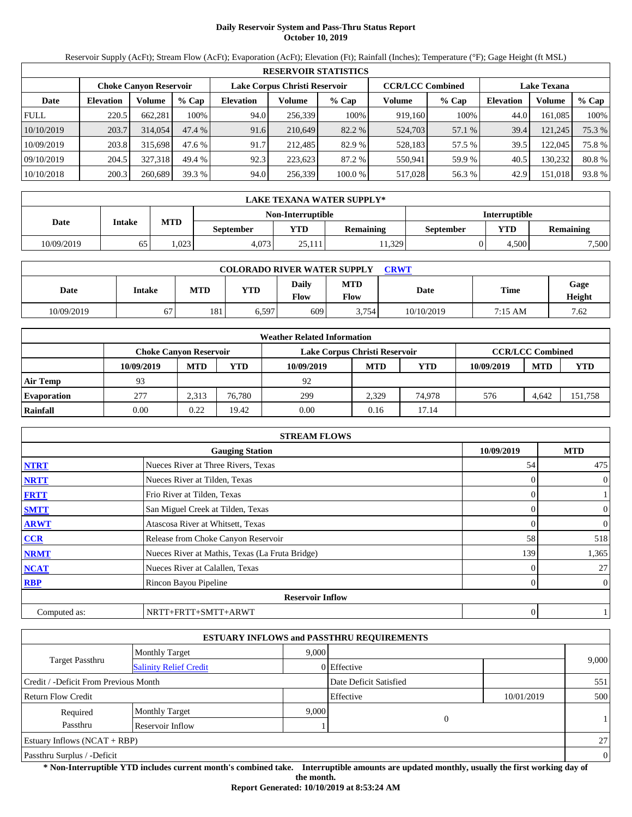# **Daily Reservoir System and Pass-Thru Status Report October 10, 2019**

Reservoir Supply (AcFt); Stream Flow (AcFt); Evaporation (AcFt); Elevation (Ft); Rainfall (Inches); Temperature (°F); Gage Height (ft MSL)

|             | <b>RESERVOIR STATISTICS</b> |                               |         |                  |                               |         |                         |         |                    |         |        |  |
|-------------|-----------------------------|-------------------------------|---------|------------------|-------------------------------|---------|-------------------------|---------|--------------------|---------|--------|--|
|             |                             | <b>Choke Canyon Reservoir</b> |         |                  | Lake Corpus Christi Reservoir |         | <b>CCR/LCC Combined</b> |         | <b>Lake Texana</b> |         |        |  |
| Date        | <b>Elevation</b>            | Volume                        | $%$ Cap | <b>Elevation</b> | Volume                        | $%$ Cap | Volume                  | $%$ Cap | <b>Elevation</b>   | Volume  | % Cap  |  |
| <b>FULL</b> | 220.5                       | 662.281                       | 100%    | 94.0             | 256.339                       | 100%    | 919,160                 | 100%    | 44.0               | 161.085 | 100%   |  |
| 10/10/2019  | 203.7                       | 314,054                       | 47.4%   | 91.6             | 210.649                       | 82.2 %  | 524,703                 | 57.1 %  | 39.4               | 121,245 | 75.3 % |  |
| 10/09/2019  | 203.8                       | 315,698                       | 47.6 %  | 91.7             | 212.485                       | 82.9 %  | 528,183                 | 57.5 %  | 39.5               | 122,045 | 75.8%  |  |
| 09/10/2019  | 204.5                       | 327.318                       | 49.4 %  | 92.3             | 223.623                       | 87.2 %  | 550.941                 | 59.9 %  | 40.5               | 130.232 | 80.8%  |  |
| 10/10/2018  | 200.3                       | 260,689                       | 39.3 %  | 94.0             | 256,339                       | 100.0 % | 517,028                 | 56.3 %  | 42.9               | 151,018 | 93.8%  |  |

|            | LAKE TEXANA WATER SUPPLY* |            |           |                   |                  |                      |            |                  |  |  |  |
|------------|---------------------------|------------|-----------|-------------------|------------------|----------------------|------------|------------------|--|--|--|
|            |                           |            |           | Non-Interruptible |                  | <b>Interruptible</b> |            |                  |  |  |  |
| Date       | Intake                    | <b>MTD</b> | September | <b>YTD</b>        | <b>Remaining</b> | September            | <b>YTD</b> | <b>Remaining</b> |  |  |  |
| 10/09/2019 | 65                        | .023       | 4.073     | 25.111            | 11.329           |                      | 4.500      | 7,500            |  |  |  |

| <b>COLORADO RIVER WATER SUPPLY</b><br>CRWT |        |     |            |                      |                    |            |         |                |  |  |
|--------------------------------------------|--------|-----|------------|----------------------|--------------------|------------|---------|----------------|--|--|
| Date                                       | Intake | MTD | <b>YTD</b> | <b>Daily</b><br>Flow | <b>MTD</b><br>Flow | Date       | Time    | Gage<br>Height |  |  |
| 10/09/2019                                 | 67     | 181 | 0.597      | 609                  | 3,754              | 10/10/2019 | 7:15 AM | 7.62           |  |  |

|                    | <b>Weather Related Information</b> |            |        |                               |            |            |            |                         |            |  |  |  |
|--------------------|------------------------------------|------------|--------|-------------------------------|------------|------------|------------|-------------------------|------------|--|--|--|
|                    | <b>Choke Canvon Reservoir</b>      |            |        | Lake Corpus Christi Reservoir |            |            |            | <b>CCR/LCC Combined</b> |            |  |  |  |
|                    | 10/09/2019                         | <b>MTD</b> | YTD    | 10/09/2019                    | <b>MTD</b> | <b>YTD</b> | 10/09/2019 | <b>MTD</b>              | <b>YTD</b> |  |  |  |
| <b>Air Temp</b>    | 93                                 |            |        | 92                            |            |            |            |                         |            |  |  |  |
| <b>Evaporation</b> | 277                                | 2.313      | 76.780 | 299                           | 2.329      | 74.978     | 576        | 4.642                   | 151,758    |  |  |  |
| Rainfall           | 0.00                               | 0.22       | 19.42  | 0.00                          | 0.16       | 17.14      |            |                         |            |  |  |  |

|              | <b>STREAM FLOWS</b>                             |                |                |
|--------------|-------------------------------------------------|----------------|----------------|
|              | <b>Gauging Station</b>                          | 10/09/2019     | <b>MTD</b>     |
| <b>NTRT</b>  | Nueces River at Three Rivers, Texas             | 54             | 475            |
| <b>NRTT</b>  | Nueces River at Tilden, Texas                   | $\Omega$       | $\overline{0}$ |
| <b>FRTT</b>  | Frio River at Tilden, Texas                     | 0              |                |
| <b>SMTT</b>  | San Miguel Creek at Tilden, Texas               | $\Omega$       | $\mathbf{0}$   |
| <b>ARWT</b>  | Atascosa River at Whitsett, Texas               | 0              | $\overline{0}$ |
| <b>CCR</b>   | Release from Choke Canyon Reservoir             | 58             | 518            |
| <b>NRMT</b>  | Nueces River at Mathis, Texas (La Fruta Bridge) | 139            | 1,365          |
| <b>NCAT</b>  | Nueces River at Calallen, Texas                 | 0              | 27             |
| <b>RBP</b>   | Rincon Bayou Pipeline                           | $\overline{0}$ | $\overline{0}$ |
|              | <b>Reservoir Inflow</b>                         |                |                |
| Computed as: | NRTT+FRTT+SMTT+ARWT                             | 0              |                |

|                                       |                               |       | <b>ESTUARY INFLOWS and PASSTHRU REQUIREMENTS</b> |            |          |
|---------------------------------------|-------------------------------|-------|--------------------------------------------------|------------|----------|
|                                       | <b>Monthly Target</b>         | 9.000 |                                                  |            |          |
| <b>Target Passthru</b>                | <b>Salinity Relief Credit</b> |       | 0 Effective                                      |            | 9,000    |
| Credit / -Deficit From Previous Month |                               |       | Date Deficit Satisfied                           |            | 551      |
| <b>Return Flow Credit</b>             |                               |       | Effective                                        | 10/01/2019 | 500      |
| Required                              | <b>Monthly Target</b>         | 9,000 |                                                  |            |          |
| Passthru                              | Reservoir Inflow              |       | $\mathbf{0}$                                     |            |          |
| Estuary Inflows $(NCAT + RBP)$        |                               |       |                                                  |            | 27       |
| Passthru Surplus / -Deficit           |                               |       |                                                  |            | $\theta$ |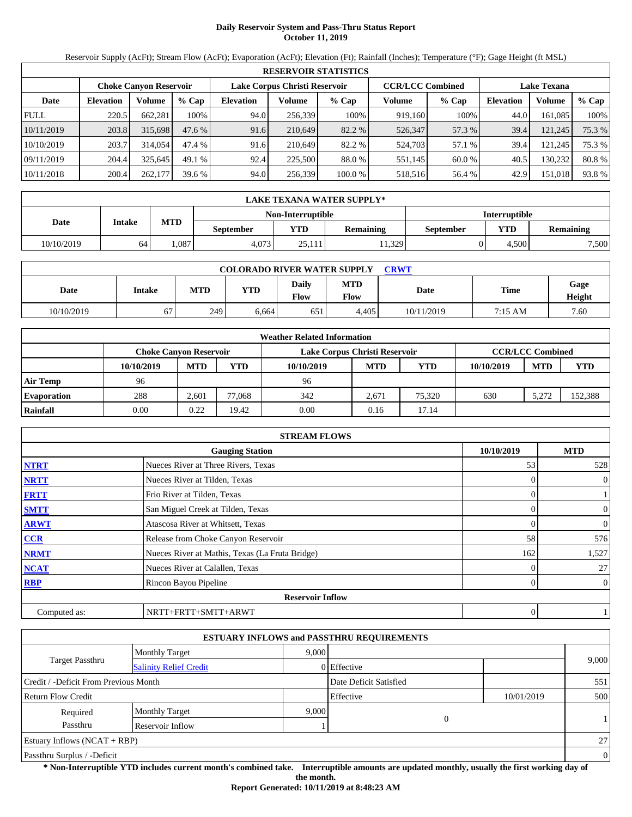# **Daily Reservoir System and Pass-Thru Status Report October 11, 2019**

Reservoir Supply (AcFt); Stream Flow (AcFt); Evaporation (AcFt); Elevation (Ft); Rainfall (Inches); Temperature (°F); Gage Height (ft MSL)

|                                                                                                                 | <b>RESERVOIR STATISTICS</b> |         |         |                  |         |         |         |         |                  |         |        |  |  |
|-----------------------------------------------------------------------------------------------------------------|-----------------------------|---------|---------|------------------|---------|---------|---------|---------|------------------|---------|--------|--|--|
| <b>CCR/LCC Combined</b><br>Lake Corpus Christi Reservoir<br><b>Choke Canyon Reservoir</b><br><b>Lake Texana</b> |                             |         |         |                  |         |         |         |         |                  |         |        |  |  |
| Date                                                                                                            | <b>Elevation</b>            | Volume  | $%$ Cap | <b>Elevation</b> | Volume  | $%$ Cap | Volume  | $%$ Cap | <b>Elevation</b> | Volume  | % Cap  |  |  |
| <b>FULL</b>                                                                                                     | 220.5                       | 662,281 | 100%    | 94.0             | 256,339 | 100%    | 919,160 | 100%    | 44.0             | 161.085 | 100%   |  |  |
| 10/11/2019                                                                                                      | 203.8                       | 315,698 | 47.6 %  | 91.6             | 210.649 | 82.2 %  | 526,347 | 57.3 %  | 39.4             | 121,245 | 75.3 % |  |  |
| 10/10/2019                                                                                                      | 203.7                       | 314,054 | 47.4 %  | 91.6             | 210.649 | 82.2 %  | 524,703 | 57.1 %  | 39.4             | 121.245 | 75.3 % |  |  |
| 09/11/2019                                                                                                      | 204.4                       | 325.645 | 49.1 %  | 92.4             | 225,500 | 88.0 %  | 551,145 | 60.0 %  | 40.5             | 130.232 | 80.8%  |  |  |
| 10/11/2018                                                                                                      | 200.4                       | 262,177 | 39.6%   | 94.0             | 256,339 | 100.0 % | 518,516 | 56.4 %  | 42.9             | 151,018 | 93.8%  |  |  |

|            | LAKE TEXANA WATER SUPPLY* |            |                  |                   |                      |           |            |           |  |  |  |
|------------|---------------------------|------------|------------------|-------------------|----------------------|-----------|------------|-----------|--|--|--|
|            |                           |            |                  | Non-Interruptible | <b>Interruptible</b> |           |            |           |  |  |  |
| Date       | Intake                    | <b>MTD</b> | <b>September</b> | <b>YTD</b>        | <b>Remaining</b>     | September | <b>YTD</b> | Remaining |  |  |  |
| 10/10/2019 | 64                        | .087       | 4.073            | 25.111            | 1,329                |           | 4.500      | 7,500     |  |  |  |

| <b>COLORADO RIVER WATER SUPPLY</b><br><b>CRWT</b> |        |            |            |                      |                    |            |         |                |  |  |
|---------------------------------------------------|--------|------------|------------|----------------------|--------------------|------------|---------|----------------|--|--|
| Date                                              | Intake | <b>MTD</b> | <b>YTD</b> | <b>Daily</b><br>Flow | <b>MTD</b><br>Flow | Date       | Time    | Gage<br>Height |  |  |
| 10/10/2019                                        | 67     | 249        | 6.664      | 651                  | 4.405              | 10/11/2019 | 7:15 AM | 7.60           |  |  |

|                    |                               |            |        | <b>Weather Related Information</b> |            |            |            |                         |            |
|--------------------|-------------------------------|------------|--------|------------------------------------|------------|------------|------------|-------------------------|------------|
|                    | <b>Choke Canvon Reservoir</b> |            |        | Lake Corpus Christi Reservoir      |            |            |            | <b>CCR/LCC Combined</b> |            |
|                    | 10/10/2019                    | <b>MTD</b> | YTD    | 10/10/2019                         | <b>MTD</b> | <b>YTD</b> | 10/10/2019 | <b>MTD</b>              | <b>YTD</b> |
| <b>Air Temp</b>    | 96                            |            |        | 96                                 |            |            |            |                         |            |
| <b>Evaporation</b> | 288                           | 2.601      | 77.068 | 342                                | 2.671      | 75.320     | 630        | 5.272                   | 152,388    |
| Rainfall           | 0.00                          | 0.22       | 19.42  | 0.00                               | 0.16       | 17.14      |            |                         |            |

|              | <b>STREAM FLOWS</b>                             |            |                |                |
|--------------|-------------------------------------------------|------------|----------------|----------------|
|              | <b>Gauging Station</b>                          | 10/10/2019 |                | <b>MTD</b>     |
| <b>NTRT</b>  | Nueces River at Three Rivers, Texas             |            | 53             | 528            |
| <b>NRTT</b>  | Nueces River at Tilden, Texas                   |            | $\Omega$       | $\overline{0}$ |
| <b>FRTT</b>  | Frio River at Tilden, Texas                     |            | 0              |                |
| <b>SMTT</b>  | San Miguel Creek at Tilden, Texas               |            | $\Omega$       | $\mathbf{0}$   |
| <b>ARWT</b>  | Atascosa River at Whitsett, Texas               |            | 0              | $\overline{0}$ |
| <b>CCR</b>   | Release from Choke Canyon Reservoir             |            | 58             | 576            |
| <b>NRMT</b>  | Nueces River at Mathis, Texas (La Fruta Bridge) |            | 162            | 1,527          |
| <b>NCAT</b>  | Nueces River at Calallen, Texas                 |            | 0              | 27             |
| <b>RBP</b>   | Rincon Bayou Pipeline                           |            | $\overline{0}$ | $\overline{0}$ |
|              | <b>Reservoir Inflow</b>                         |            |                |                |
| Computed as: | NRTT+FRTT+SMTT+ARWT                             |            | 0              |                |

|                                       |                               |       | <b>ESTUARY INFLOWS and PASSTHRU REQUIREMENTS</b> |            |          |
|---------------------------------------|-------------------------------|-------|--------------------------------------------------|------------|----------|
|                                       | <b>Monthly Target</b>         | 9.000 |                                                  |            |          |
| <b>Target Passthru</b>                | <b>Salinity Relief Credit</b> |       | 0 Effective                                      |            | 9,000    |
| Credit / -Deficit From Previous Month |                               |       | Date Deficit Satisfied                           |            | 551      |
| <b>Return Flow Credit</b>             |                               |       | Effective                                        | 10/01/2019 | 500      |
| Required                              | <b>Monthly Target</b>         | 9,000 |                                                  |            |          |
| Passthru                              | Reservoir Inflow              |       | $\mathbf{0}$                                     |            |          |
| Estuary Inflows $(NCAT + RBP)$        |                               |       |                                                  |            | 27       |
| Passthru Surplus / -Deficit           |                               |       |                                                  |            | $\theta$ |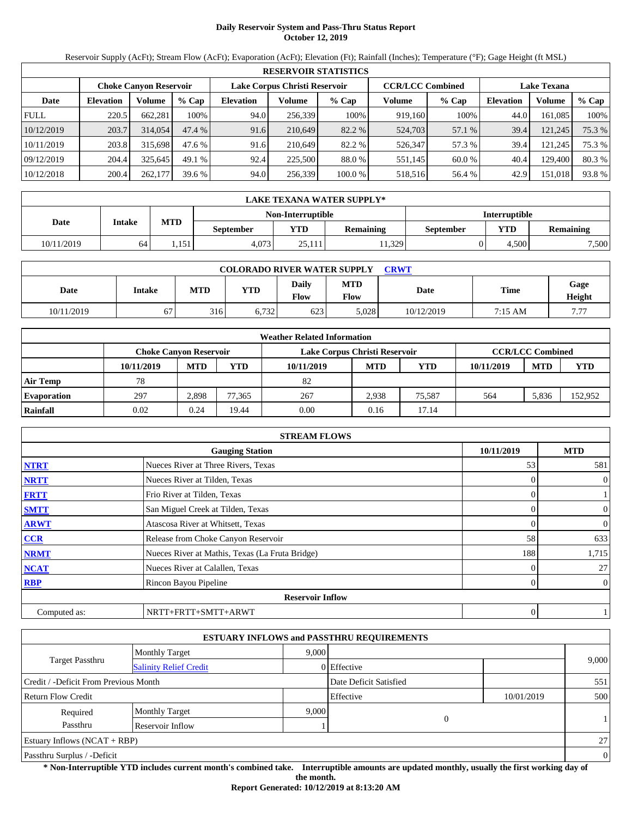# **Daily Reservoir System and Pass-Thru Status Report October 12, 2019**

Reservoir Supply (AcFt); Stream Flow (AcFt); Evaporation (AcFt); Elevation (Ft); Rainfall (Inches); Temperature (°F); Gage Height (ft MSL)

|             | <b>RESERVOIR STATISTICS</b> |                               |         |                               |         |         |                         |        |                    |         |        |  |
|-------------|-----------------------------|-------------------------------|---------|-------------------------------|---------|---------|-------------------------|--------|--------------------|---------|--------|--|
|             |                             | <b>Choke Canyon Reservoir</b> |         | Lake Corpus Christi Reservoir |         |         | <b>CCR/LCC Combined</b> |        | <b>Lake Texana</b> |         |        |  |
| Date        | <b>Elevation</b>            | Volume                        | $%$ Cap | <b>Elevation</b>              | Volume  | $%$ Cap | Volume                  | % Cap  | <b>Elevation</b>   | Volume  | % Cap  |  |
| <b>FULL</b> | 220.5                       | 662,281                       | 100%    | 94.0                          | 256.339 | 100%    | 919,160                 | 100%   | 44.0               | 161,085 | 100%   |  |
| 10/12/2019  | 203.7                       | 314,054                       | 47.4 %  | 91.6                          | 210.649 | 82.2 %  | 524,703                 | 57.1 % | 39.4               | 121,245 | 75.3 % |  |
| 10/11/2019  | 203.8                       | 315,698                       | 47.6 %  | 91.6                          | 210.649 | 82.2 %  | 526,347                 | 57.3 % | 39.4               | 121.245 | 75.3 % |  |
| 09/12/2019  | 204.4                       | 325.645                       | 49.1%   | 92.4                          | 225,500 | 88.0 %  | 551.145                 | 60.0 % | 40.4               | 129,400 | 80.3 % |  |
| 10/12/2018  | 200.4                       | 262,177                       | 39.6%   | 94.0                          | 256,339 | 100.0 % | 518,516                 | 56.4 % | 42.9               | 151,018 | 93.8%  |  |

|            | LAKE TEXANA WATER SUPPLY* |            |                   |                      |                  |           |            |           |  |  |  |
|------------|---------------------------|------------|-------------------|----------------------|------------------|-----------|------------|-----------|--|--|--|
|            |                           |            | Non-Interruptible | <b>Interruptible</b> |                  |           |            |           |  |  |  |
| Date       | Intake                    | <b>MTD</b> | <b>September</b>  | <b>YTD</b>           | <b>Remaining</b> | September | <b>YTD</b> | Remaining |  |  |  |
| 10/11/2019 | 64                        | 1.151      | 4.073             | 25.111               | 1,329            |           | 4.500      | 7,500     |  |  |  |

| <b>COLORADO RIVER WATER SUPPLY</b><br><b>CRWT</b> |        |            |            |                      |                    |            |         |                |  |  |
|---------------------------------------------------|--------|------------|------------|----------------------|--------------------|------------|---------|----------------|--|--|
| Date                                              | Intake | <b>MTD</b> | <b>YTD</b> | <b>Daily</b><br>Flow | <b>MTD</b><br>Flow | Date       | Time    | Gage<br>Height |  |  |
| 10/11/2019                                        | 67     | 316        | 6.732      | 623                  | 5,028              | 10/12/2019 | 7:15 AM | 7 77           |  |  |

|                    |                               |            |        | <b>Weather Related Information</b> |            |            |            |                         |            |
|--------------------|-------------------------------|------------|--------|------------------------------------|------------|------------|------------|-------------------------|------------|
|                    | <b>Choke Canvon Reservoir</b> |            |        | Lake Corpus Christi Reservoir      |            |            |            | <b>CCR/LCC Combined</b> |            |
|                    | 10/11/2019                    | <b>MTD</b> | YTD    | 10/11/2019                         | <b>MTD</b> | <b>YTD</b> | 10/11/2019 | <b>MTD</b>              | <b>YTD</b> |
| <b>Air Temp</b>    | 78                            |            |        | 82                                 |            |            |            |                         |            |
| <b>Evaporation</b> | 297                           | 2.898      | 77.365 | 267                                | 2.938      | 75.587     | 564        | 5.836                   | 152.952    |
| Rainfall           | 0.02                          | 0.24       | 19.44  | 0.00                               | 0.16       | 17.14      |            |                         |            |

|              | <b>STREAM FLOWS</b>                             |                |                |
|--------------|-------------------------------------------------|----------------|----------------|
|              | <b>Gauging Station</b>                          | 10/11/2019     | <b>MTD</b>     |
| <b>NTRT</b>  | Nueces River at Three Rivers, Texas             | 53             | 581            |
| <b>NRTT</b>  | Nueces River at Tilden, Texas                   | $\Omega$       | $\overline{0}$ |
| <b>FRTT</b>  | Frio River at Tilden, Texas                     | 0              |                |
| <b>SMTT</b>  | San Miguel Creek at Tilden, Texas               | $\Omega$       | $\mathbf{0}$   |
| <b>ARWT</b>  | Atascosa River at Whitsett, Texas               | 0              | $\overline{0}$ |
| <b>CCR</b>   | Release from Choke Canyon Reservoir             | 58             | 633            |
| <b>NRMT</b>  | Nueces River at Mathis, Texas (La Fruta Bridge) | 188            | 1,715          |
| <b>NCAT</b>  | Nueces River at Calallen, Texas                 | 0              | 27             |
| <b>RBP</b>   | Rincon Bayou Pipeline                           | $\overline{0}$ | $\overline{0}$ |
|              | <b>Reservoir Inflow</b>                         |                |                |
| Computed as: | NRTT+FRTT+SMTT+ARWT                             | 0              |                |

|                                       |                               |       | <b>ESTUARY INFLOWS and PASSTHRU REQUIREMENTS</b> |            |                |
|---------------------------------------|-------------------------------|-------|--------------------------------------------------|------------|----------------|
|                                       | <b>Monthly Target</b>         | 9.000 |                                                  |            |                |
| Target Passthru                       | <b>Salinity Relief Credit</b> |       | 0 Effective                                      |            | 9,000          |
| Credit / -Deficit From Previous Month |                               |       | Date Deficit Satisfied                           |            | 551            |
| <b>Return Flow Credit</b>             |                               |       | Effective                                        | 10/01/2019 | 500            |
| Required                              | <b>Monthly Target</b>         | 9,000 |                                                  |            |                |
| Passthru                              | Reservoir Inflow              |       | $\overline{0}$                                   |            |                |
| Estuary Inflows $(NCAT + RBP)$        |                               |       |                                                  |            | 27             |
| Passthru Surplus / -Deficit           |                               |       |                                                  |            | $\overline{0}$ |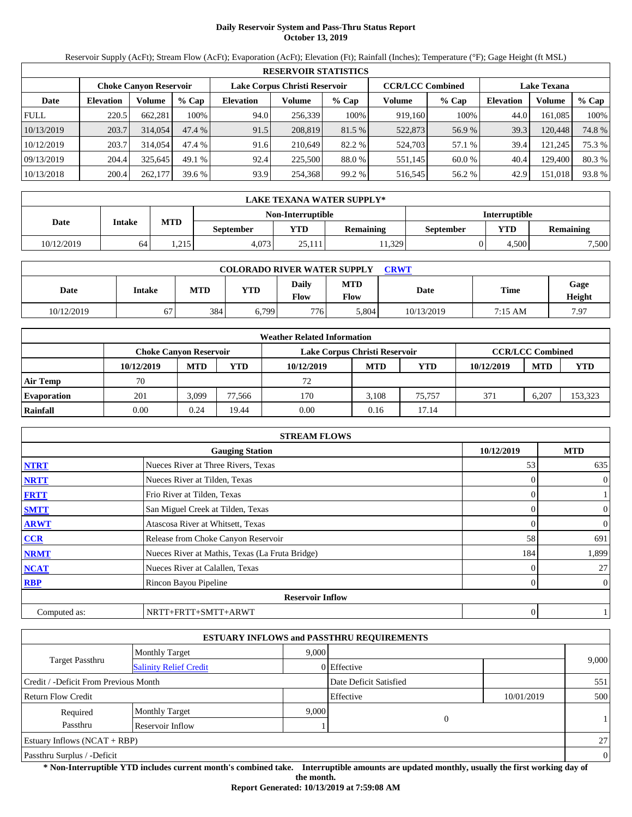# **Daily Reservoir System and Pass-Thru Status Report October 13, 2019**

Reservoir Supply (AcFt); Stream Flow (AcFt); Evaporation (AcFt); Elevation (Ft); Rainfall (Inches); Temperature (°F); Gage Height (ft MSL)

|             | <b>RESERVOIR STATISTICS</b>                                                                                     |         |         |                  |         |         |         |         |                  |         |        |  |
|-------------|-----------------------------------------------------------------------------------------------------------------|---------|---------|------------------|---------|---------|---------|---------|------------------|---------|--------|--|
|             | <b>CCR/LCC Combined</b><br>Lake Corpus Christi Reservoir<br><b>Lake Texana</b><br><b>Choke Canvon Reservoir</b> |         |         |                  |         |         |         |         |                  |         |        |  |
| Date        | <b>Elevation</b>                                                                                                | Volume  | $%$ Cap | <b>Elevation</b> | Volume  | $%$ Cap | Volume  | $%$ Cap | <b>Elevation</b> | Volume  | % Cap  |  |
| <b>FULL</b> | 220.5                                                                                                           | 662,281 | 100%    | 94.0             | 256,339 | 100%    | 919,160 | 100%    | 44.0             | 161,085 | 100%   |  |
| 10/13/2019  | 203.7                                                                                                           | 314,054 | 47.4 %  | 91.5             | 208,819 | 81.5 %  | 522,873 | 56.9 %  | 39.3             | 120,448 | 74.8%  |  |
| 10/12/2019  | 203.7                                                                                                           | 314,054 | 47.4 %  | 91.6             | 210.649 | 82.2 %  | 524,703 | 57.1 %  | 39.4             | 121.245 | 75.3 % |  |
| 09/13/2019  | 204.4                                                                                                           | 325.645 | 49.1 %  | 92.4             | 225,500 | 88.0 %  | 551,145 | 60.0 %  | 40.4             | 129,400 | 80.3 % |  |
| 10/13/2018  | 200.4                                                                                                           | 262,177 | 39.6%   | 93.9             | 254,368 | 99.2 %  | 516,545 | 56.2 %  | 42.9             | 151,018 | 93.8%  |  |

|            | LAKE TEXANA WATER SUPPLY*                 |            |                  |            |                  |           |            |                  |  |
|------------|-------------------------------------------|------------|------------------|------------|------------------|-----------|------------|------------------|--|
|            | Non-Interruptible<br><b>Interruptible</b> |            |                  |            |                  |           |            |                  |  |
| Date       | Intake                                    | <b>MTD</b> | <b>September</b> | <b>YTD</b> | <b>Remaining</b> | September | <b>YTD</b> | <b>Remaining</b> |  |
| 10/12/2019 | 64                                        | 1.215      | 4.073            | 25.111     | .1,329           |           | 4.500      | 7.500            |  |

| <b>COLORADO RIVER WATER SUPPLY</b><br><b>CRWT</b> |        |            |            |                      |                    |            |         |                |  |
|---------------------------------------------------|--------|------------|------------|----------------------|--------------------|------------|---------|----------------|--|
| Date                                              | Intake | <b>MTD</b> | <b>YTD</b> | <b>Daily</b><br>Flow | <b>MTD</b><br>Flow | Date       | Time    | Gage<br>Height |  |
| 10/12/2019                                        | 67     | 384        | 6.799      | 776 <sub>1</sub>     | 5.804              | 10/13/2019 | 7:15 AM | 7.97           |  |

|                    |                               |            |        | <b>Weather Related Information</b> |            |            |            |                         |            |
|--------------------|-------------------------------|------------|--------|------------------------------------|------------|------------|------------|-------------------------|------------|
|                    | <b>Choke Canvon Reservoir</b> |            |        | Lake Corpus Christi Reservoir      |            |            |            | <b>CCR/LCC Combined</b> |            |
|                    | 10/12/2019                    | <b>MTD</b> | YTD    | 10/12/2019                         | <b>MTD</b> | <b>YTD</b> | 10/12/2019 | <b>MTD</b>              | <b>YTD</b> |
| <b>Air Temp</b>    | 70                            |            |        | 72                                 |            |            |            |                         |            |
| <b>Evaporation</b> | 201                           | 3.099      | 77.566 | 170                                | 3.108      | 75.757     | 371        | 6.207                   | 153,323    |
| Rainfall           | 0.00                          | 0.24       | 19.44  | 0.00                               | 0.16       | 17.14      |            |                         |            |

|              | <b>STREAM FLOWS</b>                             |                |                |
|--------------|-------------------------------------------------|----------------|----------------|
|              | <b>Gauging Station</b>                          | 10/12/2019     | <b>MTD</b>     |
| <b>NTRT</b>  | Nueces River at Three Rivers, Texas             | 53             | 635            |
| <b>NRTT</b>  | Nueces River at Tilden, Texas                   | $\Omega$       | $\overline{0}$ |
| <b>FRTT</b>  | Frio River at Tilden, Texas                     | 0              |                |
| <b>SMTT</b>  | San Miguel Creek at Tilden, Texas               | $\Omega$       | $\mathbf{0}$   |
| <b>ARWT</b>  | Atascosa River at Whitsett, Texas               | 0              | $\overline{0}$ |
| <b>CCR</b>   | Release from Choke Canyon Reservoir             | 58             | 691            |
| <b>NRMT</b>  | Nueces River at Mathis, Texas (La Fruta Bridge) | 184            | 1,899          |
| <b>NCAT</b>  | Nueces River at Calallen, Texas                 | 0              | 27             |
| <b>RBP</b>   | Rincon Bayou Pipeline                           | $\overline{0}$ | $\overline{0}$ |
|              | <b>Reservoir Inflow</b>                         |                |                |
| Computed as: | NRTT+FRTT+SMTT+ARWT                             | 0              |                |

|                                       |                               |       | <b>ESTUARY INFLOWS and PASSTHRU REQUIREMENTS</b> |            |                |
|---------------------------------------|-------------------------------|-------|--------------------------------------------------|------------|----------------|
|                                       | <b>Monthly Target</b>         | 9.000 |                                                  |            |                |
| Target Passthru                       | <b>Salinity Relief Credit</b> |       | 0 Effective                                      |            | 9,000          |
| Credit / -Deficit From Previous Month |                               |       | Date Deficit Satisfied                           |            | 551            |
| <b>Return Flow Credit</b>             |                               |       | Effective                                        | 10/01/2019 | 500            |
| Required                              | <b>Monthly Target</b>         | 9,000 |                                                  |            |                |
| Passthru                              | Reservoir Inflow              |       | $\overline{0}$                                   |            |                |
| Estuary Inflows $(NCAT + RBP)$        |                               |       |                                                  |            | 27             |
| Passthru Surplus / -Deficit           |                               |       |                                                  |            | $\overline{0}$ |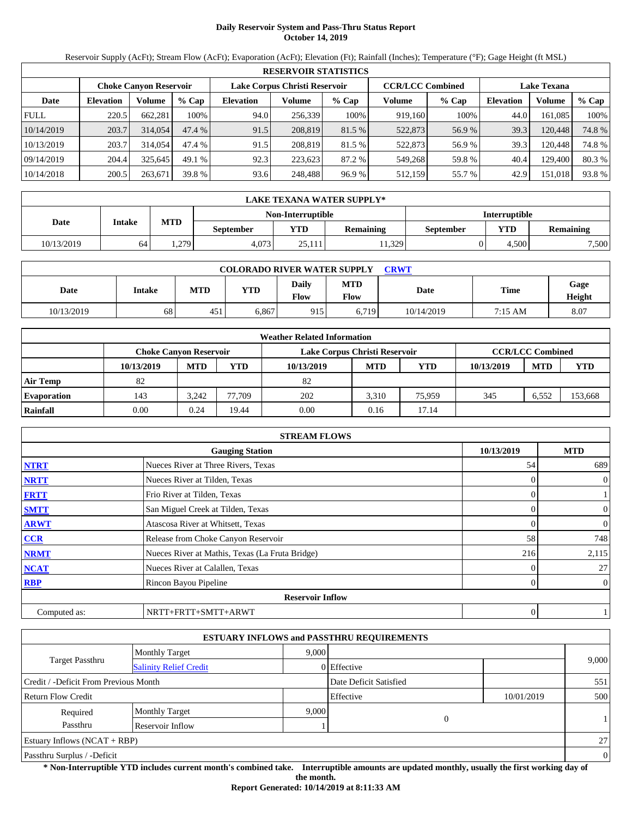# **Daily Reservoir System and Pass-Thru Status Report October 14, 2019**

Reservoir Supply (AcFt); Stream Flow (AcFt); Evaporation (AcFt); Elevation (Ft); Rainfall (Inches); Temperature (°F); Gage Height (ft MSL)

|             | <b>RESERVOIR STATISTICS</b>                                                                                     |         |         |                  |         |         |         |         |                  |         |        |  |
|-------------|-----------------------------------------------------------------------------------------------------------------|---------|---------|------------------|---------|---------|---------|---------|------------------|---------|--------|--|
|             | <b>CCR/LCC Combined</b><br>Lake Corpus Christi Reservoir<br><b>Lake Texana</b><br><b>Choke Canyon Reservoir</b> |         |         |                  |         |         |         |         |                  |         |        |  |
| Date        | <b>Elevation</b>                                                                                                | Volume  | $%$ Cap | <b>Elevation</b> | Volume  | $%$ Cap | Volume  | $%$ Cap | <b>Elevation</b> | Volume  | % Cap  |  |
| <b>FULL</b> | 220.5                                                                                                           | 662.281 | 100%    | 94.0             | 256,339 | 100%    | 919,160 | 100%    | 44.0             | 161.085 | 100%   |  |
| 10/14/2019  | 203.7                                                                                                           | 314,054 | 47.4%   | 91.5             | 208,819 | 81.5 %  | 522,873 | 56.9%   | 39.3             | 120.448 | 74.8%  |  |
| 10/13/2019  | 203.7                                                                                                           | 314,054 | 47.4 %  | 91.5             | 208.819 | 81.5 %  | 522,873 | 56.9%   | 39.3             | 120.448 | 74.8 % |  |
| 09/14/2019  | 204.4                                                                                                           | 325.645 | 49.1 %  | 92.3             | 223.623 | 87.2 %  | 549,268 | 59.8%   | 40.4             | 129,400 | 80.3%  |  |
| 10/14/2018  | 200.5                                                                                                           | 263,671 | 39.8 %  | 93.6             | 248,488 | 96.9 %  | 512,159 | 55.7 %  | 42.9             | 151,018 | 93.8%  |  |

|            | <b>LAKE TEXANA WATER SUPPLY*</b> |                                           |                  |                   |                  |                  |            |                  |  |  |
|------------|----------------------------------|-------------------------------------------|------------------|-------------------|------------------|------------------|------------|------------------|--|--|
|            |                                  | Non-Interruptible<br><b>Interruptible</b> |                  |                   |                  |                  |            |                  |  |  |
| Date       | Intake                           | <b>MTD</b>                                | <b>September</b> | $\mathbf{v_{TD}}$ | <b>Remaining</b> | <b>September</b> | <b>YTD</b> | <b>Remaining</b> |  |  |
| 10/13/2019 | 64                               | . 279                                     | 4.073            | 25.111            | 11.329           |                  | 4.500      | 7,500            |  |  |

| <b>COLORADO RIVER WATER SUPPLY</b><br><b>CRWT</b> |        |            |            |                      |                    |            |         |                |  |
|---------------------------------------------------|--------|------------|------------|----------------------|--------------------|------------|---------|----------------|--|
| Date                                              | Intake | <b>MTD</b> | <b>YTD</b> | <b>Daily</b><br>Flow | <b>MTD</b><br>Flow | Date       | Time    | Gage<br>Height |  |
| 10/13/2019                                        | 68     | 451        | 5.867      | 915                  | 6,719              | 10/14/2019 | 7:15 AM | 8.07           |  |

|                    |                               |            |        | <b>Weather Related Information</b> |            |            |            |                         |            |
|--------------------|-------------------------------|------------|--------|------------------------------------|------------|------------|------------|-------------------------|------------|
|                    | <b>Choke Canvon Reservoir</b> |            |        | Lake Corpus Christi Reservoir      |            |            |            | <b>CCR/LCC Combined</b> |            |
|                    | 10/13/2019                    | <b>MTD</b> | YTD    | 10/13/2019                         | <b>MTD</b> | <b>YTD</b> | 10/13/2019 | <b>MTD</b>              | <b>YTD</b> |
| <b>Air Temp</b>    | 82                            |            |        | 82                                 |            |            |            |                         |            |
| <b>Evaporation</b> | 143                           | 3.242      | 77.709 | 202                                | 3.310      | 75,959     | 345        | 6.552                   | 153,668    |
| Rainfall           | 0.00                          | 0.24       | 19.44  | 0.00                               | 0.16       | 17.14      |            |                         |            |

|              | <b>STREAM FLOWS</b>                             |                |                |
|--------------|-------------------------------------------------|----------------|----------------|
|              | <b>Gauging Station</b>                          | 10/13/2019     | <b>MTD</b>     |
| <b>NTRT</b>  | Nueces River at Three Rivers, Texas             | 54             | 689            |
| <b>NRTT</b>  | Nueces River at Tilden, Texas                   | $\Omega$       | $\overline{0}$ |
| <b>FRTT</b>  | Frio River at Tilden, Texas                     | 0              |                |
| <b>SMTT</b>  | San Miguel Creek at Tilden, Texas               | $\Omega$       | $\mathbf{0}$   |
| <b>ARWT</b>  | Atascosa River at Whitsett, Texas               | 0              | $\overline{0}$ |
| <b>CCR</b>   | Release from Choke Canyon Reservoir             | 58             | 748            |
| <b>NRMT</b>  | Nueces River at Mathis, Texas (La Fruta Bridge) | 216            | 2,115          |
| <b>NCAT</b>  | Nueces River at Calallen, Texas                 |                | 27             |
| <b>RBP</b>   | Rincon Bayou Pipeline                           | $\overline{0}$ | $\overline{0}$ |
|              | <b>Reservoir Inflow</b>                         |                |                |
| Computed as: | NRTT+FRTT+SMTT+ARWT                             | 0              |                |

|                                       |                               |       | <b>ESTUARY INFLOWS and PASSTHRU REQUIREMENTS</b> |            |          |
|---------------------------------------|-------------------------------|-------|--------------------------------------------------|------------|----------|
|                                       | <b>Monthly Target</b>         | 9.000 |                                                  |            |          |
| <b>Target Passthru</b>                | <b>Salinity Relief Credit</b> |       | 0 Effective                                      |            | 9,000    |
| Credit / -Deficit From Previous Month |                               |       | Date Deficit Satisfied                           |            | 551      |
| <b>Return Flow Credit</b>             |                               |       | Effective                                        | 10/01/2019 | 500      |
| Required                              | <b>Monthly Target</b>         | 9,000 |                                                  |            |          |
| Passthru                              | Reservoir Inflow              |       | $\mathbf{0}$                                     |            |          |
| Estuary Inflows $(NCAT + RBP)$        |                               |       |                                                  |            | 27       |
| Passthru Surplus / -Deficit           |                               |       |                                                  |            | $\theta$ |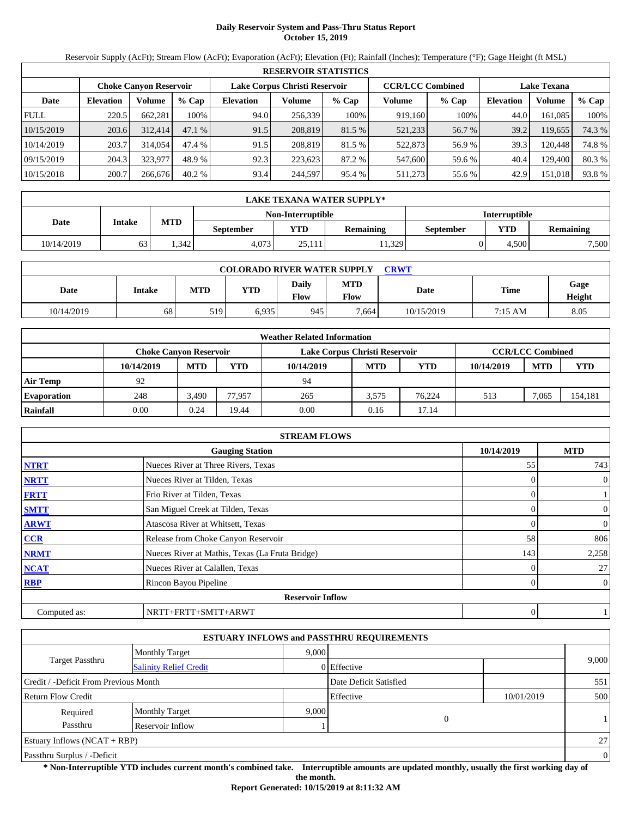# **Daily Reservoir System and Pass-Thru Status Report October 15, 2019**

Reservoir Supply (AcFt); Stream Flow (AcFt); Evaporation (AcFt); Elevation (Ft); Rainfall (Inches); Temperature (°F); Gage Height (ft MSL)

|             | <b>RESERVOIR STATISTICS</b> |                               |          |                               |         |         |                         |         |                    |         |        |  |
|-------------|-----------------------------|-------------------------------|----------|-------------------------------|---------|---------|-------------------------|---------|--------------------|---------|--------|--|
|             |                             | <b>Choke Canyon Reservoir</b> |          | Lake Corpus Christi Reservoir |         |         | <b>CCR/LCC Combined</b> |         | <b>Lake Texana</b> |         |        |  |
| Date        | <b>Elevation</b>            | Volume                        | $%$ Cap  | <b>Elevation</b>              | Volume  | $%$ Cap | Volume                  | $%$ Cap | <b>Elevation</b>   | Volume  | % Cap  |  |
| <b>FULL</b> | 220.5                       | 662.281                       | 100%     | 94.0                          | 256,339 | 100%    | 919,160                 | 100%    | 44.0               | 161.085 | 100%   |  |
| 10/15/2019  | 203.6                       | 312,414                       | 47.1%    | 91.5                          | 208,819 | 81.5 %  | 521,233                 | 56.7 %  | 39.2               | 119.655 | 74.3 % |  |
| 10/14/2019  | 203.7                       | 314,054                       | 47.4 %   | 91.5                          | 208,819 | 81.5 %  | 522,873                 | 56.9%   | 39.3               | 120.448 | 74.8%  |  |
| 09/15/2019  | 204.3                       | 323.977                       | 48.9 %   | 92.3                          | 223.623 | 87.2 %  | 547,600                 | 59.6 %  | 40.4               | 129.400 | 80.3%  |  |
| 10/15/2018  | 200.7                       | 266,676                       | $40.2\%$ | 93.4                          | 244,597 | 95.4 %  | 511,273                 | 55.6 %  | 42.9               | 151,018 | 93.8%  |  |

|            | <b>LAKE TEXANA WATER SUPPLY*</b> |                                           |                  |                 |                  |                  |            |                  |  |  |  |
|------------|----------------------------------|-------------------------------------------|------------------|-----------------|------------------|------------------|------------|------------------|--|--|--|
|            |                                  | Non-Interruptible<br><b>Interruptible</b> |                  |                 |                  |                  |            |                  |  |  |  |
| Date       | Intake                           | <b>MTD</b>                                | <b>September</b> | $\mathbf{v}$ TD | <b>Remaining</b> | <b>September</b> | <b>YTD</b> | <b>Remaining</b> |  |  |  |
| 10/14/2019 | 63                               | .342                                      | 4.073            | 25.111          | 11.329           |                  | 4.500      | 7,500            |  |  |  |

| <b>COLORADO RIVER WATER SUPPLY</b><br>CRWT |        |     |            |                      |                    |            |         |                |  |  |
|--------------------------------------------|--------|-----|------------|----------------------|--------------------|------------|---------|----------------|--|--|
| Date                                       | Intake | MTD | <b>YTD</b> | <b>Daily</b><br>Flow | <b>MTD</b><br>Flow | Date       | Time    | Gage<br>Height |  |  |
| 10/14/2019                                 | 68     | 519 | 6.935      | 945                  | 7.664              | 10/15/2019 | 7:15 AM | 8.05           |  |  |

|                    |                               |            |        | <b>Weather Related Information</b> |            |        |            |                         |         |
|--------------------|-------------------------------|------------|--------|------------------------------------|------------|--------|------------|-------------------------|---------|
|                    | <b>Choke Canvon Reservoir</b> |            |        | Lake Corpus Christi Reservoir      |            |        |            | <b>CCR/LCC Combined</b> |         |
|                    | 10/14/2019                    | <b>MTD</b> | YTD    | 10/14/2019                         | <b>MTD</b> | YTD    | 10/14/2019 | <b>MTD</b>              | YTD     |
| <b>Air Temp</b>    | 92                            |            |        | 94                                 |            |        |            |                         |         |
| <b>Evaporation</b> | 248                           | 3,490      | 77.957 | 265                                | 3,575      | 76.224 | 513        | 7,065                   | 154,181 |
| Rainfall           | 0.00                          | 0.24       | 19.44  | 0.00                               | 0.16       | 17.14  |            |                         |         |

|              | <b>STREAM FLOWS</b>                             |                |                |
|--------------|-------------------------------------------------|----------------|----------------|
|              | <b>Gauging Station</b>                          | 10/14/2019     | <b>MTD</b>     |
| <b>NTRT</b>  | Nueces River at Three Rivers, Texas             | 55             | 743            |
| <b>NRTT</b>  | Nueces River at Tilden, Texas                   | $\Omega$       | $\overline{0}$ |
| <b>FRTT</b>  | Frio River at Tilden, Texas                     | 0              |                |
| <b>SMTT</b>  | San Miguel Creek at Tilden, Texas               | $\Omega$       | $\mathbf{0}$   |
| <b>ARWT</b>  | Atascosa River at Whitsett, Texas               | 0              | $\overline{0}$ |
| <b>CCR</b>   | Release from Choke Canyon Reservoir             | 58             | 806            |
| <b>NRMT</b>  | Nueces River at Mathis, Texas (La Fruta Bridge) | 143            | 2,258          |
| <b>NCAT</b>  | Nueces River at Calallen, Texas                 | 0              | 27             |
| <b>RBP</b>   | Rincon Bayou Pipeline                           | $\overline{0}$ | $\overline{0}$ |
|              | <b>Reservoir Inflow</b>                         |                |                |
| Computed as: | NRTT+FRTT+SMTT+ARWT                             | 0              |                |

|                                       |                               |       | <b>ESTUARY INFLOWS and PASSTHRU REQUIREMENTS</b> |            |          |
|---------------------------------------|-------------------------------|-------|--------------------------------------------------|------------|----------|
|                                       | <b>Monthly Target</b>         | 9.000 |                                                  |            |          |
| <b>Target Passthru</b>                | <b>Salinity Relief Credit</b> |       | 0 Effective                                      |            | 9,000    |
| Credit / -Deficit From Previous Month |                               |       | Date Deficit Satisfied                           |            | 551      |
| <b>Return Flow Credit</b>             |                               |       | Effective                                        | 10/01/2019 | 500      |
| Required                              | <b>Monthly Target</b>         | 9.000 |                                                  |            |          |
| Passthru                              | Reservoir Inflow              |       | $\theta$                                         |            |          |
| Estuary Inflows $(NCAT + RBP)$        |                               |       |                                                  |            | 27       |
| Passthru Surplus / -Deficit           |                               |       |                                                  |            | $\theta$ |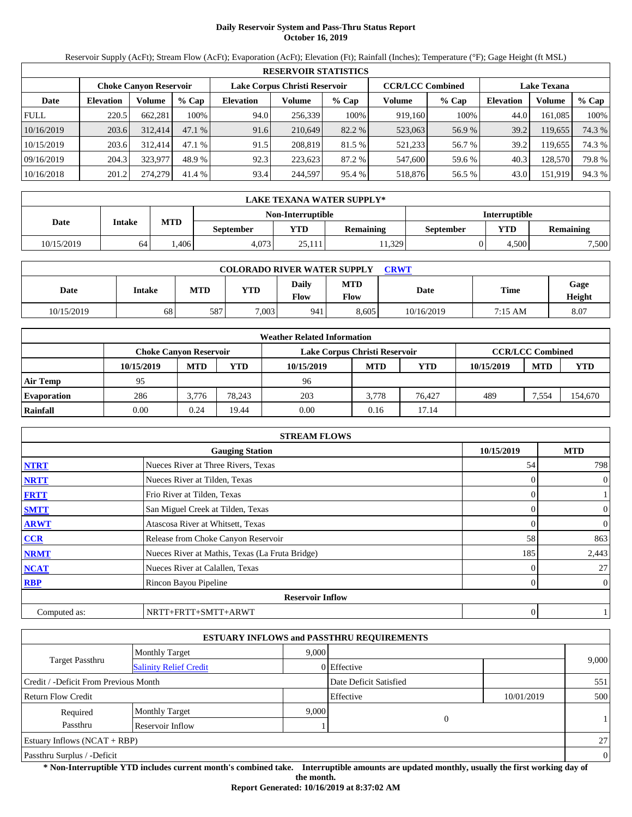# **Daily Reservoir System and Pass-Thru Status Report October 16, 2019**

Reservoir Supply (AcFt); Stream Flow (AcFt); Evaporation (AcFt); Elevation (Ft); Rainfall (Inches); Temperature (°F); Gage Height (ft MSL)

|             | <b>RESERVOIR STATISTICS</b> |                               |         |                  |                               |         |                         |         |                    |         |        |  |
|-------------|-----------------------------|-------------------------------|---------|------------------|-------------------------------|---------|-------------------------|---------|--------------------|---------|--------|--|
|             |                             | <b>Choke Canyon Reservoir</b> |         |                  | Lake Corpus Christi Reservoir |         | <b>CCR/LCC Combined</b> |         | <b>Lake Texana</b> |         |        |  |
| Date        | <b>Elevation</b>            | Volume                        | $%$ Cap | <b>Elevation</b> | Volume                        | $%$ Cap | Volume                  | $%$ Cap | <b>Elevation</b>   | Volume  | % Cap  |  |
| <b>FULL</b> | 220.5                       | 662,281                       | 100%    | 94.0             | 256,339                       | 100%    | 919,160                 | 100%    | 44.0               | 161.085 | 100%   |  |
| 10/16/2019  | 203.6                       | 312,414                       | 47.1%   | 91.6             | 210.649                       | 82.2 %  | 523,063                 | 56.9%   | 39.2               | 119,655 | 74.3 % |  |
| 10/15/2019  | 203.6                       | 312,414                       | 47.1%   | 91.5             | 208,819                       | 81.5 %  | 521,233                 | 56.7 %  | 39.2               | 119.655 | 74.3 % |  |
| 09/16/2019  | 204.3                       | 323,977                       | 48.9 %  | 92.3             | 223.623                       | 87.2 %  | 547,600                 | 59.6 %  | 40.3               | 128,570 | 79.8%  |  |
| 10/16/2018  | 201.2                       | 274,279                       | 41.4 %  | 93.4             | 244,597                       | 95.4 %  | 518,876                 | 56.5 %  | 43.0               | 151,919 | 94.3 % |  |

|            | LAKE TEXANA WATER SUPPLY* |                                           |                  |        |                  |                  |            |                  |  |  |  |  |
|------------|---------------------------|-------------------------------------------|------------------|--------|------------------|------------------|------------|------------------|--|--|--|--|
|            |                           | <b>Interruptible</b><br>Non-Interruptible |                  |        |                  |                  |            |                  |  |  |  |  |
| Date       | Intake                    | <b>MTD</b>                                | <b>September</b> | YTD.   | <b>Remaining</b> | <b>September</b> | <b>YTD</b> | <b>Remaining</b> |  |  |  |  |
| 10/15/2019 | 64                        | .406                                      | 4.073            | 25.111 | 11.329           |                  | 4.500      | 7,500            |  |  |  |  |

| <b>COLORADO RIVER WATER SUPPLY</b><br><b>CRWT</b> |        |     |            |               |                           |            |         |                |  |  |
|---------------------------------------------------|--------|-----|------------|---------------|---------------------------|------------|---------|----------------|--|--|
| Date                                              | Intake | MTD | <b>YTD</b> | Daily<br>Flow | <b>MTD</b><br><b>Flow</b> | Date       | Time    | Gage<br>Height |  |  |
| 10/15/2019                                        | 68     | 587 | 7.003      | 941           | 8,605                     | 10/16/2019 | 7:15 AM | 8.07           |  |  |

|                    |                               |            |        | <b>Weather Related Information</b> |            |            |            |                         |         |
|--------------------|-------------------------------|------------|--------|------------------------------------|------------|------------|------------|-------------------------|---------|
|                    | <b>Choke Canvon Reservoir</b> |            |        | Lake Corpus Christi Reservoir      |            |            |            | <b>CCR/LCC Combined</b> |         |
|                    | 10/15/2019                    | <b>MTD</b> | YTD    | 10/15/2019                         | <b>MTD</b> | <b>YTD</b> | 10/15/2019 | <b>MTD</b>              | YTD     |
| Air Temp           | 95                            |            |        | 96                                 |            |            |            |                         |         |
| <b>Evaporation</b> | 286                           | 3.776      | 78.243 | 203                                | 3.778      | 76.427     | 489        | 7.554                   | 154,670 |
| Rainfall           | 0.00                          | 0.24       | 19.44  | 0.00                               | 0.16       | 17.14      |            |                         |         |

|              | <b>STREAM FLOWS</b>                             |            |                |
|--------------|-------------------------------------------------|------------|----------------|
|              | <b>Gauging Station</b>                          | 10/15/2019 | <b>MTD</b>     |
| <b>NTRT</b>  | Nueces River at Three Rivers, Texas             | 54         | 798            |
| <b>NRTT</b>  | Nueces River at Tilden, Texas                   | $\Omega$   | $\overline{0}$ |
| <b>FRTT</b>  | Frio River at Tilden, Texas                     | $\Omega$   |                |
| <b>SMTT</b>  | San Miguel Creek at Tilden, Texas               | 0          | $\overline{0}$ |
| <b>ARWT</b>  | Atascosa River at Whitsett, Texas               |            | $\theta$       |
| <b>CCR</b>   | Release from Choke Canyon Reservoir             | 58         | 863            |
| <b>NRMT</b>  | Nueces River at Mathis, Texas (La Fruta Bridge) | 185        | 2,443          |
| <b>NCAT</b>  | Nueces River at Calallen, Texas                 | 0          | 27             |
| <b>RBP</b>   | Rincon Bayou Pipeline                           | 0          | $\overline{0}$ |
|              | <b>Reservoir Inflow</b>                         |            |                |
| Computed as: | NRTT+FRTT+SMTT+ARWT                             | 0          |                |

|                                       |                               |       | <b>ESTUARY INFLOWS and PASSTHRU REQUIREMENTS</b> |            |              |
|---------------------------------------|-------------------------------|-------|--------------------------------------------------|------------|--------------|
|                                       | <b>Monthly Target</b>         | 9,000 |                                                  |            |              |
| <b>Target Passthru</b>                | <b>Salinity Relief Credit</b> |       | 0 Effective                                      |            | 9,000        |
| Credit / -Deficit From Previous Month |                               |       | Date Deficit Satisfied                           |            | 551          |
| <b>Return Flow Credit</b>             |                               |       | Effective                                        | 10/01/2019 | 500          |
| Required                              | <b>Monthly Target</b>         | 9.000 |                                                  |            |              |
| Passthru<br>Reservoir Inflow          |                               |       | 0                                                |            | $\mathbf{1}$ |
| Estuary Inflows $(NCAT + RBP)$        |                               |       |                                                  |            | 27           |
| Passthru Surplus / -Deficit           |                               |       |                                                  |            | $\theta$     |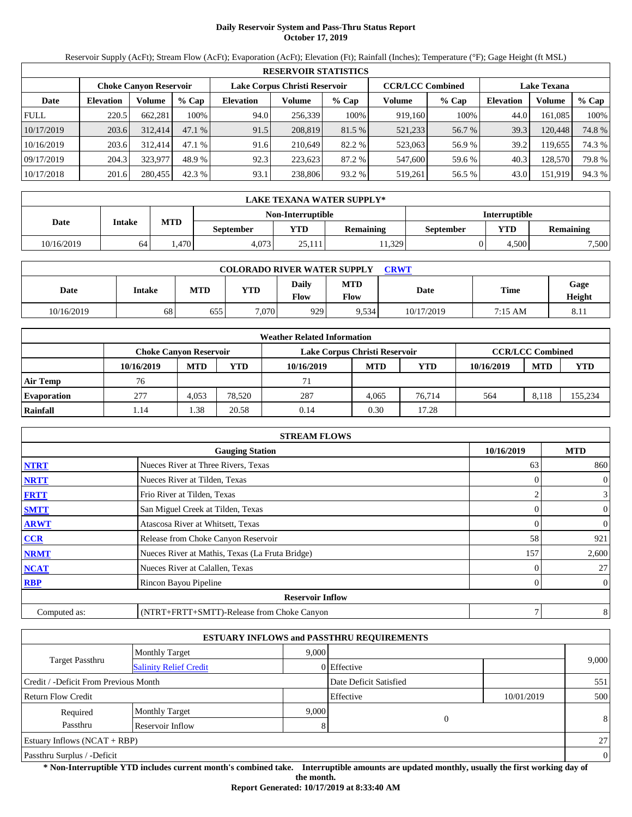# **Daily Reservoir System and Pass-Thru Status Report October 17, 2019**

Reservoir Supply (AcFt); Stream Flow (AcFt); Evaporation (AcFt); Elevation (Ft); Rainfall (Inches); Temperature (°F); Gage Height (ft MSL)

|             | <b>RESERVOIR STATISTICS</b> |                               |         |                               |         |         |                         |         |                    |         |        |  |  |
|-------------|-----------------------------|-------------------------------|---------|-------------------------------|---------|---------|-------------------------|---------|--------------------|---------|--------|--|--|
|             |                             | <b>Choke Canyon Reservoir</b> |         | Lake Corpus Christi Reservoir |         |         | <b>CCR/LCC Combined</b> |         | <b>Lake Texana</b> |         |        |  |  |
| Date        | <b>Elevation</b>            | Volume                        | $%$ Cap | <b>Elevation</b>              | Volume  | $%$ Cap | Volume                  | $%$ Cap | <b>Elevation</b>   | Volume  | % Cap  |  |  |
| <b>FULL</b> | 220.5                       | 662.281                       | 100%    | 94.0                          | 256,339 | 100%    | 919,160                 | 100%    | 44.0               | 161.085 | 100%   |  |  |
| 10/17/2019  | 203.6                       | 312,414                       | 47.1%   | 91.5                          | 208,819 | 81.5 %  | 521,233                 | 56.7 %  | 39.3               | 120,448 | 74.8%  |  |  |
| 10/16/2019  | 203.6                       | 312,414                       | 47.1%   | 91.6                          | 210.649 | 82.2 %  | 523,063                 | 56.9%   | 39.2               | 119.655 | 74.3 % |  |  |
| 09/17/2019  | 204.3                       | 323,977                       | 48.9 %  | 92.3                          | 223.623 | 87.2 %  | 547,600                 | 59.6 %  | 40.3               | 128,570 | 79.8%  |  |  |
| 10/17/2018  | 201.6                       | 280,455                       | 42.3 %  | 93.1                          | 238,806 | 93.2 %  | 519,261                 | 56.5 %  | 43.0               | 151,919 | 94.3 % |  |  |

|            | <b>LAKE TEXANA WATER SUPPLY*</b>          |            |                  |                   |                  |                  |            |                  |  |  |  |
|------------|-------------------------------------------|------------|------------------|-------------------|------------------|------------------|------------|------------------|--|--|--|
|            | Non-Interruptible<br><b>Interruptible</b> |            |                  |                   |                  |                  |            |                  |  |  |  |
| Date       | Intake                                    | <b>MTD</b> | <b>September</b> | $\mathbf{v_{TD}}$ | <b>Remaining</b> | <b>September</b> | <b>YTD</b> | <b>Remaining</b> |  |  |  |
| 10/16/2019 | 64                                        | .470       | 4.073            | 25.111            | 11.329           |                  | 4.500      | 7,500            |  |  |  |

| <b>COLORADO RIVER WATER SUPPLY</b><br><b>CRWT</b> |        |            |            |                             |                    |            |         |                        |  |  |
|---------------------------------------------------|--------|------------|------------|-----------------------------|--------------------|------------|---------|------------------------|--|--|
| Date                                              | Intake | <b>MTD</b> | <b>YTD</b> | <b>Daily</b><br><b>Flow</b> | <b>MTD</b><br>Flow | Date       | Time    | Gage<br>Height         |  |  |
| 10/16/2019                                        | 68     | 655        | 7.070      | 9291                        | 9.534              | 10/17/2019 | 7:15 AM | O <sub>1</sub><br>0.11 |  |  |

|                    | <b>Weather Related Information</b> |                               |        |                               |            |            |            |                         |            |  |  |
|--------------------|------------------------------------|-------------------------------|--------|-------------------------------|------------|------------|------------|-------------------------|------------|--|--|
|                    |                                    | <b>Choke Canvon Reservoir</b> |        | Lake Corpus Christi Reservoir |            |            |            | <b>CCR/LCC Combined</b> |            |  |  |
|                    | 10/16/2019                         | <b>MTD</b>                    | YTD    | 10/16/2019                    | <b>MTD</b> | <b>YTD</b> | 10/16/2019 | <b>MTD</b>              | <b>YTD</b> |  |  |
| <b>Air Temp</b>    | 76                                 |                               |        | 71                            |            |            |            |                         |            |  |  |
| <b>Evaporation</b> | 277                                | 4.053                         | 78.520 | 287                           | 4.065      | 76.714     | 564        | 8.118                   | 155,234    |  |  |
| Rainfall           | . 14                               | . .38                         | 20.58  | 0.14                          | 0.30       | 17.28      |            |                         |            |  |  |

|              | <b>STREAM FLOWS</b>                             |            |                |
|--------------|-------------------------------------------------|------------|----------------|
|              | <b>Gauging Station</b>                          | 10/16/2019 | <b>MTD</b>     |
| <b>NTRT</b>  | Nueces River at Three Rivers, Texas             | 63         | 860            |
| <b>NRTT</b>  | Nueces River at Tilden, Texas                   |            | $\mathbf{0}$   |
| <b>FRTT</b>  | Frio River at Tilden, Texas                     |            | 3              |
| <b>SMTT</b>  | San Miguel Creek at Tilden, Texas               | $\Omega$   | $\mathbf{0}$   |
| <b>ARWT</b>  | Atascosa River at Whitsett, Texas               | 0          | $\mathbf{0}$   |
| <b>CCR</b>   | Release from Choke Canyon Reservoir             | 58         | 921            |
| <b>NRMT</b>  | Nueces River at Mathis, Texas (La Fruta Bridge) | 157        | 2,600          |
| <b>NCAT</b>  | Nueces River at Calallen, Texas                 |            | 27             |
| <b>RBP</b>   | Rincon Bayou Pipeline                           |            | $\overline{0}$ |
|              | <b>Reservoir Inflow</b>                         |            |                |
| Computed as: | (NTRT+FRTT+SMTT)-Release from Choke Canyon      | 7          | 8              |

|                                       |                               |       | <b>ESTUARY INFLOWS and PASSTHRU REQUIREMENTS</b> |            |              |
|---------------------------------------|-------------------------------|-------|--------------------------------------------------|------------|--------------|
|                                       | <b>Monthly Target</b>         | 9.000 |                                                  |            |              |
| Target Passthru                       | <b>Salinity Relief Credit</b> |       | 0 Effective                                      |            | 9,000        |
| Credit / -Deficit From Previous Month |                               |       | Date Deficit Satisfied                           |            | 551          |
| <b>Return Flow Credit</b>             |                               |       | Effective                                        | 10/01/2019 | 500          |
| Required                              | <b>Monthly Target</b>         | 9,000 |                                                  |            |              |
| Passthru                              | Reservoir Inflow              | 8     | 0                                                |            | 8            |
| <b>Estuary Inflows (NCAT + RBP)</b>   |                               |       |                                                  |            | 27           |
| Passthru Surplus / -Deficit           |                               |       |                                                  |            | $\mathbf{0}$ |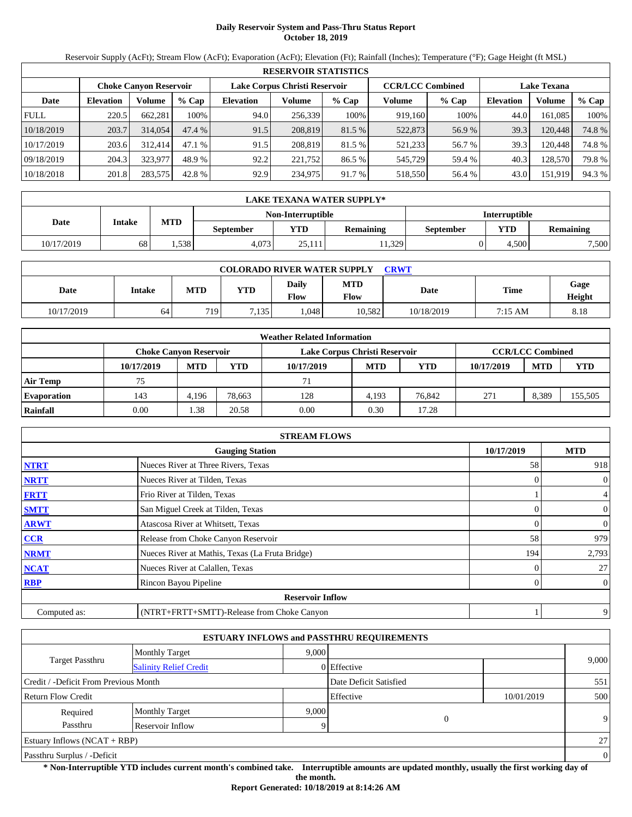# **Daily Reservoir System and Pass-Thru Status Report October 18, 2019**

Reservoir Supply (AcFt); Stream Flow (AcFt); Evaporation (AcFt); Elevation (Ft); Rainfall (Inches); Temperature (°F); Gage Height (ft MSL)

|             | <b>RESERVOIR STATISTICS</b> |                               |         |                               |         |         |                         |         |                    |         |        |  |  |
|-------------|-----------------------------|-------------------------------|---------|-------------------------------|---------|---------|-------------------------|---------|--------------------|---------|--------|--|--|
|             |                             | <b>Choke Canyon Reservoir</b> |         | Lake Corpus Christi Reservoir |         |         | <b>CCR/LCC Combined</b> |         | <b>Lake Texana</b> |         |        |  |  |
| Date        | <b>Elevation</b>            | Volume                        | $%$ Cap | <b>Elevation</b>              | Volume  | $%$ Cap | Volume                  | $%$ Cap | <b>Elevation</b>   | Volume  | % Cap  |  |  |
| <b>FULL</b> | 220.5                       | 662.281                       | 100%    | 94.0                          | 256,339 | 100%    | 919,160                 | 100%    | 44.0               | 161.085 | 100%   |  |  |
| 10/18/2019  | 203.7                       | 314,054                       | 47.4%   | 91.5                          | 208,819 | 81.5 %  | 522,873                 | 56.9%   | 39.3               | 120.448 | 74.8%  |  |  |
| 10/17/2019  | 203.6                       | 312,414                       | 47.1%   | 91.5                          | 208,819 | 81.5 %  | 521,233                 | 56.7 %  | 39.3               | 120.448 | 74.8%  |  |  |
| 09/18/2019  | 204.3                       | 323.977                       | 48.9 %  | 92.2                          | 221.752 | 86.5 %  | 545,729                 | 59.4 %  | 40.3               | 128,570 | 79.8%  |  |  |
| 10/18/2018  | 201.8                       | 283,575                       | 42.8 %  | 92.9                          | 234,975 | 91.7 %  | 518,550                 | 56.4 %  | 43.0               | 151,919 | 94.3 % |  |  |

|            | LAKE TEXANA WATER SUPPLY*                 |            |                  |            |                  |           |            |                  |  |  |  |
|------------|-------------------------------------------|------------|------------------|------------|------------------|-----------|------------|------------------|--|--|--|
|            | Non-Interruptible<br><b>Interruptible</b> |            |                  |            |                  |           |            |                  |  |  |  |
| Date       | Intake                                    | <b>MTD</b> | <b>September</b> | <b>YTD</b> | <b>Remaining</b> | September | <b>YTD</b> | <b>Remaining</b> |  |  |  |
| 10/17/2019 | 68                                        | .538       | 4.073            | 25.111     | 1,329            |           | 4.500      | 7,500            |  |  |  |

| <b>COLORADO RIVER WATER SUPPLY</b><br>CRWT |        |            |            |               |                    |            |         |                |  |  |  |
|--------------------------------------------|--------|------------|------------|---------------|--------------------|------------|---------|----------------|--|--|--|
| Date                                       | Intake | <b>MTD</b> | <b>YTD</b> | Daily<br>Flow | <b>MTD</b><br>Flow | Date       | Time    | Gage<br>Height |  |  |  |
| 10/17/2019                                 | 64     | 719        | 7.135      | .048          | 10.582             | 10/18/2019 | 7:15 AM | 8.18           |  |  |  |

|                    | <b>Weather Related Information</b> |                               |        |                               |            |            |            |                         |            |  |  |
|--------------------|------------------------------------|-------------------------------|--------|-------------------------------|------------|------------|------------|-------------------------|------------|--|--|
|                    |                                    | <b>Choke Canvon Reservoir</b> |        | Lake Corpus Christi Reservoir |            |            |            | <b>CCR/LCC Combined</b> |            |  |  |
|                    | 10/17/2019                         | <b>MTD</b>                    | YTD    | 10/17/2019                    | <b>MTD</b> | <b>YTD</b> | 10/17/2019 | <b>MTD</b>              | <b>YTD</b> |  |  |
| <b>Air Temp</b>    | 75                                 |                               |        | 71                            |            |            |            |                         |            |  |  |
| <b>Evaporation</b> | 143                                | 4.196                         | 78.663 | 128                           | 4.193      | 76,842     | 271        | 8.389                   | 155,505    |  |  |
| Rainfall           | 0.00                               | .38                           | 20.58  | 0.00                          | 0.30       | 17.28      |            |                         |            |  |  |

|              | <b>STREAM FLOWS</b>                             |            |                |
|--------------|-------------------------------------------------|------------|----------------|
|              | <b>Gauging Station</b>                          | 10/17/2019 | <b>MTD</b>     |
| <b>NTRT</b>  | Nueces River at Three Rivers, Texas             | 58         | 918            |
| <b>NRTT</b>  | Nueces River at Tilden, Texas                   |            | $\overline{0}$ |
| <b>FRTT</b>  | Frio River at Tilden, Texas                     |            | $\overline{4}$ |
| <b>SMTT</b>  | San Miguel Creek at Tilden, Texas               | 0          | $\overline{0}$ |
| <b>ARWT</b>  | Atascosa River at Whitsett, Texas               | 0          | $\overline{0}$ |
| CCR          | Release from Choke Canyon Reservoir             | 58         | 979            |
| <b>NRMT</b>  | Nueces River at Mathis, Texas (La Fruta Bridge) | 194        | 2,793          |
| <b>NCAT</b>  | Nueces River at Calallen, Texas                 |            | 27             |
| <b>RBP</b>   | Rincon Bayou Pipeline                           | 0          | $\overline{0}$ |
|              | <b>Reservoir Inflow</b>                         |            |                |
| Computed as: | (NTRT+FRTT+SMTT)-Release from Choke Canyon      |            | 9              |

|                                                         |                       |       | <b>ESTUARY INFLOWS and PASSTHRU REQUIREMENTS</b> |            |              |
|---------------------------------------------------------|-----------------------|-------|--------------------------------------------------|------------|--------------|
|                                                         | <b>Monthly Target</b> | 9.000 |                                                  |            |              |
| <b>Target Passthru</b><br><b>Salinity Relief Credit</b> |                       |       | 0 Effective                                      |            | 9,000        |
| Credit / -Deficit From Previous Month                   |                       |       | Date Deficit Satisfied                           |            | 551          |
| <b>Return Flow Credit</b>                               |                       |       | Effective                                        | 10/01/2019 | 500          |
| Required                                                | <b>Monthly Target</b> | 9,000 |                                                  |            |              |
| Passthru                                                | Reservoir Inflow      | Q     | 0                                                |            | 9            |
| Estuary Inflows $(NCAT + RBP)$                          |                       |       |                                                  |            | 27           |
| Passthru Surplus / -Deficit                             |                       |       |                                                  |            | $\mathbf{0}$ |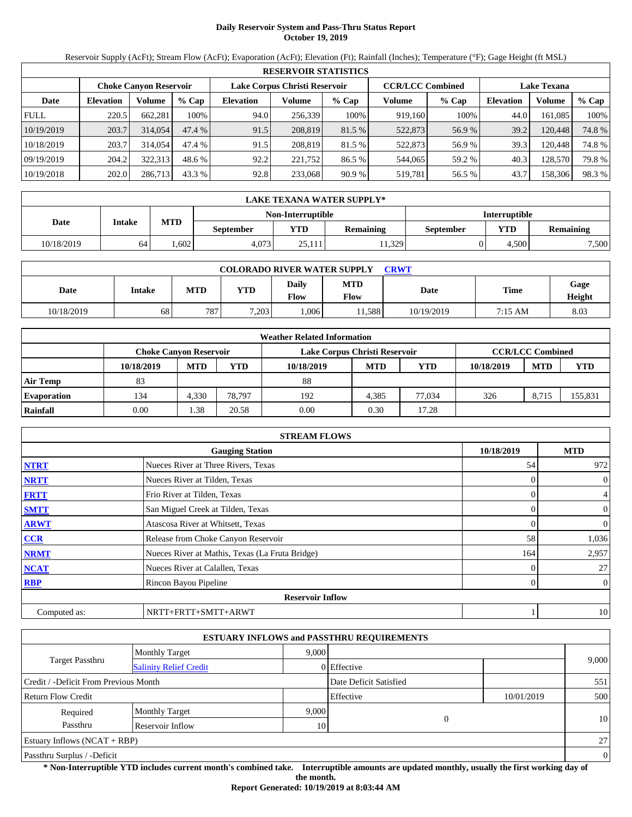# **Daily Reservoir System and Pass-Thru Status Report October 19, 2019**

Reservoir Supply (AcFt); Stream Flow (AcFt); Evaporation (AcFt); Elevation (Ft); Rainfall (Inches); Temperature (°F); Gage Height (ft MSL)

|             | <b>RESERVOIR STATISTICS</b> |                               |         |                               |         |         |                         |         |                    |         |       |  |
|-------------|-----------------------------|-------------------------------|---------|-------------------------------|---------|---------|-------------------------|---------|--------------------|---------|-------|--|
|             |                             | <b>Choke Canyon Reservoir</b> |         | Lake Corpus Christi Reservoir |         |         | <b>CCR/LCC Combined</b> |         | <b>Lake Texana</b> |         |       |  |
| Date        | <b>Elevation</b>            | Volume                        | $%$ Cap | <b>Elevation</b>              | Volume  | $%$ Cap | Volume                  | $%$ Cap | <b>Elevation</b>   | Volume  | % Cap |  |
| <b>FULL</b> | 220.5                       | 662,281                       | 100%    | 94.0                          | 256,339 | 100%    | 919,160                 | 100%    | 44.0               | 161.085 | 100%  |  |
| 10/19/2019  | 203.7                       | 314,054                       | 47.4 %  | 91.5                          | 208,819 | 81.5 %  | 522,873                 | 56.9%   | 39.2               | 120.448 | 74.8% |  |
| 10/18/2019  | 203.7                       | 314,054                       | 47.4 %  | 91.5                          | 208,819 | 81.5 %  | 522,873                 | 56.9 %  | 39.3               | 120.448 | 74.8% |  |
| 09/19/2019  | 204.2                       | 322,313                       | 48.6 %  | 92.2                          | 221,752 | 86.5 %  | 544,065                 | 59.2 %  | 40.3               | 128,570 | 79.8% |  |
| 10/19/2018  | 202.0                       | 286,713                       | 43.3 %  | 92.8                          | 233,068 | 90.9%   | 519,781                 | 56.5 %  | 43.7               | 158,306 | 98.3% |  |

|            | LAKE TEXANA WATER SUPPLY* |            |                  |                   |                  |                      |            |                  |  |  |  |
|------------|---------------------------|------------|------------------|-------------------|------------------|----------------------|------------|------------------|--|--|--|
|            |                           |            |                  | Non-Interruptible |                  | <b>Interruptible</b> |            |                  |  |  |  |
| Date       | Intake                    | <b>MTD</b> | <b>September</b> | YTD.              | <b>Remaining</b> | <b>September</b>     | <b>YTD</b> | <b>Remaining</b> |  |  |  |
| 10/18/2019 | 64                        | .602       | 4.073            | 25.111            | 11.329           |                      | 4.500      | 7,500            |  |  |  |

| <b>COLORADO RIVER WATER SUPPLY</b><br>CRWT |               |            |            |               |                           |             |         |                |  |  |  |
|--------------------------------------------|---------------|------------|------------|---------------|---------------------------|-------------|---------|----------------|--|--|--|
| Date                                       | <b>Intake</b> | <b>MTD</b> | <b>YTD</b> | Daily<br>Flow | <b>MTD</b><br><b>Flow</b> | <b>Date</b> | Time    | Gage<br>Height |  |  |  |
| 10/18/2019                                 | 68            | 787        | 7.203      | .006          | 1.588                     | 10/19/2019  | 7:15 AM | 8.03           |  |  |  |

|                    |                               |            |        | <b>Weather Related Information</b> |            |        |            |                         |         |
|--------------------|-------------------------------|------------|--------|------------------------------------|------------|--------|------------|-------------------------|---------|
|                    | <b>Choke Canvon Reservoir</b> |            |        | Lake Corpus Christi Reservoir      |            |        |            | <b>CCR/LCC Combined</b> |         |
|                    | 10/18/2019                    | <b>MTD</b> | YTD    | 10/18/2019                         | <b>MTD</b> | YTD    | 10/18/2019 | <b>MTD</b>              | YTD     |
| <b>Air Temp</b>    | 83                            |            |        | 88                                 |            |        |            |                         |         |
| <b>Evaporation</b> | 134                           | 4.330      | 78.797 | 192                                | 4.385      | 77.034 | 326        | 8.715                   | 155,831 |
| Rainfall           | 0.00                          | .38        | 20.58  | 0.00                               | 0.30       | 17.28  |            |                         |         |

|              | <b>STREAM FLOWS</b>                             |                |                |
|--------------|-------------------------------------------------|----------------|----------------|
|              | <b>Gauging Station</b>                          | 10/18/2019     | <b>MTD</b>     |
| <b>NTRT</b>  | Nueces River at Three Rivers, Texas             | 54             | 972            |
| <b>NRTT</b>  | Nueces River at Tilden, Texas                   | $\Omega$       | $\mathbf{0}$   |
| <b>FRTT</b>  | Frio River at Tilden, Texas                     | 0              | $\overline{4}$ |
| <b>SMTT</b>  | San Miguel Creek at Tilden, Texas               | $\Omega$       | $\mathbf{0}$   |
| <b>ARWT</b>  | Atascosa River at Whitsett, Texas               | 0              | $\mathbf{0}$   |
| <b>CCR</b>   | Release from Choke Canyon Reservoir             | 58             | 1,036          |
| <b>NRMT</b>  | Nueces River at Mathis, Texas (La Fruta Bridge) | 164            | 2,957          |
| <b>NCAT</b>  | Nueces River at Calallen, Texas                 | 0              | 27             |
| <b>RBP</b>   | Rincon Bayou Pipeline                           | $\overline{0}$ | $\overline{0}$ |
|              | <b>Reservoir Inflow</b>                         |                |                |
| Computed as: | NRTT+FRTT+SMTT+ARWT                             |                | 10             |

|                                       |                               |       | <b>ESTUARY INFLOWS and PASSTHRU REQUIREMENTS</b> |            |          |
|---------------------------------------|-------------------------------|-------|--------------------------------------------------|------------|----------|
|                                       | <b>Monthly Target</b>         | 9.000 |                                                  |            |          |
| <b>Target Passthru</b>                | <b>Salinity Relief Credit</b> |       | 0 Effective                                      |            | 9,000    |
| Credit / -Deficit From Previous Month |                               |       | Date Deficit Satisfied                           |            | 551      |
| <b>Return Flow Credit</b>             |                               |       | Effective                                        | 10/01/2019 | 500      |
| Required                              | <b>Monthly Target</b>         | 9,000 |                                                  |            |          |
| Passthru                              | Reservoir Inflow              | 10    | $\theta$                                         |            | 10       |
| Estuary Inflows $(NCAT + RBP)$        |                               |       |                                                  |            | 27       |
| Passthru Surplus / -Deficit           |                               |       |                                                  |            | $\theta$ |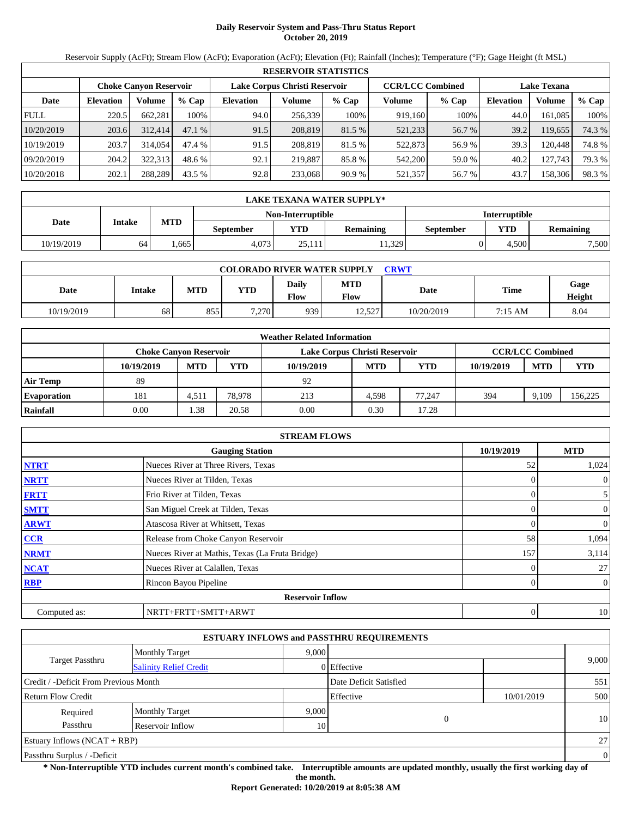# **Daily Reservoir System and Pass-Thru Status Report October 20, 2019**

Reservoir Supply (AcFt); Stream Flow (AcFt); Evaporation (AcFt); Elevation (Ft); Rainfall (Inches); Temperature (°F); Gage Height (ft MSL)

|             | <b>RESERVOIR STATISTICS</b> |                               |         |                               |         |         |                         |         |                    |         |        |  |
|-------------|-----------------------------|-------------------------------|---------|-------------------------------|---------|---------|-------------------------|---------|--------------------|---------|--------|--|
|             |                             | <b>Choke Canvon Reservoir</b> |         | Lake Corpus Christi Reservoir |         |         | <b>CCR/LCC Combined</b> |         | <b>Lake Texana</b> |         |        |  |
| Date        | <b>Elevation</b>            | Volume                        | $%$ Cap | <b>Elevation</b>              | Volume  | $%$ Cap | Volume                  | $%$ Cap | <b>Elevation</b>   | Volume  | % Cap  |  |
| <b>FULL</b> | 220.5                       | 662.281                       | 100%    | 94.0                          | 256,339 | 100%    | 919,160                 | 100%    | 44.0               | 161.085 | 100%   |  |
| 10/20/2019  | 203.6                       | 312,414                       | 47.1%   | 91.5                          | 208,819 | 81.5 %  | 521,233                 | 56.7 %  | 39.2               | 119,655 | 74.3 % |  |
| 10/19/2019  | 203.7                       | 314,054                       | 47.4 %  | 91.5                          | 208.819 | 81.5 %  | 522,873                 | 56.9%   | 39.3               | 120.448 | 74.8%  |  |
| 09/20/2019  | 204.2                       | 322,313                       | 48.6 %  | 92.1                          | 219.887 | 85.8%   | 542,200                 | 59.0 %  | 40.2               | 127,743 | 79.3 % |  |
| 10/20/2018  | 202.1                       | 288.289                       | 43.5 %  | 92.8                          | 233,068 | 90.9 %  | 521,357                 | 56.7 %  | 43.7               | 158,306 | 98.3%  |  |

|            | LAKE TEXANA WATER SUPPLY* |            |                  |                   |                  |                      |            |                  |  |  |  |
|------------|---------------------------|------------|------------------|-------------------|------------------|----------------------|------------|------------------|--|--|--|
|            |                           |            |                  | Non-Interruptible |                  | <b>Interruptible</b> |            |                  |  |  |  |
| Date       | Intake                    | <b>MTD</b> | <b>September</b> | YTD.              | <b>Remaining</b> | <b>September</b>     | <b>YTD</b> | <b>Remaining</b> |  |  |  |
| 10/19/2019 | 64                        | .665       | 4.073            | 25.111            | 11,329           |                      | 4.500      | 7,500            |  |  |  |

| <b>COLORADO RIVER WATER SUPPLY</b><br>CRWT |        |            |            |               |             |            |             |                |  |  |  |
|--------------------------------------------|--------|------------|------------|---------------|-------------|------------|-------------|----------------|--|--|--|
| Date                                       | Intake | <b>MTD</b> | <b>YTD</b> | Daily<br>Flow | MTD<br>Flow | Date       | <b>Time</b> | Gage<br>Height |  |  |  |
| 10/19/2019                                 | 68     | 855        | 7.270      | 9391          | 12.527      | 10/20/2019 | 7:15 AM     | 8.04           |  |  |  |

|                    |                               |            |        | <b>Weather Related Information</b> |            |        |            |                         |         |
|--------------------|-------------------------------|------------|--------|------------------------------------|------------|--------|------------|-------------------------|---------|
|                    | <b>Choke Canvon Reservoir</b> |            |        | Lake Corpus Christi Reservoir      |            |        |            | <b>CCR/LCC Combined</b> |         |
|                    | 10/19/2019                    | <b>MTD</b> | YTD    | 10/19/2019                         | <b>MTD</b> | YTD    | 10/19/2019 | <b>MTD</b>              | YTD     |
| <b>Air Temp</b>    | 89                            |            |        | 92                                 |            |        |            |                         |         |
| <b>Evaporation</b> | 181                           | 4,511      | 78.978 | 213                                | 4.598      | 77.247 | 394        | 9.109                   | 156,225 |
| Rainfall           | 0.00                          | .38        | 20.58  | 0.00                               | 0.30       | 17.28  |            |                         |         |

|              | <b>STREAM FLOWS</b>                             |            |                |
|--------------|-------------------------------------------------|------------|----------------|
|              | <b>Gauging Station</b>                          | 10/19/2019 | <b>MTD</b>     |
| <b>NTRT</b>  | Nueces River at Three Rivers, Texas             | 52         | 1,024          |
| <b>NRTT</b>  | Nueces River at Tilden, Texas                   |            | $\overline{0}$ |
| <b>FRTT</b>  | Frio River at Tilden, Texas                     |            | 5 <sup>5</sup> |
| <b>SMTT</b>  | San Miguel Creek at Tilden, Texas               |            | $\overline{0}$ |
| <b>ARWT</b>  | Atascosa River at Whitsett, Texas               |            | $\overline{0}$ |
| CCR          | Release from Choke Canyon Reservoir             | 58         | 1,094          |
| <b>NRMT</b>  | Nueces River at Mathis, Texas (La Fruta Bridge) | 157        | 3,114          |
| <b>NCAT</b>  | Nueces River at Calallen, Texas                 |            | 27             |
| <b>RBP</b>   | Rincon Bayou Pipeline                           |            | $\overline{0}$ |
|              | <b>Reservoir Inflow</b>                         |            |                |
| Computed as: | NRTT+FRTT+SMTT+ARWT                             | 0          | 10             |

|                                       |                               |       | <b>ESTUARY INFLOWS and PASSTHRU REQUIREMENTS</b> |            |                |
|---------------------------------------|-------------------------------|-------|--------------------------------------------------|------------|----------------|
|                                       | <b>Monthly Target</b>         | 9.000 |                                                  |            |                |
| <b>Target Passthru</b>                | <b>Salinity Relief Credit</b> |       | 0 Effective                                      |            | 9,000          |
| Credit / -Deficit From Previous Month |                               |       | Date Deficit Satisfied                           |            | 551            |
| <b>Return Flow Credit</b>             |                               |       | Effective                                        | 10/01/2019 | 500            |
| Required                              | <b>Monthly Target</b>         | 9,000 |                                                  |            |                |
| Passthru                              | Reservoir Inflow              | 10    | $\overline{0}$                                   |            | 10             |
| <b>Estuary Inflows (NCAT + RBP)</b>   |                               |       |                                                  |            | 27             |
| Passthru Surplus / -Deficit           |                               |       |                                                  |            | $\overline{0}$ |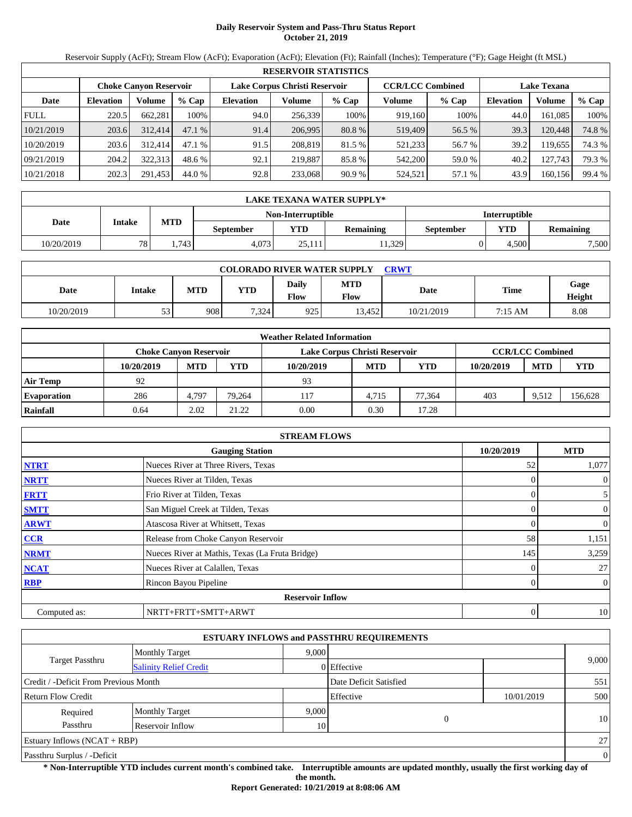# **Daily Reservoir System and Pass-Thru Status Report October 21, 2019**

Reservoir Supply (AcFt); Stream Flow (AcFt); Evaporation (AcFt); Elevation (Ft); Rainfall (Inches); Temperature (°F); Gage Height (ft MSL)

|             | <b>RESERVOIR STATISTICS</b> |                               |         |                               |         |         |                         |         |                    |         |        |  |  |
|-------------|-----------------------------|-------------------------------|---------|-------------------------------|---------|---------|-------------------------|---------|--------------------|---------|--------|--|--|
|             |                             | <b>Choke Canyon Reservoir</b> |         | Lake Corpus Christi Reservoir |         |         | <b>CCR/LCC Combined</b> |         | <b>Lake Texana</b> |         |        |  |  |
| Date        | <b>Elevation</b>            | Volume                        | $%$ Cap | <b>Elevation</b>              | Volume  | $%$ Cap | Volume                  | $%$ Cap | <b>Elevation</b>   | Volume  | % Cap  |  |  |
| <b>FULL</b> | 220.5                       | 662,281                       | 100%    | 94.0                          | 256,339 | 100%    | 919,160                 | 100%    | 44.0               | 161.085 | 100%   |  |  |
| 10/21/2019  | 203.6                       | 312,414                       | 47.1%   | 91.4                          | 206.995 | 80.8 %  | 519,409                 | 56.5 %  | 39.3               | 120.448 | 74.8%  |  |  |
| 10/20/2019  | 203.6                       | 312,414                       | 47.1%   | 91.5                          | 208,819 | 81.5 %  | 521,233                 | 56.7 %  | 39.2               | 119.655 | 74.3 % |  |  |
| 09/21/2019  | 204.2                       | 322,313                       | 48.6 %  | 92.1                          | 219.887 | 85.8 %  | 542,200                 | 59.0 %  | 40.2               | 127.743 | 79.3 % |  |  |
| 10/21/2018  | 202.3                       | 291,453                       | 44.0 %  | 92.8                          | 233,068 | 90.9%   | 524,521                 | 57.1 %  | 43.9               | 160,156 | 99.4 % |  |  |

|            | <b>LAKE TEXANA WATER SUPPLY*</b> |            |                  |                   |                  |                      |            |                  |  |  |
|------------|----------------------------------|------------|------------------|-------------------|------------------|----------------------|------------|------------------|--|--|
|            |                                  |            |                  | Non-Interruptible |                  | <b>Interruptible</b> |            |                  |  |  |
| Date       | Intake                           | <b>MTD</b> | <b>September</b> | <b>VTD</b>        | <b>Remaining</b> | September            | <b>YTD</b> | <b>Remaining</b> |  |  |
| 10/20/2019 | 78.                              | .743       | 4.073            | 25.111            | 11.329           |                      | 4.500      | 7,500            |  |  |

| <b>COLORADO RIVER WATER SUPPLY</b><br>CRWT |        |            |            |               |             |            |         |                |  |  |  |
|--------------------------------------------|--------|------------|------------|---------------|-------------|------------|---------|----------------|--|--|--|
| Date                                       | Intake | <b>MTD</b> | <b>YTD</b> | Daily<br>Flow | MTD<br>Flow | Date       | Time    | Gage<br>Height |  |  |  |
| 10/20/2019                                 | 53     | 908        | 7.324      | 925           | 13,452      | 10/21/2019 | 7:15 AM | 8.08           |  |  |  |

|                    |                               |            |        | <b>Weather Related Information</b> |            |        |            |                         |         |
|--------------------|-------------------------------|------------|--------|------------------------------------|------------|--------|------------|-------------------------|---------|
|                    | <b>Choke Canvon Reservoir</b> |            |        | Lake Corpus Christi Reservoir      |            |        |            | <b>CCR/LCC Combined</b> |         |
|                    | 10/20/2019                    | <b>MTD</b> | YTD    | 10/20/2019                         | <b>MTD</b> | YTD    | 10/20/2019 | <b>MTD</b>              | YTD     |
| <b>Air Temp</b>    | 92                            |            |        | 93                                 |            |        |            |                         |         |
| <b>Evaporation</b> | 286                           | 4,797      | 79.264 | 117                                | 4.715      | 77.364 | 403        | 9.512                   | 156,628 |
| Rainfall           | 0.64                          | 2.02       | 21.22  | 0.00                               | 0.30       | 17.28  |            |                         |         |

|              | <b>STREAM FLOWS</b>                             |                |                |
|--------------|-------------------------------------------------|----------------|----------------|
|              | <b>Gauging Station</b>                          | 10/20/2019     | <b>MTD</b>     |
| <b>NTRT</b>  | Nueces River at Three Rivers, Texas             | 52             | 1,077          |
| <b>NRTT</b>  | Nueces River at Tilden, Texas                   | $\Omega$       | $\mathbf{0}$   |
| <b>FRTT</b>  | Frio River at Tilden, Texas                     | 0              | 5              |
| <b>SMTT</b>  | San Miguel Creek at Tilden, Texas               | $\Omega$       | $\mathbf{0}$   |
| <b>ARWT</b>  | Atascosa River at Whitsett, Texas               | 0              | $\overline{0}$ |
| <b>CCR</b>   | Release from Choke Canyon Reservoir             | 58             | 1,151          |
| <b>NRMT</b>  | Nueces River at Mathis, Texas (La Fruta Bridge) | 145            | 3,259          |
| <b>NCAT</b>  | Nueces River at Calallen, Texas                 | 0              | 27             |
| <b>RBP</b>   | Rincon Bayou Pipeline                           | $\overline{0}$ | $\overline{0}$ |
|              | <b>Reservoir Inflow</b>                         |                |                |
| Computed as: | NRTT+FRTT+SMTT+ARWT                             | 0              | 10             |

|                                       |                               |       | <b>ESTUARY INFLOWS and PASSTHRU REQUIREMENTS</b> |            |          |
|---------------------------------------|-------------------------------|-------|--------------------------------------------------|------------|----------|
|                                       | <b>Monthly Target</b>         | 9,000 |                                                  |            |          |
| <b>Target Passthru</b>                | <b>Salinity Relief Credit</b> |       | 0 Effective                                      |            | 9,000    |
| Credit / -Deficit From Previous Month |                               |       | Date Deficit Satisfied                           |            | 551      |
| <b>Return Flow Credit</b>             |                               |       | Effective                                        | 10/01/2019 | 500      |
| Required                              | <b>Monthly Target</b>         | 9,000 |                                                  |            |          |
| Passthru                              | Reservoir Inflow              | 10    | $\overline{0}$                                   |            | 10       |
| Estuary Inflows $(NCAT + RBP)$        |                               |       |                                                  |            | 27       |
| Passthru Surplus / -Deficit           |                               |       |                                                  |            | $\theta$ |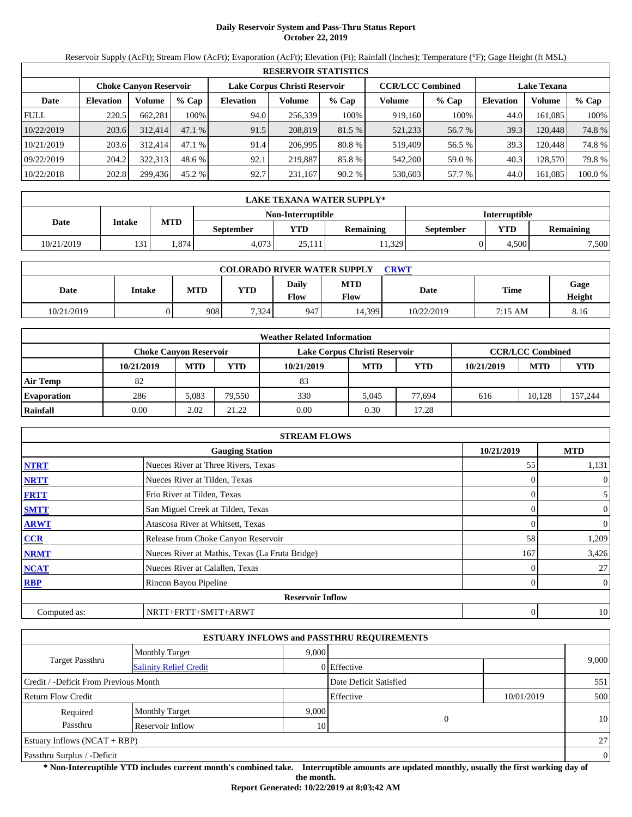# **Daily Reservoir System and Pass-Thru Status Report October 22, 2019**

Reservoir Supply (AcFt); Stream Flow (AcFt); Evaporation (AcFt); Elevation (Ft); Rainfall (Inches); Temperature (°F); Gage Height (ft MSL)

|             | <b>RESERVOIR STATISTICS</b> |                               |         |                  |                               |         |                         |         |                    |         |         |  |  |
|-------------|-----------------------------|-------------------------------|---------|------------------|-------------------------------|---------|-------------------------|---------|--------------------|---------|---------|--|--|
|             |                             | <b>Choke Canvon Reservoir</b> |         |                  | Lake Corpus Christi Reservoir |         | <b>CCR/LCC Combined</b> |         | <b>Lake Texana</b> |         |         |  |  |
| Date        | <b>Elevation</b>            | Volume                        | $%$ Cap | <b>Elevation</b> | Volume                        | $%$ Cap | Volume                  | $%$ Cap | <b>Elevation</b>   | Volume  | % Cap   |  |  |
| <b>FULL</b> | 220.5                       | 662.281                       | 100%    | 94.0             | 256.339                       | 100%    | 919.160                 | 100%    | 44.0               | 161.085 | 100%    |  |  |
| 10/22/2019  | 203.6                       | 312,414                       | 47.1 %  | 91.5             | 208,819                       | 81.5 %  | 521,233                 | 56.7 %  | 39.3               | 120.448 | 74.8 %  |  |  |
| 10/21/2019  | 203.6                       | 312.414                       | 47.1 %  | 91.4             | 206.995                       | 80.8 %  | 519.409                 | 56.5 %  | 39.3               | 120.448 | 74.8 %  |  |  |
| 09/22/2019  | 204.2                       | 322.313                       | 48.6 %  | 92.1             | 219,887                       | 85.8 %  | 542,200                 | 59.0 %  | 40.3               | 128.570 | 79.8 %  |  |  |
| 10/22/2018  | 202.8                       | 299,436                       | 45.2 %  | 92.7             | 231.167                       | 90.2%   | 530,603                 | 57.7 %  | 44.0               | 161,085 | 100.0 % |  |  |

|            | LAKE TEXANA WATER SUPPLY* |            |                  |                   |                  |                      |       |                  |  |  |
|------------|---------------------------|------------|------------------|-------------------|------------------|----------------------|-------|------------------|--|--|
|            |                           |            |                  | Non-Interruptible |                  | <b>Interruptible</b> |       |                  |  |  |
| Date       | Intake                    | <b>MTD</b> | <b>September</b> | YTD               | <b>Remaining</b> | September            | YTD   | <b>Remaining</b> |  |  |
| 10/21/2019 | 131                       | .874       | 4.073            | 25.111            | 1.329            |                      | 4.500 | 7,500            |  |  |

| <b>COLORADO RIVER WATER SUPPLY</b><br>CRWT |        |            |            |               |             |            |         |                |  |  |  |
|--------------------------------------------|--------|------------|------------|---------------|-------------|------------|---------|----------------|--|--|--|
| Date                                       | Intake | <b>MTD</b> | <b>YTD</b> | Daily<br>Flow | MTD<br>Flow | Date       | Time    | Gage<br>Height |  |  |  |
| 10/21/2019                                 |        | 908        | 7.324      | 947           | 14,399      | 10/22/2019 | 7:15 AM | 8.16           |  |  |  |

|                    | <b>Weather Related Information</b> |            |        |                               |            |            |            |                         |            |  |  |
|--------------------|------------------------------------|------------|--------|-------------------------------|------------|------------|------------|-------------------------|------------|--|--|
|                    | <b>Choke Canyon Reservoir</b>      |            |        | Lake Corpus Christi Reservoir |            |            |            | <b>CCR/LCC Combined</b> |            |  |  |
|                    | 10/21/2019                         | <b>MTD</b> | YTD    | 10/21/2019                    | <b>MTD</b> | <b>YTD</b> | 10/21/2019 | <b>MTD</b>              | <b>YTD</b> |  |  |
| <b>Air Temp</b>    | 82                                 |            |        | 83                            |            |            |            |                         |            |  |  |
| <b>Evaporation</b> | 286                                | 5.083      | 79.550 | 330                           | 5.045      | 77.694     | 616        | 10.128                  | 157,244    |  |  |
| Rainfall           | 0.00                               | 2.02       | 21.22  | 0.00                          | 0.30       | 17.28      |            |                         |            |  |  |

|              | <b>STREAM FLOWS</b>                             |            |                |
|--------------|-------------------------------------------------|------------|----------------|
|              | <b>Gauging Station</b>                          | 10/21/2019 | <b>MTD</b>     |
| <b>NTRT</b>  | Nueces River at Three Rivers, Texas             | 55         | 1,131          |
| <b>NRTT</b>  | Nueces River at Tilden, Texas                   |            | $\mathbf{0}$   |
| <b>FRTT</b>  | Frio River at Tilden, Texas                     | 0          | 5              |
| <b>SMTT</b>  | San Miguel Creek at Tilden, Texas               |            | $\mathbf{0}$   |
| <b>ARWT</b>  | Atascosa River at Whitsett, Texas               |            | $\mathbf{0}$   |
| <b>CCR</b>   | Release from Choke Canyon Reservoir             | 58         | 1,209          |
| <b>NRMT</b>  | Nueces River at Mathis, Texas (La Fruta Bridge) | 167        | 3,426          |
| <b>NCAT</b>  | Nueces River at Calallen, Texas                 |            | 27             |
| <b>RBP</b>   | Rincon Bayou Pipeline                           | 0          | $\overline{0}$ |
|              | <b>Reservoir Inflow</b>                         |            |                |
| Computed as: | NRTT+FRTT+SMTT+ARWT                             | 0          | 10             |

|                                       |                               |       | <b>ESTUARY INFLOWS and PASSTHRU REQUIREMENTS</b> |            |                |
|---------------------------------------|-------------------------------|-------|--------------------------------------------------|------------|----------------|
|                                       | <b>Monthly Target</b>         | 9.000 |                                                  |            |                |
| <b>Target Passthru</b>                | <b>Salinity Relief Credit</b> |       | 0 Effective                                      |            | 9,000          |
| Credit / -Deficit From Previous Month |                               |       | Date Deficit Satisfied                           |            | 551            |
| <b>Return Flow Credit</b>             |                               |       | Effective                                        | 10/01/2019 | 500            |
| Required                              | <b>Monthly Target</b>         | 9,000 |                                                  |            |                |
| Passthru                              | Reservoir Inflow              | 10    | $\overline{0}$                                   |            | 10             |
| <b>Estuary Inflows (NCAT + RBP)</b>   |                               |       |                                                  |            | 27             |
| Passthru Surplus / -Deficit           |                               |       |                                                  |            | $\overline{0}$ |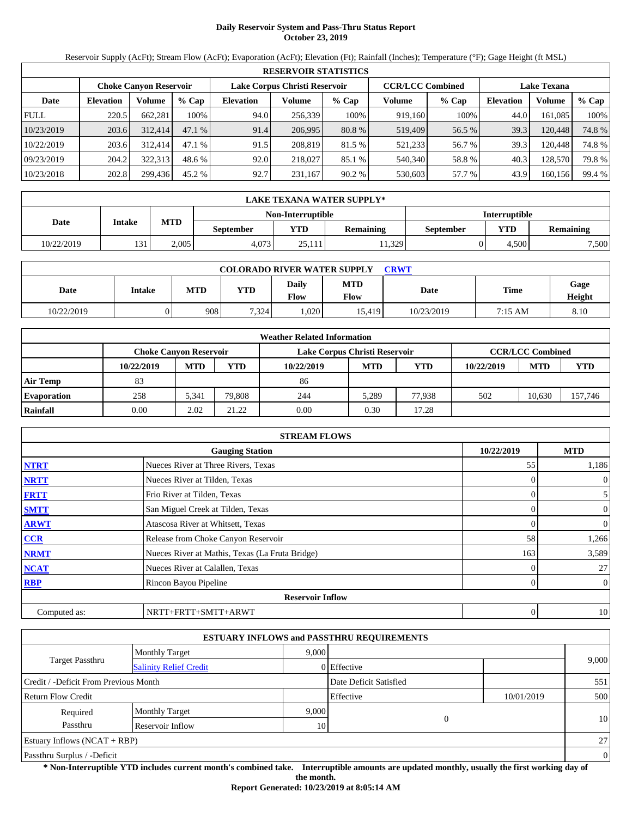# **Daily Reservoir System and Pass-Thru Status Report October 23, 2019**

Reservoir Supply (AcFt); Stream Flow (AcFt); Evaporation (AcFt); Elevation (Ft); Rainfall (Inches); Temperature (°F); Gage Height (ft MSL)

|             | <b>RESERVOIR STATISTICS</b> |                               |         |                               |         |         |                         |         |                    |         |        |  |  |
|-------------|-----------------------------|-------------------------------|---------|-------------------------------|---------|---------|-------------------------|---------|--------------------|---------|--------|--|--|
|             |                             | <b>Choke Canyon Reservoir</b> |         | Lake Corpus Christi Reservoir |         |         | <b>CCR/LCC Combined</b> |         | <b>Lake Texana</b> |         |        |  |  |
| Date        | <b>Elevation</b>            | Volume                        | $%$ Cap | <b>Elevation</b>              | Volume  | $%$ Cap | Volume                  | $%$ Cap | <b>Elevation</b>   | Volume  | % Cap  |  |  |
| <b>FULL</b> | 220.5                       | 662,281                       | 100%    | 94.0                          | 256,339 | 100%    | 919,160                 | 100%    | 44.0               | 161.085 | 100%   |  |  |
| 10/23/2019  | 203.6                       | 312,414                       | 47.1%   | 91.4                          | 206.995 | 80.8 %  | 519,409                 | 56.5 %  | 39.3               | 120.448 | 74.8%  |  |  |
| 10/22/2019  | 203.6                       | 312,414                       | 47.1%   | 91.5                          | 208,819 | 81.5 %  | 521,233                 | 56.7 %  | 39.3               | 120.448 | 74.8%  |  |  |
| 09/23/2019  | 204.2                       | 322,313                       | 48.6 %  | 92.0                          | 218,027 | 85.1 %  | 540,340                 | 58.8%   | 40.3               | 128,570 | 79.8%  |  |  |
| 10/23/2018  | 202.8                       | 299,436                       | 45.2 %  | 92.7                          | 231,167 | 90.2%   | 530,603                 | 57.7 %  | 43.9               | 160,156 | 99.4 % |  |  |

|            | <b>LAKE TEXANA WATER SUPPLY*</b> |            |                  |                   |                      |           |            |                  |  |  |  |
|------------|----------------------------------|------------|------------------|-------------------|----------------------|-----------|------------|------------------|--|--|--|
|            |                                  |            |                  | Non-Interruptible | <b>Interruptible</b> |           |            |                  |  |  |  |
| Date       | Intake                           | <b>MTD</b> | <b>September</b> | $\mathbf{v}$ TD   | <b>Remaining</b>     | September | <b>YTD</b> | <b>Remaining</b> |  |  |  |
| 10/22/2019 | 121<br>الال                      | 2.005      | 4.073            | 25.111            | 11.329               |           | 4.500      | 7,500            |  |  |  |

| <b>COLORADO RIVER WATER SUPPLY</b><br><b>CRWT</b> |        |            |            |               |                           |            |         |                       |  |  |  |
|---------------------------------------------------|--------|------------|------------|---------------|---------------------------|------------|---------|-----------------------|--|--|--|
| Date                                              | Intake | <b>MTD</b> | <b>YTD</b> | Daily<br>Flow | <b>MTD</b><br><b>Flow</b> | Date       | Time    | Gage<br><b>Height</b> |  |  |  |
| 10/22/2019                                        | 0      | 908.       | 7,324      | 0.020         | 15.419                    | 10/23/2019 | 7:15 AM | 8.10                  |  |  |  |

|                    | <b>Weather Related Information</b> |            |        |                               |            |            |            |                         |         |  |  |  |
|--------------------|------------------------------------|------------|--------|-------------------------------|------------|------------|------------|-------------------------|---------|--|--|--|
|                    | <b>Choke Canyon Reservoir</b>      |            |        | Lake Corpus Christi Reservoir |            |            |            | <b>CCR/LCC Combined</b> |         |  |  |  |
|                    | 10/22/2019                         | <b>MTD</b> | YTD    | 10/22/2019                    | <b>MTD</b> | <b>YTD</b> | 10/22/2019 | <b>MTD</b>              | YTD     |  |  |  |
| <b>Air Temp</b>    | 83                                 |            |        | 86                            |            |            |            |                         |         |  |  |  |
| <b>Evaporation</b> | 258                                | 5.341      | 79.808 | 244                           | 5.289      | 77.938     | 502        | 10.630                  | 157,746 |  |  |  |
| Rainfall           | 0.00                               | 2.02       | 21.22  | 0.00                          | 0.30       | 17.28      |            |                         |         |  |  |  |

|              | <b>STREAM FLOWS</b>                             |            |                |
|--------------|-------------------------------------------------|------------|----------------|
|              | <b>Gauging Station</b>                          | 10/22/2019 | <b>MTD</b>     |
| <b>NTRT</b>  | Nueces River at Three Rivers, Texas             | 55         | 1,186          |
| <b>NRTT</b>  | Nueces River at Tilden, Texas                   |            | $\overline{0}$ |
| <b>FRTT</b>  | Frio River at Tilden, Texas                     |            | 5 <sup>5</sup> |
| <b>SMTT</b>  | San Miguel Creek at Tilden, Texas               |            | $\overline{0}$ |
| <b>ARWT</b>  | Atascosa River at Whitsett, Texas               |            | $\overline{0}$ |
| CCR          | Release from Choke Canyon Reservoir             | 58         | 1,266          |
| <b>NRMT</b>  | Nueces River at Mathis, Texas (La Fruta Bridge) | 163        | 3,589          |
| <b>NCAT</b>  | Nueces River at Calallen, Texas                 |            | 27             |
| <b>RBP</b>   | Rincon Bayou Pipeline                           |            | $\overline{0}$ |
|              | <b>Reservoir Inflow</b>                         |            |                |
| Computed as: | NRTT+FRTT+SMTT+ARWT                             | 0          | 10             |

|                                       |                               |       | <b>ESTUARY INFLOWS and PASSTHRU REQUIREMENTS</b> |            |                |
|---------------------------------------|-------------------------------|-------|--------------------------------------------------|------------|----------------|
|                                       | <b>Monthly Target</b>         | 9.000 |                                                  |            |                |
| <b>Target Passthru</b>                | <b>Salinity Relief Credit</b> |       | 0 Effective                                      |            | 9,000          |
| Credit / -Deficit From Previous Month |                               |       | Date Deficit Satisfied                           |            | 551            |
| <b>Return Flow Credit</b>             |                               |       | Effective                                        | 10/01/2019 | 500            |
| Required                              | <b>Monthly Target</b>         | 9,000 |                                                  |            |                |
| Passthru                              | Reservoir Inflow              | 10    | $\overline{0}$                                   |            | 10             |
| <b>Estuary Inflows (NCAT + RBP)</b>   |                               |       |                                                  |            | 27             |
| Passthru Surplus / -Deficit           |                               |       |                                                  |            | $\overline{0}$ |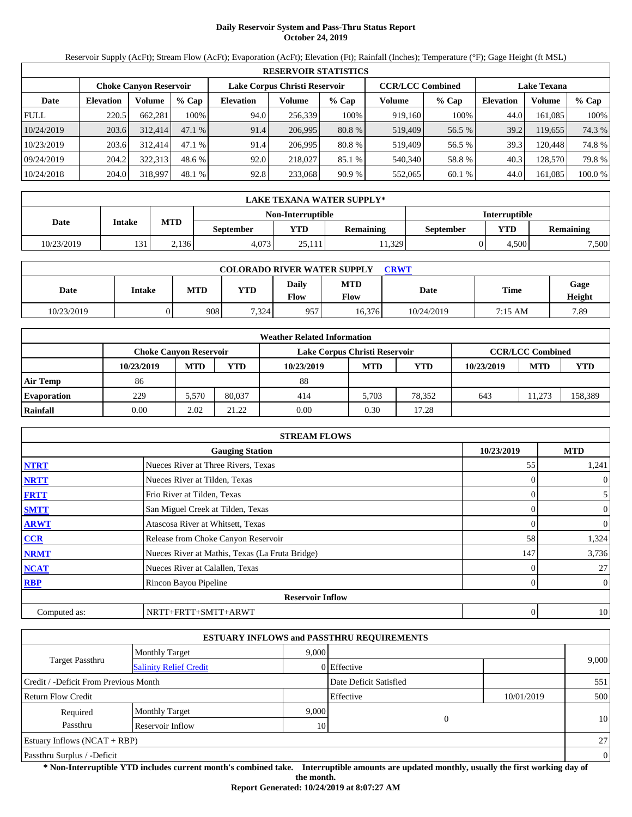# **Daily Reservoir System and Pass-Thru Status Report October 24, 2019**

Reservoir Supply (AcFt); Stream Flow (AcFt); Evaporation (AcFt); Elevation (Ft); Rainfall (Inches); Temperature (°F); Gage Height (ft MSL)

|             | <b>RESERVOIR STATISTICS</b> |                               |         |                  |                               |         |                         |         |                    |         |         |  |  |
|-------------|-----------------------------|-------------------------------|---------|------------------|-------------------------------|---------|-------------------------|---------|--------------------|---------|---------|--|--|
|             |                             | <b>Choke Canvon Reservoir</b> |         |                  | Lake Corpus Christi Reservoir |         | <b>CCR/LCC Combined</b> |         | <b>Lake Texana</b> |         |         |  |  |
| Date        | <b>Elevation</b>            | Volume                        | $%$ Cap | <b>Elevation</b> | Volume                        | $%$ Cap | Volume                  | $%$ Cap | <b>Elevation</b>   | Volume  | % Cap   |  |  |
| <b>FULL</b> | 220.5                       | 662.281                       | 100%    | 94.0             | 256.339                       | 100%    | 919.160                 | 100%    | 44.0               | 161.085 | 100%    |  |  |
| 10/24/2019  | 203.6                       | 312,414                       | 47.1 %  | 91.4             | 206,995                       | 80.8 %  | 519,409                 | 56.5 %  | 39.2               | 19,655  | 74.3 %  |  |  |
| 10/23/2019  | 203.6                       | 312.414                       | 47.1 %  | 91.4             | 206.995                       | 80.8 %  | 519.409                 | 56.5 %  | 39.3               | 120.448 | 74.8 %  |  |  |
| 09/24/2019  | 204.2                       | 322.313                       | 48.6 %  | 92.0             | 218,027                       | 85.1 %  | 540,340                 | 58.8%   | 40.3               | 128.570 | 79.8 %  |  |  |
| 10/24/2018  | 204.0                       | 318,997                       | 48.1 %  | 92.8             | 233,068                       | 90.9%   | 552,065                 | 60.1 %  | 44.0               | 161,085 | 100.0 % |  |  |

|            | LAKE TEXANA WATER SUPPLY* |            |                  |                   |                  |                      |            |                  |  |  |  |
|------------|---------------------------|------------|------------------|-------------------|------------------|----------------------|------------|------------------|--|--|--|
|            |                           |            |                  | Non-Interruptible |                  | <b>Interruptible</b> |            |                  |  |  |  |
| Date       | Intake                    | <b>MTD</b> | <b>September</b> | <b>YTD</b>        | <b>Remaining</b> | September            | <b>YTD</b> | <b>Remaining</b> |  |  |  |
| 10/23/2019 | 131                       | 2.136      | 4.073            | 25.111            | 11.329           |                      | 4.500      | 7,500            |  |  |  |

| <b>COLORADO RIVER WATER SUPPLY</b><br>CRWT |        |            |            |               |             |            |         |                |  |  |  |
|--------------------------------------------|--------|------------|------------|---------------|-------------|------------|---------|----------------|--|--|--|
| Date                                       | Intake | <b>MTD</b> | <b>YTD</b> | Daily<br>Flow | MTD<br>Flow | Date       | Time    | Gage<br>Height |  |  |  |
| 10/23/2019                                 |        | 908        | 7.324      | 957           | 16,376      | 10/24/2019 | 7:15 AM | 7.89           |  |  |  |

|                    |                               |            |        | <b>Weather Related Information</b> |            |            |            |                         |         |
|--------------------|-------------------------------|------------|--------|------------------------------------|------------|------------|------------|-------------------------|---------|
|                    | <b>Choke Canyon Reservoir</b> |            |        | Lake Corpus Christi Reservoir      |            |            |            | <b>CCR/LCC Combined</b> |         |
|                    | 10/23/2019                    | <b>MTD</b> | YTD    | 10/23/2019                         | <b>MTD</b> | <b>YTD</b> | 10/23/2019 | <b>MTD</b>              | YTD     |
| <b>Air Temp</b>    | 86                            |            |        | 88                                 |            |            |            |                         |         |
| <b>Evaporation</b> | 229                           | 5.570      | 80,037 | 414                                | 5.703      | 78,352     | 643        | 1.273                   | 158,389 |
| Rainfall           | 0.00                          | 2.02       | 21.22  | 0.00                               | 0.30       | 17.28      |            |                         |         |

|              | <b>STREAM FLOWS</b>                             |            |                |
|--------------|-------------------------------------------------|------------|----------------|
|              | <b>Gauging Station</b>                          | 10/23/2019 | <b>MTD</b>     |
| <b>NTRT</b>  | Nueces River at Three Rivers, Texas             | 55         | 1,241          |
| <b>NRTT</b>  | Nueces River at Tilden, Texas                   |            | $\overline{0}$ |
| <b>FRTT</b>  | Frio River at Tilden, Texas                     |            | $\mathfrak{S}$ |
| <b>SMTT</b>  | San Miguel Creek at Tilden, Texas               |            | $\mathbf{0}$   |
| <b>ARWT</b>  | Atascosa River at Whitsett, Texas               |            | $\overline{0}$ |
| <b>CCR</b>   | Release from Choke Canyon Reservoir             | 58         | 1,324          |
| <b>NRMT</b>  | Nueces River at Mathis, Texas (La Fruta Bridge) | 147        | 3,736          |
| <b>NCAT</b>  | Nueces River at Calallen, Texas                 |            | 27             |
| <b>RBP</b>   | Rincon Bayou Pipeline                           |            | $\overline{0}$ |
|              | <b>Reservoir Inflow</b>                         |            |                |
| Computed as: | NRTT+FRTT+SMTT+ARWT                             |            | 10             |

|                                       |                               |       | <b>ESTUARY INFLOWS and PASSTHRU REQUIREMENTS</b> |            |          |
|---------------------------------------|-------------------------------|-------|--------------------------------------------------|------------|----------|
|                                       | <b>Monthly Target</b>         | 9.000 |                                                  |            |          |
| Target Passthru                       | <b>Salinity Relief Credit</b> |       | $0$ Effective                                    |            | 9,000    |
| Credit / -Deficit From Previous Month |                               |       | Date Deficit Satisfied                           |            | 551      |
| Return Flow Credit                    |                               |       | Effective                                        | 10/01/2019 | 500      |
| Required                              | <b>Monthly Target</b>         | 9,000 |                                                  |            |          |
| Passthru                              | Reservoir Inflow              | 10    | 0                                                |            | 10       |
| Estuary Inflows $(NCAT + RBP)$        |                               |       |                                                  |            | 27       |
| Passthru Surplus / -Deficit           |                               |       |                                                  |            | $\theta$ |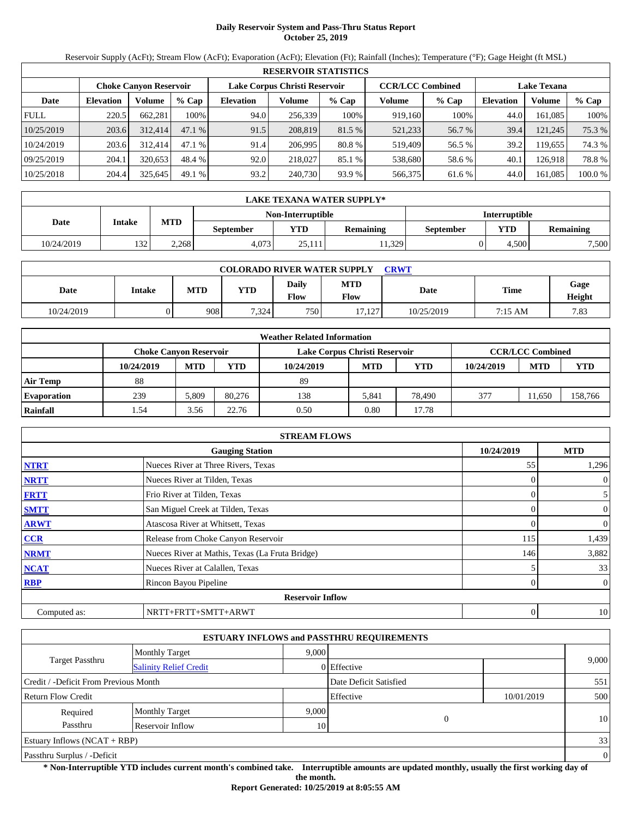# **Daily Reservoir System and Pass-Thru Status Report October 25, 2019**

Reservoir Supply (AcFt); Stream Flow (AcFt); Evaporation (AcFt); Elevation (Ft); Rainfall (Inches); Temperature (°F); Gage Height (ft MSL)

|             | <b>RESERVOIR STATISTICS</b> |                        |         |                  |                               |         |         |                         |                  |                    |         |  |  |
|-------------|-----------------------------|------------------------|---------|------------------|-------------------------------|---------|---------|-------------------------|------------------|--------------------|---------|--|--|
|             |                             | Choke Canvon Reservoir |         |                  | Lake Corpus Christi Reservoir |         |         | <b>CCR/LCC Combined</b> |                  | <b>Lake Texana</b> |         |  |  |
| Date        | <b>Elevation</b>            | Volume                 | $%$ Cap | <b>Elevation</b> | Volume                        | $%$ Cap | Volume  | $%$ Cap                 | <b>Elevation</b> | Volume             | $%$ Cap |  |  |
| <b>FULL</b> | 220.5                       | 662.281                | 100%    | 94.0             | 256.339                       | 100%    | 919.160 | 100%                    | 44.0             | 161.085            | 100%    |  |  |
| 10/25/2019  | 203.6                       | 312,414                | 47.1 %  | 91.5             | 208,819                       | 81.5 %  | 521,233 | 56.7 %                  | 39.4             | 121.245            | 75.3 %  |  |  |
| 10/24/2019  | 203.6                       | 312.414                | 47.1 %  | 91.4             | 206,995                       | 80.8 %  | 519.409 | 56.5 %                  | 39.2             | 19.655             | 74.3 %  |  |  |
| 09/25/2019  | 204.1                       | 320.653                | 48.4 %  | 92.0             | 218,027                       | 85.1 %  | 538,680 | 58.6 %                  | 40.1             | 126.918            | 78.8%   |  |  |
| 10/25/2018  | 204.4                       | 325,645                | 49.1 %  | 93.2             | 240,730                       | 93.9 %  | 566,375 | 61.6 %                  | 44.0             | 161,085            | 100.0 % |  |  |

|            | LAKE TEXANA WATER SUPPLY* |                                           |           |            |                  |           |            |                  |  |  |
|------------|---------------------------|-------------------------------------------|-----------|------------|------------------|-----------|------------|------------------|--|--|
|            |                           | Non-Interruptible<br><b>Interruptible</b> |           |            |                  |           |            |                  |  |  |
| Date       | Intake                    | <b>MTD</b>                                | September | <b>YTD</b> | <b>Remaining</b> | September | <b>YTD</b> | <b>Remaining</b> |  |  |
| 10/24/2019 | 132                       | 2.268                                     | 4.073     | 25.111     | 11.329           |           | 4.500      | 7,500            |  |  |

| <b>COLORADO RIVER WATER SUPPLY</b><br>CRWT |        |            |            |               |             |            |         |                |  |  |  |
|--------------------------------------------|--------|------------|------------|---------------|-------------|------------|---------|----------------|--|--|--|
| Date                                       | Intake | <b>MTD</b> | <b>YTD</b> | Daily<br>Flow | MTD<br>Flow | Date       | Time    | Gage<br>Height |  |  |  |
| 10/24/2019                                 |        | 908        | 7.324      | 750           | 17,127      | 10/25/2019 | 7:15 AM | 7.83           |  |  |  |

|                    | <b>Weather Related Information</b> |            |        |                               |            |            |            |                         |            |  |  |  |
|--------------------|------------------------------------|------------|--------|-------------------------------|------------|------------|------------|-------------------------|------------|--|--|--|
|                    | <b>Choke Canyon Reservoir</b>      |            |        | Lake Corpus Christi Reservoir |            |            |            | <b>CCR/LCC Combined</b> |            |  |  |  |
|                    | 10/24/2019                         | <b>MTD</b> | YTD    | 10/24/2019                    | <b>MTD</b> | <b>YTD</b> | 10/24/2019 | <b>MTD</b>              | <b>YTD</b> |  |  |  |
| <b>Air Temp</b>    | 88                                 |            |        | 89                            |            |            |            |                         |            |  |  |  |
| <b>Evaporation</b> | 239                                | 5.809      | 80.276 | 138                           | 5.841      | 78,490     | 377        | 1.650                   | 158,766    |  |  |  |
| Rainfall           | l.54                               | 3.56       | 22.76  | 0.50                          | 0.80       | 17.78      |            |                         |            |  |  |  |

|              | <b>STREAM FLOWS</b>                             |            |                |
|--------------|-------------------------------------------------|------------|----------------|
|              | <b>Gauging Station</b>                          | 10/24/2019 | <b>MTD</b>     |
| <b>NTRT</b>  | Nueces River at Three Rivers, Texas             | 55         | 1,296          |
| <b>NRTT</b>  | Nueces River at Tilden, Texas                   |            | $\mathbf{0}$   |
| <b>FRTT</b>  | Frio River at Tilden, Texas                     | 0          | 5              |
| <b>SMTT</b>  | San Miguel Creek at Tilden, Texas               |            | $\mathbf{0}$   |
| <b>ARWT</b>  | Atascosa River at Whitsett, Texas               |            | $\mathbf{0}$   |
| <b>CCR</b>   | Release from Choke Canyon Reservoir             | 115        | 1,439          |
| <b>NRMT</b>  | Nueces River at Mathis, Texas (La Fruta Bridge) | 146        | 3,882          |
| <b>NCAT</b>  | Nueces River at Calallen, Texas                 |            | 33             |
| <b>RBP</b>   | Rincon Bayou Pipeline                           | 0          | $\overline{0}$ |
|              | <b>Reservoir Inflow</b>                         |            |                |
| Computed as: | NRTT+FRTT+SMTT+ARWT                             | 0          | 10             |

|                                       |                               |       | <b>ESTUARY INFLOWS and PASSTHRU REQUIREMENTS</b> |            |          |
|---------------------------------------|-------------------------------|-------|--------------------------------------------------|------------|----------|
|                                       | <b>Monthly Target</b>         | 9.000 |                                                  |            |          |
| <b>Target Passthru</b>                | <b>Salinity Relief Credit</b> |       | 0 Effective                                      |            | 9,000    |
| Credit / -Deficit From Previous Month |                               |       | Date Deficit Satisfied                           |            | 551      |
| <b>Return Flow Credit</b>             |                               |       | Effective                                        | 10/01/2019 | 500      |
| Required                              | <b>Monthly Target</b>         | 9.000 |                                                  |            |          |
| Passthru                              | Reservoir Inflow              | 10    | $\theta$                                         |            | 10       |
| <b>Estuary Inflows (NCAT + RBP)</b>   |                               |       |                                                  |            | 33       |
| Passthru Surplus / -Deficit           |                               |       |                                                  |            | $\theta$ |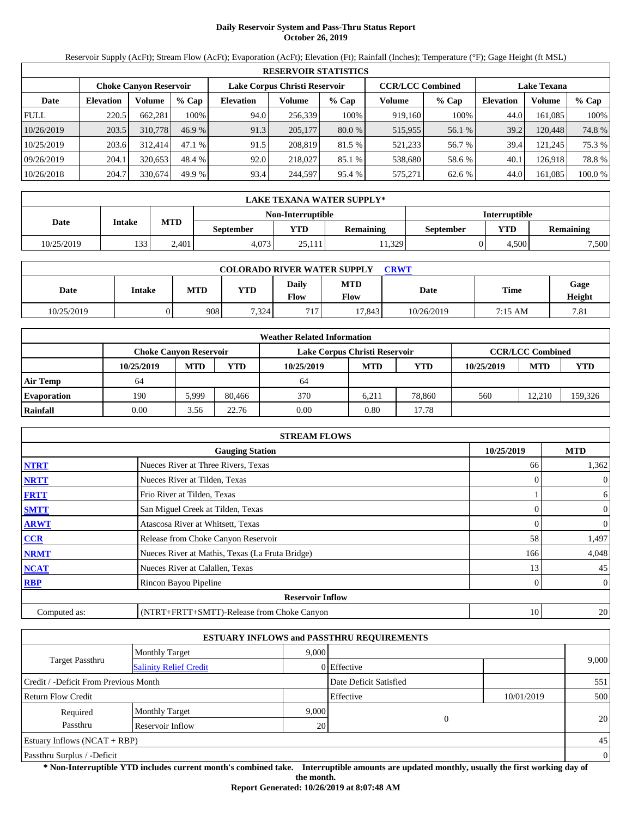# **Daily Reservoir System and Pass-Thru Status Report October 26, 2019**

Reservoir Supply (AcFt); Stream Flow (AcFt); Evaporation (AcFt); Elevation (Ft); Rainfall (Inches); Temperature (°F); Gage Height (ft MSL)

|             | <b>RESERVOIR STATISTICS</b> |                               |         |                  |                               |          |                         |         |                    |         |        |  |  |
|-------------|-----------------------------|-------------------------------|---------|------------------|-------------------------------|----------|-------------------------|---------|--------------------|---------|--------|--|--|
|             |                             | <b>Choke Canvon Reservoir</b> |         |                  | Lake Corpus Christi Reservoir |          | <b>CCR/LCC Combined</b> |         | <b>Lake Texana</b> |         |        |  |  |
| Date        | <b>Elevation</b>            | Volume                        | $%$ Cap | <b>Elevation</b> | Volume                        | $%$ Cap  | Volume                  | $%$ Cap | <b>Elevation</b>   | Volume  | % Cap  |  |  |
| <b>FULL</b> | 220.5                       | 662.281                       | 100%    | 94.0             | 256.339                       | 100%     | 919.160                 | 100%    | 44.0               | 161.085 | 100%   |  |  |
| 10/26/2019  | 203.5                       | 310,778                       | 46.9 %  | 91.3             | 205,177                       | $80.0\%$ | 515,955                 | 56.1 %  | 39.2               | 120.448 | 74.8 % |  |  |
| 10/25/2019  | 203.6                       | 312.414                       | 47.1 %  | 91.5             | 208,819                       | 81.5 %   | 521.233                 | 56.7 %  | 39.4               | 121.245 | 75.3 % |  |  |
| 09/26/2019  | 204.1                       | 320.653                       | 48.4 %  | 92.0             | 218,027                       | 85.1 %   | 538,680                 | 58.6 %  | 40.1               | 126.918 | 78.8%  |  |  |
| 10/26/2018  | 204.7                       | 330,674                       | 49.9 %  | 93.4             | 244.597                       | 95.4 %   | 575,271                 | 62.6 %  | 44.0               | 161,085 | 100.0% |  |  |

|            | LAKE TEXANA WATER SUPPLY*                 |            |                  |        |                  |           |            |                  |  |  |  |
|------------|-------------------------------------------|------------|------------------|--------|------------------|-----------|------------|------------------|--|--|--|
|            | Non-Interruptible<br><b>Interruptible</b> |            |                  |        |                  |           |            |                  |  |  |  |
| Date       | Intake                                    | <b>MTD</b> | <b>September</b> | YTD    | <b>Remaining</b> | September | <b>YTD</b> | <b>Remaining</b> |  |  |  |
| 10/25/2019 | 133                                       | 2.401      | 4.073            | 25.111 | 11.329           |           | 4.500      | 7,500            |  |  |  |

| <b>COLORADO RIVER WATER SUPPLY</b><br>CRWT |        |            |            |               |             |            |         |                |  |  |  |
|--------------------------------------------|--------|------------|------------|---------------|-------------|------------|---------|----------------|--|--|--|
| Date                                       | Intake | <b>MTD</b> | <b>YTD</b> | Daily<br>Flow | MTD<br>Flow | Date       | Time    | Gage<br>Height |  |  |  |
| 10/25/2019                                 |        | 908        | 7.324      | 717           | 17,843      | 10/26/2019 | 7:15 AM | 7.81           |  |  |  |

|                    | <b>Weather Related Information</b> |            |        |                               |            |            |            |                         |            |  |  |  |
|--------------------|------------------------------------|------------|--------|-------------------------------|------------|------------|------------|-------------------------|------------|--|--|--|
|                    | <b>Choke Canyon Reservoir</b>      |            |        | Lake Corpus Christi Reservoir |            |            |            | <b>CCR/LCC Combined</b> |            |  |  |  |
|                    | 10/25/2019                         | <b>MTD</b> | YTD    | 10/25/2019                    | <b>MTD</b> | <b>YTD</b> | 10/25/2019 | <b>MTD</b>              | <b>YTD</b> |  |  |  |
| <b>Air Temp</b>    | 64                                 |            |        | 64                            |            |            |            |                         |            |  |  |  |
| <b>Evaporation</b> | 190                                | 5,999      | 80.466 | 370                           | 6.211      | 78,860     | 560        | 12.210                  | 159,326    |  |  |  |
| Rainfall           | 0.00                               | 3.56       | 22.76  | 0.00                          | 0.80       | 17.78      |            |                         |            |  |  |  |

|              | <b>STREAM FLOWS</b>                             |            |                  |
|--------------|-------------------------------------------------|------------|------------------|
|              | <b>Gauging Station</b>                          | 10/25/2019 | <b>MTD</b>       |
| <b>NTRT</b>  | Nueces River at Three Rivers, Texas             | 66         | 1,362            |
| <b>NRTT</b>  | Nueces River at Tilden, Texas                   |            | $\theta$         |
| <b>FRTT</b>  | Frio River at Tilden, Texas                     |            | 6                |
| <b>SMTT</b>  | San Miguel Creek at Tilden, Texas               |            | $\boldsymbol{0}$ |
| <b>ARWT</b>  | Atascosa River at Whitsett, Texas               |            | $\overline{0}$   |
| <b>CCR</b>   | Release from Choke Canyon Reservoir             | 58         | 1,497            |
| <b>NRMT</b>  | Nueces River at Mathis, Texas (La Fruta Bridge) | 166        | 4,048            |
| <b>NCAT</b>  | Nueces River at Calallen, Texas                 | 13         | 45               |
| <b>RBP</b>   | Rincon Bayou Pipeline                           |            | $\overline{0}$   |
|              | <b>Reservoir Inflow</b>                         |            |                  |
| Computed as: | (NTRT+FRTT+SMTT)-Release from Choke Canyon      | 10         | 20               |

|                                                         |                       |       | <b>ESTUARY INFLOWS and PASSTHRU REQUIREMENTS</b> |            |                |
|---------------------------------------------------------|-----------------------|-------|--------------------------------------------------|------------|----------------|
|                                                         | <b>Monthly Target</b> | 9.000 |                                                  |            |                |
| <b>Target Passthru</b><br><b>Salinity Relief Credit</b> |                       |       | 0 Effective                                      |            | 9,000          |
| Credit / -Deficit From Previous Month                   |                       |       | Date Deficit Satisfied                           |            | 551            |
| <b>Return Flow Credit</b>                               |                       |       | Effective                                        | 10/01/2019 | 500            |
| Required                                                | <b>Monthly Target</b> | 9,000 |                                                  |            |                |
| Passthru                                                | Reservoir Inflow      | 20    | 0                                                |            | 20             |
| Estuary Inflows $(NCAT + RBP)$                          |                       |       |                                                  |            | 45             |
| Passthru Surplus / -Deficit                             |                       |       |                                                  |            | $\overline{0}$ |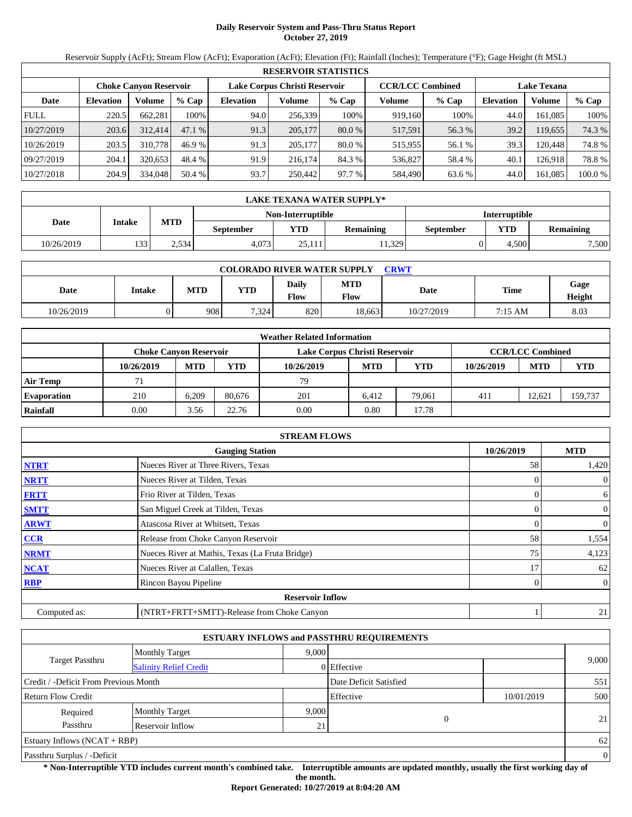# **Daily Reservoir System and Pass-Thru Status Report October 27, 2019**

Reservoir Supply (AcFt); Stream Flow (AcFt); Evaporation (AcFt); Elevation (Ft); Rainfall (Inches); Temperature (°F); Gage Height (ft MSL)

|                                                                                           | <b>RESERVOIR STATISTICS</b> |         |        |                  |         |          |         |                    |                  |         |        |  |
|-------------------------------------------------------------------------------------------|-----------------------------|---------|--------|------------------|---------|----------|---------|--------------------|------------------|---------|--------|--|
| Lake Corpus Christi Reservoir<br><b>CCR/LCC Combined</b><br><b>Choke Canvon Reservoir</b> |                             |         |        |                  |         |          |         | <b>Lake Texana</b> |                  |         |        |  |
| Date                                                                                      | <b>Elevation</b>            | Volume  | % Cap  | <b>Elevation</b> | Volume  | $%$ Cap  | Volume  | $%$ Cap            | <b>Elevation</b> | Volume  | % Cap  |  |
| <b>FULL</b>                                                                               | 220.5                       | 662.281 | 100%   | 94.0             | 256.339 | 100%     | 919.160 | 100%               | 44.0             | 161.085 | 100%   |  |
| 10/27/2019                                                                                | 203.6                       | 312,414 | 47.1 % | 91.3             | 205,177 | $80.0\%$ | 517,591 | 56.3 %             | 39.2             | 119,655 | 74.3 % |  |
| 10/26/2019                                                                                | 203.5                       | 310,778 | 46.9 % | 91.3             | 205,177 | 80.0 %   | 515,955 | 56.1 %             | 39.3             | 120.448 | 74.8 % |  |
| 09/27/2019                                                                                | 204.1                       | 320.653 | 48.4 % | 91.9             | 216.174 | 84.3 %   | 536,827 | 58.4 %             | 40.1             | 126.918 | 78.8%  |  |
| 10/27/2018                                                                                | 204.9                       | 334,048 | 50.4 % | 93.7             | 250,442 | 97.7 %   | 584,490 | 63.6 %             | 44.0             | 161,085 | 100.0% |  |

|            | LAKE TEXANA WATER SUPPLY* |            |           |                   |                  |                      |            |                  |  |  |  |
|------------|---------------------------|------------|-----------|-------------------|------------------|----------------------|------------|------------------|--|--|--|
|            |                           |            |           | Non-Interruptible |                  | <b>Interruptible</b> |            |                  |  |  |  |
| Date       | Intake                    | <b>MTD</b> | September | <b>YTD</b>        | <b>Remaining</b> | September            | <b>YTD</b> | <b>Remaining</b> |  |  |  |
| 10/26/2019 | 133                       | 2.534      | 4.073     | 25.111            | 11.329           |                      | 4.500      | 7,500            |  |  |  |

| <b>COLORADO RIVER WATER SUPPLY</b><br>CRWT |        |            |            |               |             |            |         |                |  |  |
|--------------------------------------------|--------|------------|------------|---------------|-------------|------------|---------|----------------|--|--|
| Date                                       | Intake | <b>MTD</b> | <b>YTD</b> | Daily<br>Flow | MTD<br>Flow | Date       | Time    | Gage<br>Height |  |  |
| 10/26/2019                                 |        | 908        | 7.324      | 8201          | 18.663      | 10/27/2019 | 7:15 AM | 8.03           |  |  |

|                    |                        |            |        | <b>Weather Related Information</b> |            |            |            |                         |         |
|--------------------|------------------------|------------|--------|------------------------------------|------------|------------|------------|-------------------------|---------|
|                    | Choke Canvon Reservoir |            |        | Lake Corpus Christi Reservoir      |            |            |            | <b>CCR/LCC Combined</b> |         |
|                    | 10/26/2019             | <b>MTD</b> | YTD    | 10/26/2019                         | <b>MTD</b> | <b>YTD</b> | 10/26/2019 | <b>MTD</b>              | YTD     |
| <b>Air Temp</b>    | 71                     |            |        | 79                                 |            |            |            |                         |         |
| <b>Evaporation</b> | 210                    | 6.209      | 80.676 | 201                                | 6.412      | 79,061     | 411        | 12.621                  | 159,737 |
| Rainfall           | 0.00                   | 3.56       | 22.76  | 0.00                               | 0.80       | 17.78      |            |                         |         |

|              | <b>STREAM FLOWS</b>                             |            |                  |
|--------------|-------------------------------------------------|------------|------------------|
|              | <b>Gauging Station</b>                          | 10/26/2019 | <b>MTD</b>       |
| <b>NTRT</b>  | Nueces River at Three Rivers, Texas             | 58         | 1,420            |
| <b>NRTT</b>  | Nueces River at Tilden, Texas                   |            | $\theta$         |
| <b>FRTT</b>  | Frio River at Tilden, Texas                     |            | 6                |
| <b>SMTT</b>  | San Miguel Creek at Tilden, Texas               |            | $\boldsymbol{0}$ |
| <b>ARWT</b>  | Atascosa River at Whitsett, Texas               |            | $\overline{0}$   |
| <b>CCR</b>   | Release from Choke Canyon Reservoir             | 58         | 1,554            |
| <b>NRMT</b>  | Nueces River at Mathis, Texas (La Fruta Bridge) | 75         | 4,123            |
| <b>NCAT</b>  | Nueces River at Calallen, Texas                 | 17         | 62               |
| <b>RBP</b>   | Rincon Bayou Pipeline                           |            | $\overline{0}$   |
|              | <b>Reservoir Inflow</b>                         |            |                  |
| Computed as: | (NTRT+FRTT+SMTT)-Release from Choke Canyon      |            | 21               |

|                                       |                               |       | <b>ESTUARY INFLOWS and PASSTHRU REQUIREMENTS</b> |            |                |
|---------------------------------------|-------------------------------|-------|--------------------------------------------------|------------|----------------|
|                                       | <b>Monthly Target</b>         | 9.000 |                                                  |            |                |
| <b>Target Passthru</b>                | <b>Salinity Relief Credit</b> |       | 0 Effective                                      |            | 9,000          |
| Credit / -Deficit From Previous Month |                               |       | Date Deficit Satisfied                           |            | 551            |
| <b>Return Flow Credit</b>             |                               |       | Effective                                        | 10/01/2019 | 500            |
| Required                              | <b>Monthly Target</b>         | 9,000 |                                                  |            |                |
| Passthru                              | Reservoir Inflow              | 21    | 0                                                |            | 21             |
| Estuary Inflows $(NCAT + RBP)$        |                               |       |                                                  |            | 62             |
| Passthru Surplus / -Deficit           |                               |       |                                                  |            | $\overline{0}$ |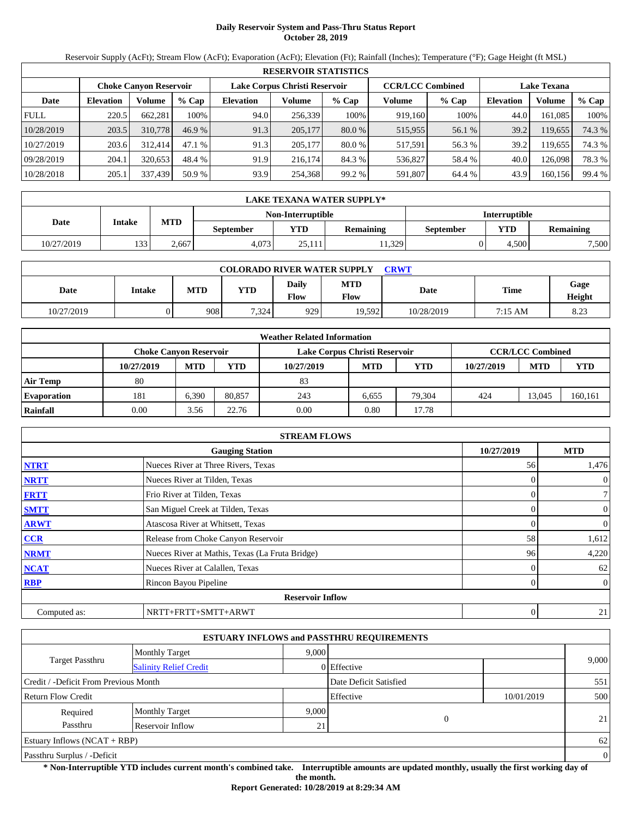# **Daily Reservoir System and Pass-Thru Status Report October 28, 2019**

Reservoir Supply (AcFt); Stream Flow (AcFt); Evaporation (AcFt); Elevation (Ft); Rainfall (Inches); Temperature (°F); Gage Height (ft MSL)

|             | <b>RESERVOIR STATISTICS</b> |                               |         |                  |                               |          |                         |         |                  |                    |        |  |
|-------------|-----------------------------|-------------------------------|---------|------------------|-------------------------------|----------|-------------------------|---------|------------------|--------------------|--------|--|
|             |                             | <b>Choke Canyon Reservoir</b> |         |                  | Lake Corpus Christi Reservoir |          | <b>CCR/LCC Combined</b> |         |                  | <b>Lake Texana</b> |        |  |
| Date        | <b>Elevation</b>            | Volume                        | $%$ Cap | <b>Elevation</b> | Volume                        | $%$ Cap  | Volume                  | $%$ Cap | <b>Elevation</b> | Volume             | % Cap  |  |
| <b>FULL</b> | 220.5                       | 662,281                       | 100%    | 94.0             | 256,339                       | 100%     | 919,160                 | 100%    | 44.0             | 161.085            | 100%   |  |
| 10/28/2019  | 203.5                       | 310,778                       | 46.9%   | 91.3             | 205,177                       | $80.0\%$ | 515,955                 | 56.1 %  | 39.2             | 119,655            | 74.3 % |  |
| 10/27/2019  | 203.6                       | 312,414                       | 47.1%   | 91.3             | 205,177                       | 80.0 %   | 517,591                 | 56.3 %  | 39.2             | 119.655            | 74.3 % |  |
| 09/28/2019  | 204.1                       | 320,653                       | 48.4 %  | 91.9             | 216.174                       | 84.3 %   | 536,827                 | 58.4 %  | 40.0             | 126.098            | 78.3 % |  |
| 10/28/2018  | 205.1                       | 337,439                       | 50.9 %  | 93.9             | 254,368                       | 99.2 %   | 591,807                 | 64.4 %  | 43.9             | 160,156            | 99.4 % |  |

|            | LAKE TEXANA WATER SUPPLY* |            |                  |                   |                  |                      |            |                  |  |  |  |
|------------|---------------------------|------------|------------------|-------------------|------------------|----------------------|------------|------------------|--|--|--|
|            |                           |            |                  | Non-Interruptible |                  | <b>Interruptible</b> |            |                  |  |  |  |
| Date       | Intake                    | <b>MTD</b> | <b>September</b> | VTD-              | <b>Remaining</b> | <b>September</b>     | <b>YTD</b> | <b>Remaining</b> |  |  |  |
| 10/27/2019 | 122<br>ن ر                | 2.667      | 4.073            | 25.111            | 11.329           |                      | 4.500      | 7,500            |  |  |  |

| <b>COLORADO RIVER WATER SUPPLY</b><br>CRWT |               |            |       |               |             |            |             |                |  |  |
|--------------------------------------------|---------------|------------|-------|---------------|-------------|------------|-------------|----------------|--|--|
| Date                                       | <b>Intake</b> | <b>MTD</b> | YTD   | Daily<br>Flow | MTD<br>Flow | Date       | <b>Time</b> | Gage<br>Height |  |  |
| 10/27/2019                                 |               | 908        | 7.324 | 929           | 19.592      | 10/28/2019 | 7:15 AM     | 8.23           |  |  |

|                    | <b>Weather Related Information</b> |            |        |                               |            |            |            |                         |         |  |  |
|--------------------|------------------------------------|------------|--------|-------------------------------|------------|------------|------------|-------------------------|---------|--|--|
|                    | <b>Choke Canyon Reservoir</b>      |            |        | Lake Corpus Christi Reservoir |            |            |            | <b>CCR/LCC Combined</b> |         |  |  |
|                    | 10/27/2019                         | <b>MTD</b> | YTD    | 10/27/2019                    | <b>MTD</b> | <b>YTD</b> | 10/27/2019 | <b>MTD</b>              | YTD     |  |  |
| <b>Air Temp</b>    | 80                                 |            |        | 83                            |            |            |            |                         |         |  |  |
| <b>Evaporation</b> | 181                                | 6.390      | 80,857 | 243                           | 6.655      | 79.304     | 424        | 13.045                  | 160,161 |  |  |
| Rainfall           | 0.00                               | 3.56       | 22.76  | 0.00                          | 0.80       | 17.78      |            |                         |         |  |  |

|              | <b>STREAM FLOWS</b>                             |            |                |
|--------------|-------------------------------------------------|------------|----------------|
|              | <b>Gauging Station</b>                          | 10/27/2019 | <b>MTD</b>     |
| <b>NTRT</b>  | Nueces River at Three Rivers, Texas             | 56         | 1,476          |
| <b>NRTT</b>  | Nueces River at Tilden, Texas                   | $\Omega$   | $\overline{0}$ |
| <b>FRTT</b>  | Frio River at Tilden, Texas                     | 0          | 7              |
| <b>SMTT</b>  | San Miguel Creek at Tilden, Texas               | 0          | $\overline{0}$ |
| <b>ARWT</b>  | Atascosa River at Whitsett, Texas               |            | $\theta$       |
| CCR          | Release from Choke Canyon Reservoir             | 58         | 1,612          |
| <b>NRMT</b>  | Nueces River at Mathis, Texas (La Fruta Bridge) | 96         | 4,220          |
| <b>NCAT</b>  | Nueces River at Calallen, Texas                 |            | 62             |
| <b>RBP</b>   | Rincon Bayou Pipeline                           | 0          | $\overline{0}$ |
|              | <b>Reservoir Inflow</b>                         |            |                |
| Computed as: | NRTT+FRTT+SMTT+ARWT                             | 0          | 21             |

|                                       |                               |       | <b>ESTUARY INFLOWS and PASSTHRU REQUIREMENTS</b> |            |          |
|---------------------------------------|-------------------------------|-------|--------------------------------------------------|------------|----------|
|                                       | <b>Monthly Target</b>         | 9.000 |                                                  |            |          |
| <b>Target Passthru</b>                | <b>Salinity Relief Credit</b> |       | 0 Effective                                      |            | 9,000    |
| Credit / -Deficit From Previous Month |                               |       | Date Deficit Satisfied                           |            | 551      |
| <b>Return Flow Credit</b>             |                               |       | Effective                                        | 10/01/2019 | 500      |
| Required                              | <b>Monthly Target</b>         | 9,000 |                                                  |            |          |
| Passthru                              | Reservoir Inflow              | 21    | 0                                                |            | 21       |
| <b>Estuary Inflows (NCAT + RBP)</b>   |                               |       |                                                  |            | 62       |
| Passthru Surplus / -Deficit           |                               |       |                                                  |            | $\theta$ |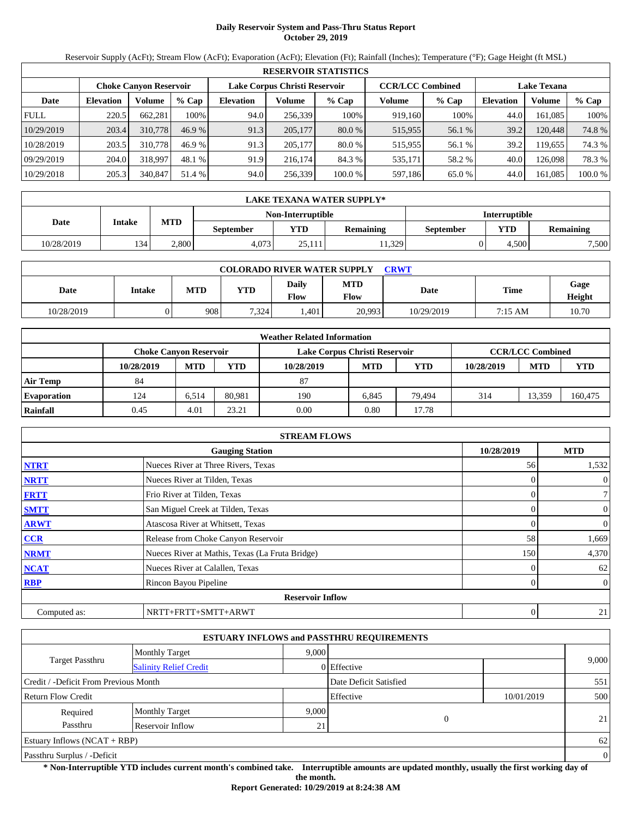# **Daily Reservoir System and Pass-Thru Status Report October 29, 2019**

Reservoir Supply (AcFt); Stream Flow (AcFt); Evaporation (AcFt); Elevation (Ft); Rainfall (Inches); Temperature (°F); Gage Height (ft MSL)

|             | <b>RESERVOIR STATISTICS</b> |                        |         |                  |                               |          |                         |         |                    |         |         |  |  |
|-------------|-----------------------------|------------------------|---------|------------------|-------------------------------|----------|-------------------------|---------|--------------------|---------|---------|--|--|
|             |                             | Choke Canvon Reservoir |         |                  | Lake Corpus Christi Reservoir |          | <b>CCR/LCC Combined</b> |         | <b>Lake Texana</b> |         |         |  |  |
| Date        | <b>Elevation</b>            | Volume                 | $%$ Cap | <b>Elevation</b> | Volume                        | $%$ Cap  | Volume                  | $%$ Cap | <b>Elevation</b>   | Volume  | $%$ Cap |  |  |
| <b>FULL</b> | 220.5                       | 662.281                | 100%    | 94.0             | 256.339                       | 100%     | 919.160                 | 100%    | 44.0               | 161.085 | 100%    |  |  |
| 10/29/2019  | 203.4                       | 310,778                | 46.9 %  | 91.3             | 205,177                       | $80.0\%$ | 515,955                 | 56.1 %  | 39.2               | 120.448 | 74.8 %  |  |  |
| 10/28/2019  | 203.5                       | 310,778                | 46.9 %  | 91.3             | 205,177                       | 80.0 %   | 515,955                 | 56.1 %  | 39.2               | 19.655  | 74.3 %  |  |  |
| 09/29/2019  | 204.0                       | 318,997                | 48.1 %  | 91.9             | 216.174                       | 84.3 %   | 535,171                 | 58.2 %  | 40.0               | 126.098 | 78.3 %  |  |  |
| 10/29/2018  | 205.3                       | 340,847                | 51.4 %  | 94.0             | 256,339                       | 100.0 %  | 597,186                 | 65.0 %  | 44.0               | 161,085 | 100.0 % |  |  |

|            | LAKE TEXANA WATER SUPPLY* |                                           |           |            |                  |           |            |                  |  |  |
|------------|---------------------------|-------------------------------------------|-----------|------------|------------------|-----------|------------|------------------|--|--|
|            |                           | Non-Interruptible<br><b>Interruptible</b> |           |            |                  |           |            |                  |  |  |
| Date       | Intake                    | <b>MTD</b>                                | September | <b>YTD</b> | <b>Remaining</b> | September | <b>YTD</b> | <b>Remaining</b> |  |  |
| 10/28/2019 | 134                       | 2.800                                     | 4.073     | 25.111     | 11.329           |           | 4.500      | 7,500            |  |  |

| <b>COLORADO RIVER WATER SUPPLY</b><br>CRWT |               |            |            |               |                           |            |         |                       |  |  |  |
|--------------------------------------------|---------------|------------|------------|---------------|---------------------------|------------|---------|-----------------------|--|--|--|
| Date                                       | <b>Intake</b> | <b>MTD</b> | <b>YTD</b> | Daily<br>Flow | <b>MTD</b><br><b>Flow</b> | Date       | Time    | Gage<br><b>Height</b> |  |  |  |
| 10/28/2019                                 |               | 908        | 7,324      | ,401          | 20,993                    | 10/29/2019 | 7:15 AM | 10.70                 |  |  |  |

|                    | <b>Weather Related Information</b> |            |        |                               |            |            |            |                         |            |  |  |
|--------------------|------------------------------------|------------|--------|-------------------------------|------------|------------|------------|-------------------------|------------|--|--|
|                    | <b>Choke Canvon Reservoir</b>      |            |        | Lake Corpus Christi Reservoir |            |            |            | <b>CCR/LCC Combined</b> |            |  |  |
|                    | 10/28/2019                         | <b>MTD</b> | YTD    | 10/28/2019                    | <b>MTD</b> | <b>YTD</b> | 10/28/2019 | <b>MTD</b>              | <b>YTD</b> |  |  |
| <b>Air Temp</b>    | 84                                 |            |        | 87                            |            |            |            |                         |            |  |  |
| <b>Evaporation</b> | 124                                | 6.514      | 80.981 | 190                           | 6.845      | 79.494     | 314        | 13.359                  | 160,475    |  |  |
| Rainfall           | 0.45                               | 4.01       | 23.21  | 0.00                          | 0.80       | 17.78      |            |                         |            |  |  |

|              | <b>STREAM FLOWS</b>                             |            |                |
|--------------|-------------------------------------------------|------------|----------------|
|              | <b>Gauging Station</b>                          | 10/28/2019 | <b>MTD</b>     |
| <b>NTRT</b>  | Nueces River at Three Rivers, Texas             | 56         | 1,532          |
| <b>NRTT</b>  | Nueces River at Tilden, Texas                   |            | $\mathbf{0}$   |
| <b>FRTT</b>  | Frio River at Tilden, Texas                     | 0          | $\tau$         |
| <b>SMTT</b>  | San Miguel Creek at Tilden, Texas               |            | $\mathbf{0}$   |
| <b>ARWT</b>  | Atascosa River at Whitsett, Texas               |            | $\mathbf{0}$   |
| <b>CCR</b>   | Release from Choke Canyon Reservoir             | 58         | 1,669          |
| <b>NRMT</b>  | Nueces River at Mathis, Texas (La Fruta Bridge) | 150        | 4,370          |
| <b>NCAT</b>  | Nueces River at Calallen, Texas                 |            | 62             |
| <b>RBP</b>   | Rincon Bayou Pipeline                           | 0          | $\overline{0}$ |
|              | <b>Reservoir Inflow</b>                         |            |                |
| Computed as: | NRTT+FRTT+SMTT+ARWT                             | 0          | 21             |

|                                       |                               |       | <b>ESTUARY INFLOWS and PASSTHRU REQUIREMENTS</b> |            |                |
|---------------------------------------|-------------------------------|-------|--------------------------------------------------|------------|----------------|
|                                       | <b>Monthly Target</b>         | 9.000 |                                                  |            |                |
| <b>Target Passthru</b>                | <b>Salinity Relief Credit</b> |       | 0 Effective                                      |            | 9,000          |
| Credit / -Deficit From Previous Month |                               |       | Date Deficit Satisfied                           |            | 551            |
| <b>Return Flow Credit</b>             |                               |       | Effective                                        | 10/01/2019 | 500            |
| Required                              | <b>Monthly Target</b>         | 9,000 |                                                  |            |                |
| Passthru                              | Reservoir Inflow              | 21    | $\overline{0}$                                   |            | 21             |
| <b>Estuary Inflows (NCAT + RBP)</b>   |                               |       |                                                  |            | 62             |
| Passthru Surplus / -Deficit           |                               |       |                                                  |            | $\overline{0}$ |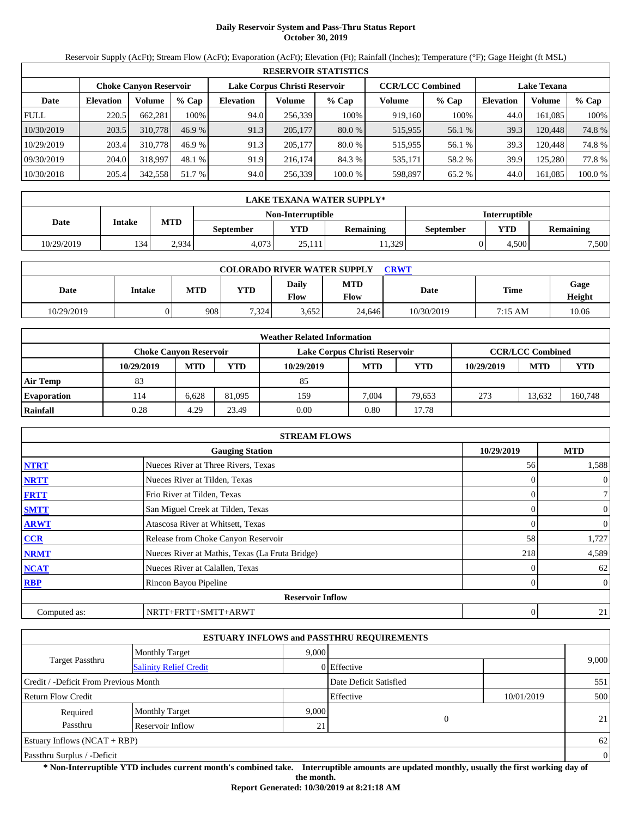# **Daily Reservoir System and Pass-Thru Status Report October 30, 2019**

Reservoir Supply (AcFt); Stream Flow (AcFt); Evaporation (AcFt); Elevation (Ft); Rainfall (Inches); Temperature (°F); Gage Height (ft MSL)

|             | <b>RESERVOIR STATISTICS</b> |                               |         |                  |                               |          |                         |         |                    |         |         |  |
|-------------|-----------------------------|-------------------------------|---------|------------------|-------------------------------|----------|-------------------------|---------|--------------------|---------|---------|--|
|             |                             | <b>Choke Canvon Reservoir</b> |         |                  | Lake Corpus Christi Reservoir |          | <b>CCR/LCC Combined</b> |         | <b>Lake Texana</b> |         |         |  |
| Date        | <b>Elevation</b>            | Volume                        | $%$ Cap | <b>Elevation</b> | Volume                        | $%$ Cap  | Volume                  | $%$ Cap | <b>Elevation</b>   | Volume  | % Cap   |  |
| <b>FULL</b> | 220.5                       | 662.281                       | 100%    | 94.0             | 256.339                       | 100%     | 919.160                 | 100%    | 44.0               | 161.085 | 100%    |  |
| 10/30/2019  | 203.5                       | 310,778                       | 46.9 %  | 91.3             | 205,177                       | $80.0\%$ | 515,955                 | 56.1 %  | 39.3               | 120.448 | 74.8 %  |  |
| 10/29/2019  | 203.4                       | 310,778                       | 46.9 %  | 91.3             | 205,177                       | 80.0 %   | 515,955                 | 56.1 %  | 39.3               | 120.448 | 74.8 %  |  |
| 09/30/2019  | 204.0                       | 318,997                       | 48.1 %  | 91.9             | 216.174                       | 84.3 %   | 535,171                 | 58.2 %  | 39.9               | 125.280 | 77.8 %  |  |
| 10/30/2018  | 205.4                       | 342,558                       | 51.7 %  | 94.0             | 256,339                       | 100.0 %  | 598,897                 | 65.2 %  | 44.0               | 161,085 | 100.0 % |  |

|            | LAKE TEXANA WATER SUPPLY* |                                           |           |            |                  |           |            |                  |  |  |
|------------|---------------------------|-------------------------------------------|-----------|------------|------------------|-----------|------------|------------------|--|--|
|            |                           | Non-Interruptible<br><b>Interruptible</b> |           |            |                  |           |            |                  |  |  |
| Date       | Intake                    | <b>MTD</b>                                | September | <b>YTD</b> | <b>Remaining</b> | September | <b>YTD</b> | <b>Remaining</b> |  |  |
| 10/29/2019 | 134                       | 2.934                                     | 4.073     | 25.111     | 11.329           |           | 4.500      | 7,500            |  |  |

| <b>COLORADO RIVER WATER SUPPLY</b><br>CRWT |               |            |            |               |                    |            |         |                |  |  |
|--------------------------------------------|---------------|------------|------------|---------------|--------------------|------------|---------|----------------|--|--|
| Date                                       | <b>Intake</b> | <b>MTD</b> | <b>YTD</b> | Daily<br>Flow | <b>MTD</b><br>Flow | Date       | Time    | Gage<br>Height |  |  |
| 10/29/2019                                 |               | 908        | 7.324      | 3,652         | 24.646             | 10/30/2019 | 7:15 AM | 10.06          |  |  |

|                    | <b>Weather Related Information</b> |            |        |                               |            |            |            |                         |            |  |  |
|--------------------|------------------------------------|------------|--------|-------------------------------|------------|------------|------------|-------------------------|------------|--|--|
|                    | <b>Choke Canyon Reservoir</b>      |            |        | Lake Corpus Christi Reservoir |            |            |            | <b>CCR/LCC Combined</b> |            |  |  |
|                    | 10/29/2019                         | <b>MTD</b> | YTD    | 10/29/2019                    | <b>MTD</b> | <b>YTD</b> | 10/29/2019 | <b>MTD</b>              | <b>YTD</b> |  |  |
| <b>Air Temp</b>    | 83                                 |            |        | 85                            |            |            |            |                         |            |  |  |
| <b>Evaporation</b> | 114                                | 6.628      | 81,095 | 159                           | 7.004      | 79.653     | 273        | 13.632                  | 160,748    |  |  |
| Rainfall           | 0.28                               | 4.29       | 23.49  | 0.00                          | 0.80       | 17.78      |            |                         |            |  |  |

|              | <b>STREAM FLOWS</b>                             |            |                |
|--------------|-------------------------------------------------|------------|----------------|
|              | <b>Gauging Station</b>                          | 10/29/2019 | <b>MTD</b>     |
| <b>NTRT</b>  | Nueces River at Three Rivers, Texas             | 56         | 1,588          |
| <b>NRTT</b>  | Nueces River at Tilden, Texas                   |            | $\mathbf{0}$   |
| <b>FRTT</b>  | Frio River at Tilden, Texas                     | 0          | $\tau$         |
| <b>SMTT</b>  | San Miguel Creek at Tilden, Texas               |            | $\mathbf{0}$   |
| <b>ARWT</b>  | Atascosa River at Whitsett, Texas               |            | $\mathbf{0}$   |
| <b>CCR</b>   | Release from Choke Canyon Reservoir             | 58         | 1,727          |
| <b>NRMT</b>  | Nueces River at Mathis, Texas (La Fruta Bridge) | 218        | 4,589          |
| <b>NCAT</b>  | Nueces River at Calallen, Texas                 |            | 62             |
| <b>RBP</b>   | Rincon Bayou Pipeline                           | 0          | $\overline{0}$ |
|              | <b>Reservoir Inflow</b>                         |            |                |
| Computed as: | NRTT+FRTT+SMTT+ARWT                             | 0          | 21             |

|                                       |                               |       | <b>ESTUARY INFLOWS and PASSTHRU REQUIREMENTS</b> |            |          |
|---------------------------------------|-------------------------------|-------|--------------------------------------------------|------------|----------|
|                                       | <b>Monthly Target</b>         | 9.000 |                                                  |            |          |
| <b>Target Passthru</b>                | <b>Salinity Relief Credit</b> |       | 0 Effective                                      |            | 9,000    |
| Credit / -Deficit From Previous Month |                               |       | Date Deficit Satisfied                           |            | 551      |
| <b>Return Flow Credit</b>             |                               |       | Effective                                        | 10/01/2019 | 500      |
| Required                              | <b>Monthly Target</b>         | 9.000 |                                                  |            |          |
| Passthru                              | Reservoir Inflow              | 21    | $\overline{0}$                                   |            | 21       |
| Estuary Inflows $(NCAT + RBP)$        |                               |       |                                                  |            | 62       |
| Passthru Surplus / -Deficit           |                               |       |                                                  |            | $\theta$ |